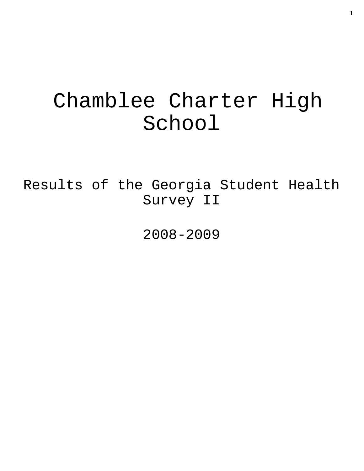# Chamblee Charter High School

Results of the Georgia Student Health Survey II

2008-2009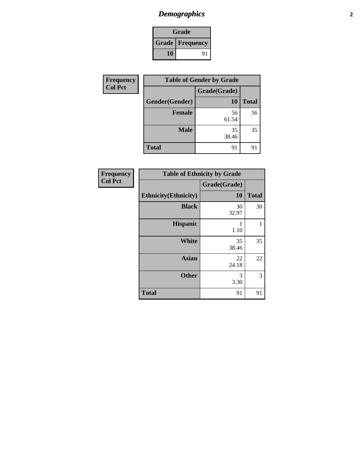## *Demographics* **2**

|                          | Grade |    |
|--------------------------|-------|----|
| <b>Grade   Frequency</b> |       |    |
|                          | 10    | 91 |

| Frequency      | <b>Table of Gender by Grade</b> |              |              |
|----------------|---------------------------------|--------------|--------------|
| <b>Col Pct</b> |                                 | Grade(Grade) |              |
|                | Gender(Gender)                  | <b>10</b>    | <b>Total</b> |
|                | <b>Female</b>                   | 56<br>61.54  | 56           |
|                | <b>Male</b>                     | 35<br>38.46  | 35           |
|                | <b>Total</b>                    | 91           | 91           |

| <b>Frequency</b><br><b>Col Pct</b> | <b>Table of Ethnicity by Grade</b> |              |              |
|------------------------------------|------------------------------------|--------------|--------------|
|                                    |                                    | Grade(Grade) |              |
|                                    | <b>Ethnicity</b> (Ethnicity)       | 10           | <b>Total</b> |
|                                    | <b>Black</b>                       | 30<br>32.97  | 30           |
|                                    | <b>Hispanic</b>                    | 1.10         | 1            |
|                                    | <b>White</b>                       | 35<br>38.46  | 35           |
|                                    | <b>Asian</b>                       | 22<br>24.18  | 22           |
|                                    | <b>Other</b>                       | 3<br>3.30    | 3            |
|                                    | <b>Total</b>                       | 91           | 91           |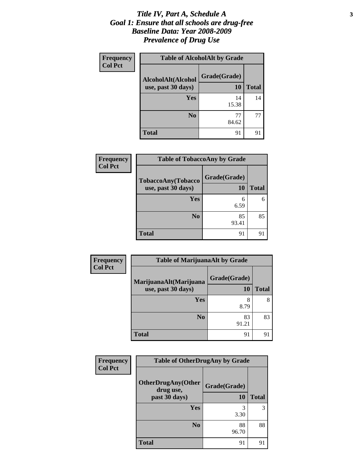### *Title IV, Part A, Schedule A* **3** *Goal 1: Ensure that all schools are drug-free Baseline Data: Year 2008-2009 Prevalence of Drug Use*

| <b>Frequency</b> | <b>Table of AlcoholAlt by Grade</b>      |                    |              |
|------------------|------------------------------------------|--------------------|--------------|
| <b>Col Pct</b>   | AlcoholAlt(Alcohol<br>use, past 30 days) | Grade(Grade)<br>10 | <b>Total</b> |
|                  | Yes                                      | 14<br>15.38        | 14           |
|                  | N <sub>0</sub>                           | 77<br>84.62        | 77           |
|                  | <b>Total</b>                             | 91                 | 91           |

| <b>Frequency</b> | <b>Table of TobaccoAny by Grade</b>      |                    |              |
|------------------|------------------------------------------|--------------------|--------------|
| <b>Col Pct</b>   | TobaccoAny(Tobacco<br>use, past 30 days) | Grade(Grade)<br>10 | <b>Total</b> |
|                  | <b>Yes</b>                               | 6<br>6.59          | 6            |
|                  | N <sub>0</sub>                           | 85<br>93.41        | 85           |
|                  | <b>Total</b>                             | 91                 | 91           |

| <b>Frequency</b> | <b>Table of MarijuanaAlt by Grade</b> |              |              |
|------------------|---------------------------------------|--------------|--------------|
| <b>Col Pct</b>   | MarijuanaAlt(Marijuana                | Grade(Grade) |              |
|                  | use, past 30 days)                    | 10           | <b>Total</b> |
|                  | Yes                                   | 8<br>8.79    | 8            |
|                  | N <sub>0</sub>                        | 83<br>91.21  | 83           |
|                  | <b>Total</b>                          | 91           | 91           |

| Frequency      | <b>Table of OtherDrugAny by Grade</b>  |              |              |
|----------------|----------------------------------------|--------------|--------------|
| <b>Col Pct</b> | <b>OtherDrugAny(Other</b><br>drug use, | Grade(Grade) |              |
|                | past 30 days)                          | 10           | <b>Total</b> |
|                | Yes                                    | 3<br>3.30    | 3            |
|                | N <sub>0</sub>                         | 88<br>96.70  | 88           |
|                | Total                                  | 91           | 91           |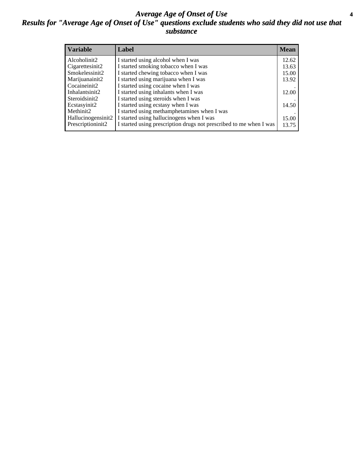### *Average Age of Onset of Use* **4** *Results for "Average Age of Onset of Use" questions exclude students who said they did not use that substance*

| <b>Variable</b>    | Label                                                              | <b>Mean</b> |
|--------------------|--------------------------------------------------------------------|-------------|
| Alcoholinit2       | I started using alcohol when I was                                 | 12.62       |
| Cigarettesinit2    | I started smoking tobacco when I was                               | 13.63       |
| Smokelessinit2     | I started chewing tobacco when I was                               | 15.00       |
| Marijuanainit2     | I started using marijuana when I was                               | 13.92       |
| Cocaineinit2       | I started using cocaine when I was                                 |             |
| Inhalantsinit2     | I started using inhalants when I was                               | 12.00       |
| Steroidsinit2      | I started using steroids when I was                                |             |
| Ecstasyinit2       | I started using ecstasy when I was                                 | 14.50       |
| Methinit2          | I started using methamphetamines when I was                        |             |
| Hallucinogensinit2 | I started using hallucinogens when I was                           | 15.00       |
| Prescriptioninit2  | I started using prescription drugs not prescribed to me when I was | 13.75       |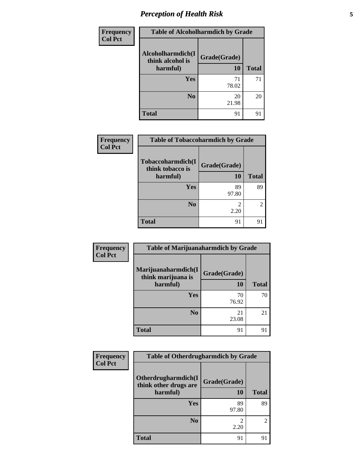# *Perception of Health Risk* **5**

| Frequency      | <b>Table of Alcoholharmdich by Grade</b> |              |              |
|----------------|------------------------------------------|--------------|--------------|
| <b>Col Pct</b> | Alcoholharmdich(I<br>think alcohol is    | Grade(Grade) |              |
|                | harmful)                                 | 10           | <b>Total</b> |
|                | Yes                                      | 71           | 71           |
|                |                                          | 78.02        |              |
|                | N <sub>0</sub>                           | 20<br>21.98  | 20           |
|                | <b>Total</b>                             | 91           | 91           |

| Frequency      | <b>Table of Tobaccoharmdich by Grade</b>          |                    |               |
|----------------|---------------------------------------------------|--------------------|---------------|
| <b>Col Pct</b> | Tobaccoharmdich(I<br>think tobacco is<br>harmful) | Grade(Grade)<br>10 | <b>Total</b>  |
|                | Yes                                               | 89<br>97.80        | 89            |
|                | N <sub>0</sub>                                    | 2.20               | $\mathcal{L}$ |
|                | <b>Total</b>                                      | 91                 | 91            |

| Frequency      | <b>Table of Marijuanaharmdich by Grade</b> |              |              |
|----------------|--------------------------------------------|--------------|--------------|
| <b>Col Pct</b> | Marijuanaharmdich(I<br>think marijuana is  | Grade(Grade) |              |
|                | harmful)                                   | 10           | <b>Total</b> |
|                | <b>Yes</b>                                 | 70           | 70           |
|                |                                            | 76.92        |              |
|                | N <sub>0</sub>                             | 21<br>23.08  | 21           |
|                | <b>Total</b>                               | 91           | 91           |

| Frequency      | <b>Table of Otherdrugharmdich by Grade</b>   |              |              |
|----------------|----------------------------------------------|--------------|--------------|
| <b>Col Pct</b> | Otherdrugharmdich(I<br>think other drugs are | Grade(Grade) |              |
|                | harmful)                                     | 10           | <b>Total</b> |
|                | <b>Yes</b>                                   | 89<br>97.80  | 89           |
|                | N <sub>0</sub>                               | 2.20         | 2            |
|                | <b>Total</b>                                 | 91           | 91           |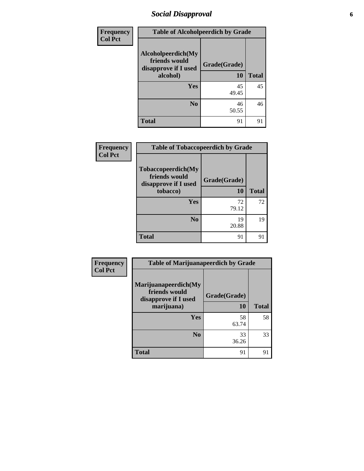## *Social Disapproval* **6**

| <b>Frequency</b> | <b>Table of Alcoholpeerdich by Grade</b>                    |              |              |  |  |
|------------------|-------------------------------------------------------------|--------------|--------------|--|--|
| <b>Col Pct</b>   | Alcoholpeerdich(My<br>friends would<br>disapprove if I used | Grade(Grade) |              |  |  |
|                  | alcohol)                                                    | <b>10</b>    | <b>Total</b> |  |  |
|                  | <b>Yes</b>                                                  | 45<br>49.45  | 45           |  |  |
|                  | N <sub>0</sub>                                              | 46<br>50.55  | 46           |  |  |
|                  | <b>Total</b>                                                | 91           | 91           |  |  |

| <b>Frequency</b> | <b>Table of Tobaccopeerdich by Grade</b>                                |                    |              |  |  |
|------------------|-------------------------------------------------------------------------|--------------------|--------------|--|--|
| <b>Col Pct</b>   | Tobaccopeerdich(My<br>friends would<br>disapprove if I used<br>tobacco) | Grade(Grade)<br>10 | <b>Total</b> |  |  |
|                  | Yes                                                                     | 72                 | 72           |  |  |
|                  |                                                                         | 79.12              |              |  |  |
|                  | N <sub>0</sub>                                                          | 19<br>20.88        | 19           |  |  |
|                  | <b>Total</b>                                                            | 91                 | 91           |  |  |

| Frequency      | <b>Table of Marijuanapeerdich by Grade</b>                    |              |              |  |  |
|----------------|---------------------------------------------------------------|--------------|--------------|--|--|
| <b>Col Pct</b> | Marijuanapeerdich(My<br>friends would<br>disapprove if I used | Grade(Grade) |              |  |  |
|                | marijuana)                                                    | 10           | <b>Total</b> |  |  |
|                | <b>Yes</b>                                                    | 58<br>63.74  | 58           |  |  |
|                | N <sub>0</sub>                                                | 33<br>36.26  | 33           |  |  |
|                | <b>Total</b>                                                  | 91           | 91           |  |  |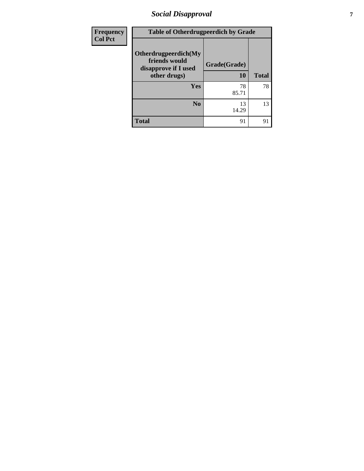# *Social Disapproval* **7**

| Frequency      | <b>Table of Otherdrugpeerdich by Grade</b>                    |              |              |  |  |
|----------------|---------------------------------------------------------------|--------------|--------------|--|--|
| <b>Col Pct</b> | Otherdrugpeerdich(My<br>friends would<br>disapprove if I used | Grade(Grade) |              |  |  |
|                | other drugs)                                                  | <b>10</b>    | <b>Total</b> |  |  |
|                | <b>Yes</b>                                                    | 78<br>85.71  | 78           |  |  |
|                | N <sub>0</sub>                                                | 13<br>14.29  | 13           |  |  |
|                | <b>Total</b>                                                  | 91           | 91           |  |  |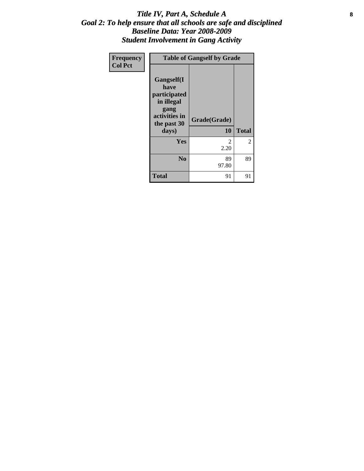### Title IV, Part A, Schedule A **8** *Goal 2: To help ensure that all schools are safe and disciplined Baseline Data: Year 2008-2009 Student Involvement in Gang Activity*

| Frequency      | <b>Table of Gangself by Grade</b>                                                                 |                    |                |  |
|----------------|---------------------------------------------------------------------------------------------------|--------------------|----------------|--|
| <b>Col Pct</b> | Gangself(I<br>have<br>participated<br>in illegal<br>gang<br>activities in<br>the past 30<br>days) | Grade(Grade)<br>10 | <b>Total</b>   |  |
|                | Yes                                                                                               | 2<br>2.20          | $\overline{2}$ |  |
|                | N <sub>0</sub>                                                                                    | 89<br>97.80        | 89             |  |
|                | <b>Total</b>                                                                                      | 91                 | 91             |  |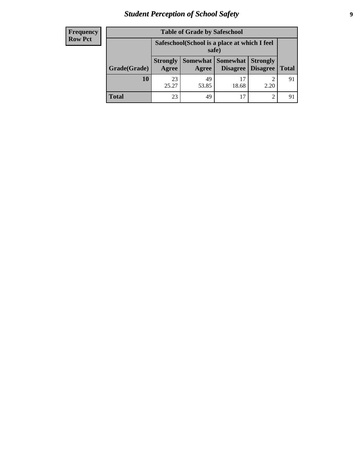# *Student Perception of School Safety* **9**

| <b>Frequency</b><br>Row Pct |
|-----------------------------|
|                             |

| <b>Table of Grade by Safeschool</b> |                                                        |             |                     |                                        |              |
|-------------------------------------|--------------------------------------------------------|-------------|---------------------|----------------------------------------|--------------|
|                                     | Safeschool (School is a place at which I feel<br>safe) |             |                     |                                        |              |
| Grade(Grade)                        | <b>Strongly</b><br>Agree                               | Agree       | Somewhat   Somewhat | <b>Strongly</b><br>Disagree   Disagree | <b>Total</b> |
| 10                                  | 23<br>25.27                                            | 49<br>53.85 | 17<br>18.68         | 2.20                                   | 91           |
| <b>Total</b>                        | 23                                                     | 49          | 17                  | 2                                      |              |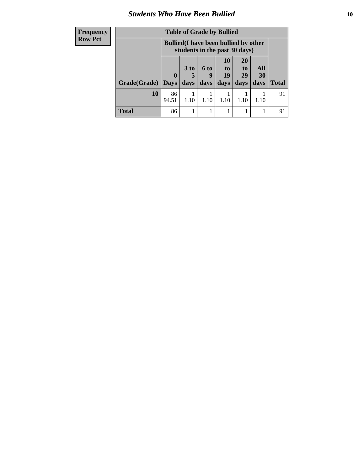### *Students Who Have Been Bullied* **10**

| <b>Frequency</b> | <b>Table of Grade by Bullied</b> |              |                                                                               |                |                 |                             |      |              |
|------------------|----------------------------------|--------------|-------------------------------------------------------------------------------|----------------|-----------------|-----------------------------|------|--------------|
| <b>Row Pct</b>   |                                  |              | <b>Bullied</b> (I have been bullied by other<br>students in the past 30 days) |                |                 |                             |      |              |
|                  |                                  |              | 3 <sub>to</sub>                                                               | $6 \text{ to}$ | <b>10</b><br>to | <b>20</b><br>t <sub>0</sub> | All  |              |
|                  |                                  | $\mathbf{0}$ |                                                                               | 9              | 19              | 29                          | 30   |              |
|                  | Grade(Grade)                     | <b>Days</b>  | days                                                                          | days           | days            | days                        | days | <b>Total</b> |
|                  | 10                               | 86<br>94.51  | 1.10                                                                          | 1.10           | 1.10            | 1.10                        | 1.10 | 91           |
|                  | <b>Total</b>                     | 86           |                                                                               |                |                 |                             |      | 91           |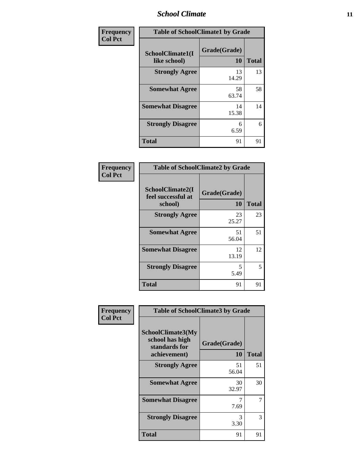### *School Climate* **11**

| Frequency      | <b>Table of SchoolClimate1 by Grade</b> |                    |              |  |
|----------------|-----------------------------------------|--------------------|--------------|--|
| <b>Col Pct</b> | SchoolClimate1(I<br>like school)        | Grade(Grade)<br>10 | <b>Total</b> |  |
|                | <b>Strongly Agree</b>                   | 13<br>14.29        | 13           |  |
|                | <b>Somewhat Agree</b>                   | 58<br>63.74        | 58           |  |
|                | <b>Somewhat Disagree</b>                | 14<br>15.38        | 14           |  |
|                | <b>Strongly Disagree</b>                | 6<br>6.59          | 6            |  |
|                | <b>Total</b>                            | 91                 | 91           |  |

|                                                   | <b>Table of SchoolClimate2 by Grade</b> |              |  |  |
|---------------------------------------------------|-----------------------------------------|--------------|--|--|
| SchoolClimate2(I<br>feel successful at<br>school) | Grade(Grade)<br>10                      | <b>Total</b> |  |  |
| <b>Strongly Agree</b>                             | 23<br>25.27                             | 23           |  |  |
| <b>Somewhat Agree</b>                             | 51<br>56.04                             | 51           |  |  |
| <b>Somewhat Disagree</b>                          | 12<br>13.19                             | 12           |  |  |
| <b>Strongly Disagree</b>                          | 5<br>5.49                               | 5            |  |  |
| <b>Total</b>                                      | 91                                      | 91           |  |  |

| <b>Frequency</b> | <b>Table of SchoolClimate3 by Grade</b>                                      |                    |              |  |
|------------------|------------------------------------------------------------------------------|--------------------|--------------|--|
| <b>Col Pct</b>   | <b>SchoolClimate3(My</b><br>school has high<br>standards for<br>achievement) | Grade(Grade)<br>10 | <b>Total</b> |  |
|                  | <b>Strongly Agree</b>                                                        | 51<br>56.04        | 51           |  |
|                  | <b>Somewhat Agree</b>                                                        | 30<br>32.97        | 30           |  |
|                  | <b>Somewhat Disagree</b>                                                     | 7<br>7.69          |              |  |
|                  | <b>Strongly Disagree</b>                                                     | 3<br>3.30          | 3            |  |
|                  | <b>Total</b>                                                                 | 91                 | 91           |  |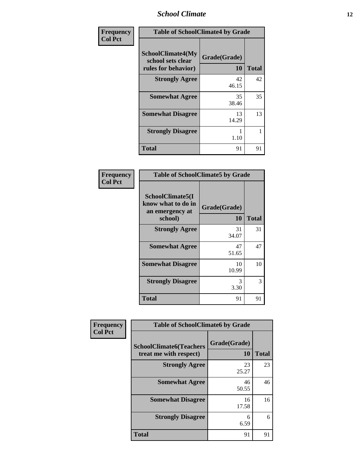### *School Climate* **12**

| Frequency      | <b>Table of SchoolClimate4 by Grade</b>                              |                           |              |  |
|----------------|----------------------------------------------------------------------|---------------------------|--------------|--|
| <b>Col Pct</b> | <b>SchoolClimate4(My</b><br>school sets clear<br>rules for behavior) | Grade(Grade)<br><b>10</b> | <b>Total</b> |  |
|                | <b>Strongly Agree</b>                                                | 42<br>46.15               | 42           |  |
|                | <b>Somewhat Agree</b>                                                | 35<br>38.46               | 35           |  |
|                | <b>Somewhat Disagree</b>                                             | 13<br>14.29               | 13           |  |
|                | <b>Strongly Disagree</b>                                             | 1.10                      | 1            |  |
|                | <b>Total</b>                                                         | 91                        | 91           |  |

| <b>Table of SchoolClimate5 by Grade</b>                              |                    |              |  |
|----------------------------------------------------------------------|--------------------|--------------|--|
| SchoolClimate5(I<br>know what to do in<br>an emergency at<br>school) | Grade(Grade)<br>10 | <b>Total</b> |  |
| <b>Strongly Agree</b>                                                | 31<br>34.07        | 31           |  |
| <b>Somewhat Agree</b>                                                | 47<br>51.65        | 47           |  |
| <b>Somewhat Disagree</b>                                             | 10<br>10.99        | 10           |  |
| <b>Strongly Disagree</b>                                             | 3<br>3.30          | 3            |  |
| Total                                                                | 91                 | 91           |  |

| Frequency      | <b>Table of SchoolClimate6 by Grade</b>                  |                    |              |
|----------------|----------------------------------------------------------|--------------------|--------------|
| <b>Col Pct</b> | <b>SchoolClimate6(Teachers</b><br>treat me with respect) | Grade(Grade)<br>10 | <b>Total</b> |
|                | <b>Strongly Agree</b>                                    | 23<br>25.27        | 23           |
|                | <b>Somewhat Agree</b>                                    | 46<br>50.55        | 46           |
|                | <b>Somewhat Disagree</b>                                 | 16<br>17.58        | 16           |
|                | <b>Strongly Disagree</b>                                 | 6<br>6.59          | 6            |
|                | <b>Total</b>                                             | 91                 | 91           |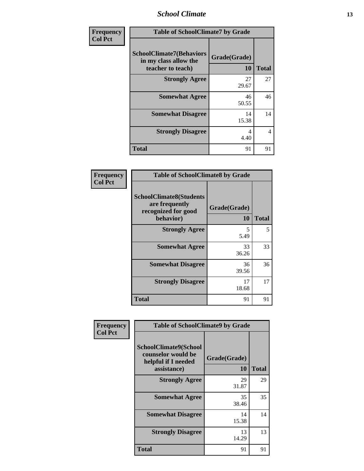*School Climate* **13**

| <b>Frequency</b> | <b>Table of SchoolClimate7 by Grade</b>                                       |                           |              |
|------------------|-------------------------------------------------------------------------------|---------------------------|--------------|
| <b>Col Pct</b>   | <b>SchoolClimate7(Behaviors</b><br>in my class allow the<br>teacher to teach) | Grade(Grade)<br><b>10</b> | <b>Total</b> |
|                  | <b>Strongly Agree</b>                                                         | 27<br>29.67               | 27           |
|                  | <b>Somewhat Agree</b>                                                         | 46<br>50.55               | 46           |
|                  | <b>Somewhat Disagree</b>                                                      | 14<br>15.38               | 14           |
|                  | <b>Strongly Disagree</b>                                                      | 4<br>4.40                 | 4            |
|                  | <b>Total</b>                                                                  | 91                        | 91           |

| Frequency      | <b>Table of SchoolClimate8 by Grade</b><br><b>SchoolClimate8(Students</b> |                    |              |
|----------------|---------------------------------------------------------------------------|--------------------|--------------|
| <b>Col Pct</b> | are frequently<br>recognized for good<br>behavior)                        | Grade(Grade)<br>10 | <b>Total</b> |
|                | <b>Strongly Agree</b>                                                     | 5<br>5.49          | 5            |
|                | <b>Somewhat Agree</b>                                                     | 33<br>36.26        | 33           |
|                | <b>Somewhat Disagree</b>                                                  | 36<br>39.56        | 36           |
|                | <b>Strongly Disagree</b>                                                  | 17<br>18.68        | 17           |
|                | Total                                                                     | 91                 | 91           |

| Frequency<br><b>Col Pct</b> | <b>Table of SchoolClimate9 by Grade</b>                                           |                           |              |
|-----------------------------|-----------------------------------------------------------------------------------|---------------------------|--------------|
|                             | SchoolClimate9(School<br>counselor would be<br>helpful if I needed<br>assistance) | Grade(Grade)<br><b>10</b> | <b>Total</b> |
|                             | <b>Strongly Agree</b>                                                             | 29<br>31.87               | 29           |
|                             | <b>Somewhat Agree</b>                                                             | 35<br>38.46               | 35           |
|                             | <b>Somewhat Disagree</b>                                                          | 14<br>15.38               | 14           |
|                             | <b>Strongly Disagree</b>                                                          | 13<br>14.29               | 13           |
|                             | <b>Total</b>                                                                      | 91                        | 91           |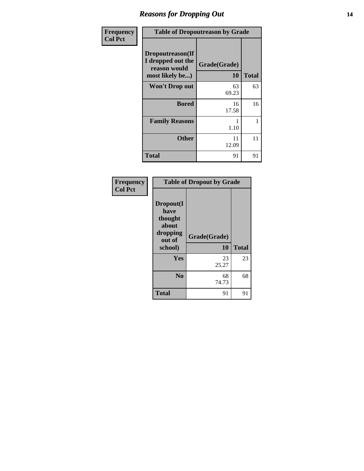## *Reasons for Dropping Out* **14**

| Frequency      | <b>Table of Dropoutreason by Grade</b>                                   |                    |              |
|----------------|--------------------------------------------------------------------------|--------------------|--------------|
| <b>Col Pct</b> | Dropoutreason(If<br>I dropped out the<br>reason would<br>most likely be) | Grade(Grade)<br>10 | <b>Total</b> |
|                | <b>Won't Drop out</b>                                                    | 63<br>69.23        | 63           |
|                | <b>Bored</b>                                                             | 16<br>17.58        | 16           |
|                | <b>Family Reasons</b>                                                    | 1.10               | 1            |
|                | Other                                                                    | 11<br>12.09        | 11           |
|                | Total                                                                    | 91                 | 91           |

| Frequency      |                                                                        | <b>Table of Dropout by Grade</b> |              |  |
|----------------|------------------------------------------------------------------------|----------------------------------|--------------|--|
| <b>Col Pct</b> | Dropout(I<br>have<br>thought<br>about<br>dropping<br>out of<br>school) | Grade(Grade)<br>10               | <b>Total</b> |  |
|                | Yes                                                                    | 23<br>25.27                      | 23           |  |
|                | N <sub>0</sub>                                                         | 68<br>74.73                      | 68           |  |
|                | <b>Total</b>                                                           | 91                               | 91           |  |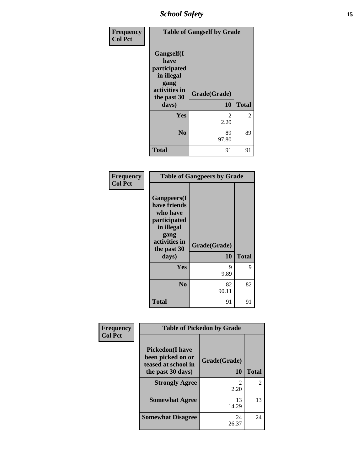## *School Safety* **15**

| Frequency      |                                                                                          | <b>Table of Gangself by Grade</b> |                |  |
|----------------|------------------------------------------------------------------------------------------|-----------------------------------|----------------|--|
| <b>Col Pct</b> | Gangself(I<br>have<br>participated<br>in illegal<br>gang<br>activities in<br>the past 30 | Grade(Grade)                      |                |  |
|                | days)                                                                                    | 10                                | <b>Total</b>   |  |
|                | Yes                                                                                      | $\mathfrak{D}$<br>2.20            | $\overline{2}$ |  |
|                | N <sub>0</sub>                                                                           | 89<br>97.80                       | 89             |  |
|                | <b>Total</b>                                                                             | 91                                | 91             |  |

| Frequency<br><b>Col Pct</b> | <b>Table of Gangpeers by Grade</b>                                                                                             |                    |              |
|-----------------------------|--------------------------------------------------------------------------------------------------------------------------------|--------------------|--------------|
|                             | <b>Gangpeers</b> (I<br>have friends<br>who have<br>participated<br>in illegal<br>gang<br>activities in<br>the past 30<br>days) | Grade(Grade)<br>10 | <b>Total</b> |
|                             | Yes                                                                                                                            | 9<br>9.89          | 9            |
|                             | N <sub>0</sub>                                                                                                                 | 82<br>90.11        | 82           |
|                             | <b>Total</b>                                                                                                                   | 91                 | 91           |

| Frequency      | <b>Table of Pickedon by Grade</b>                                   |              |                             |
|----------------|---------------------------------------------------------------------|--------------|-----------------------------|
| <b>Col Pct</b> | <b>Pickedon</b> (I have<br>been picked on or<br>teased at school in | Grade(Grade) |                             |
|                | the past 30 days)                                                   | 10           | <b>Total</b>                |
|                | <b>Strongly Agree</b>                                               | 2<br>2.20    | $\mathcal{D}_{\mathcal{L}}$ |
|                | <b>Somewhat Agree</b>                                               | 13<br>14.29  | 13                          |
|                | <b>Somewhat Disagree</b>                                            | 24<br>26.37  | 24                          |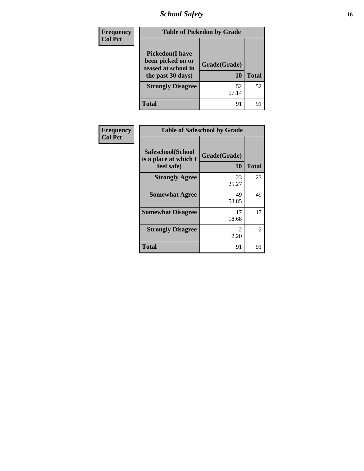*School Safety* **16**

| <b>Frequency</b> | <b>Table of Pickedon by Grade</b>                                                        |                    |              |
|------------------|------------------------------------------------------------------------------------------|--------------------|--------------|
| <b>Col Pct</b>   | <b>Pickedon</b> (I have<br>been picked on or<br>teased at school in<br>the past 30 days) | Grade(Grade)<br>10 | <b>Total</b> |
|                  | <b>Strongly Disagree</b>                                                                 | 52<br>57.14        | 52           |
|                  | <b>Total</b>                                                                             | 91                 | 91           |

| Frequency      |                                                          | <b>Table of Safeschool by Grade</b> |              |  |
|----------------|----------------------------------------------------------|-------------------------------------|--------------|--|
| <b>Col Pct</b> | Safeschool(School<br>is a place at which I<br>feel safe) | Grade(Grade)<br><b>10</b>           | <b>Total</b> |  |
|                | <b>Strongly Agree</b>                                    | 23<br>25.27                         | 23           |  |
|                | <b>Somewhat Agree</b>                                    | 49<br>53.85                         | 49           |  |
|                | <b>Somewhat Disagree</b>                                 | 17<br>18.68                         | 17           |  |
|                | <b>Strongly Disagree</b>                                 | $\mathfrak{D}$<br>2.20              | 2            |  |
|                | <b>Total</b>                                             | 91                                  | 91           |  |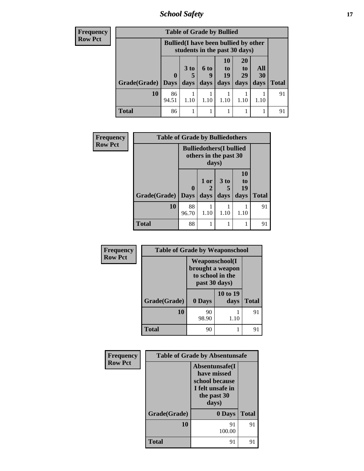*School Safety* **17**

| <b>Frequency</b> |                     |              | <b>Table of Grade by Bullied</b>                                              |                                    |                                         |                               |                   |              |
|------------------|---------------------|--------------|-------------------------------------------------------------------------------|------------------------------------|-----------------------------------------|-------------------------------|-------------------|--------------|
| <b>Row Pct</b>   |                     |              | <b>Bullied</b> (I have been bullied by other<br>students in the past 30 days) |                                    |                                         |                               |                   |              |
|                  | Grade(Grade)   Days | $\mathbf{0}$ | 3 to<br>5<br>days                                                             | $6 \text{ to}$<br><b>g</b><br>days | <b>10</b><br>$\mathbf{t}$<br>19<br>days | <b>20</b><br>to<br>29<br>days | All<br>30<br>days | <b>Total</b> |
|                  | 10                  | 86<br>94.51  | 1.10                                                                          | 1.10                               | 1.10                                    | 1.10                          | 1.10              | 91           |
|                  | <b>Total</b>        | 86           |                                                                               |                                    |                                         |                               |                   | 91           |

| Frequency      | <b>Table of Grade by Bulliedothers</b> |             |                                                                   |      |                |              |  |  |
|----------------|----------------------------------------|-------------|-------------------------------------------------------------------|------|----------------|--------------|--|--|
| <b>Row Pct</b> |                                        |             | <b>Bulliedothers</b> (I bullied<br>others in the past 30<br>days) |      |                |              |  |  |
|                |                                        | $\bf{0}$    | $1$ or<br>2                                                       | 3 to | 10<br>to<br>19 |              |  |  |
|                | Grade(Grade)                           | <b>Days</b> | days                                                              | days | days           | <b>Total</b> |  |  |
|                | 10                                     | 88<br>96.70 | 1.10                                                              | 1.10 | 1.10           | 91           |  |  |
|                | <b>Total</b>                           | 88          |                                                                   |      |                | 91           |  |  |

| Frequency      | <b>Table of Grade by Weaponschool</b> |                                                                                 |                  |              |  |
|----------------|---------------------------------------|---------------------------------------------------------------------------------|------------------|--------------|--|
| <b>Row Pct</b> |                                       | <b>Weaponschool</b> (I<br>brought a weapon<br>to school in the<br>past 30 days) |                  |              |  |
|                | Grade(Grade)                          | 0 Days                                                                          | 10 to 19<br>days | <b>Total</b> |  |
|                | 10                                    | 90<br>98.90                                                                     | 1.10             | 91           |  |
|                | <b>Total</b>                          | 90                                                                              |                  | 91           |  |

| Frequency      | <b>Table of Grade by Absentunsafe</b> |                                                                                              |              |  |  |
|----------------|---------------------------------------|----------------------------------------------------------------------------------------------|--------------|--|--|
| <b>Row Pct</b> |                                       | Absentunsafe(I)<br>have missed<br>school because<br>I felt unsafe in<br>the past 30<br>days) |              |  |  |
|                | Grade(Grade)                          | 0 Days                                                                                       | <b>Total</b> |  |  |
|                | 10                                    | 91<br>100.00                                                                                 | 91           |  |  |
|                | <b>Total</b>                          | 91                                                                                           | 91           |  |  |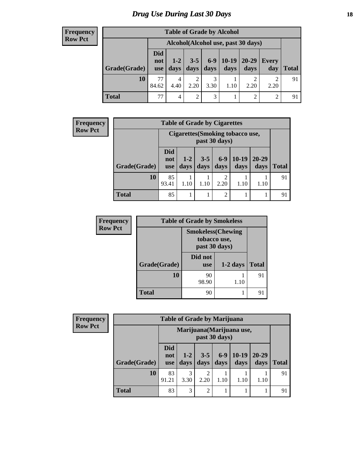## *Drug Use During Last 30 Days* **18**

#### **Frequency Row Pct**

| <b>Table of Grade by Alcohol</b> |             |                                                                                                                                                                                         |                |           |      |                             |      |    |  |
|----------------------------------|-------------|-----------------------------------------------------------------------------------------------------------------------------------------------------------------------------------------|----------------|-----------|------|-----------------------------|------|----|--|
|                                  |             | Alcohol (Alcohol use, past 30 days)<br>$10-19$<br>$6-9$<br>$20 - 29$<br>$3 - 5$<br>$1 - 2$<br>Every<br>not<br>days<br>days<br>days<br>days<br>day<br><b>Total</b><br>days<br><b>use</b> |                |           |      |                             |      |    |  |
| Grade(Grade)                     | Did         |                                                                                                                                                                                         |                |           |      |                             |      |    |  |
| <b>10</b>                        | 77<br>84.62 | 4<br>4.40                                                                                                                                                                               | 2.20           | 3<br>3.30 | 1.10 | 2.20                        | 2.20 | 91 |  |
| <b>Total</b>                     | 77          | 4                                                                                                                                                                                       | $\overline{2}$ | 3         |      | $\mathcal{D}_{\mathcal{L}}$ | 2    | 91 |  |

| <b>Frequency</b> |              | <b>Table of Grade by Cigarettes</b> |                                                   |                 |                |                 |                   |              |
|------------------|--------------|-------------------------------------|---------------------------------------------------|-----------------|----------------|-----------------|-------------------|--------------|
| <b>Row Pct</b>   |              |                                     | Cigarettes (Smoking tobacco use,<br>past 30 days) |                 |                |                 |                   |              |
|                  | Grade(Grade) | <b>Did</b><br>not<br><b>use</b>     | $1-2$<br>days                                     | $3 - 5$<br>days | $6-9$<br>days  | $10-19$<br>days | $20 - 29$<br>days | <b>Total</b> |
|                  | 10           | 85<br>93.41                         | 1.10                                              | 1.10            | 2<br>2.20      | 1.10            | 1.10              | 91           |
|                  | <b>Total</b> | 85                                  |                                                   |                 | $\overline{2}$ |                 |                   | 91           |

| <b>Frequency</b> | <b>Table of Grade by Smokeless</b> |                                                            |            |              |  |  |  |
|------------------|------------------------------------|------------------------------------------------------------|------------|--------------|--|--|--|
| <b>Row Pct</b>   |                                    | <b>Smokeless</b> (Chewing<br>tobacco use,<br>past 30 days) |            |              |  |  |  |
|                  | Grade(Grade)                       | Did not<br><b>use</b>                                      | $1-2$ days | <b>Total</b> |  |  |  |
|                  | 10                                 | 90<br>98.90                                                | 1.10       | 91           |  |  |  |
|                  | Total                              | 90                                                         |            |              |  |  |  |

| Frequency<br><b>Row Pct</b> |                                            | <b>Table of Grade by Marijuana</b> |                 |                 |               |                 |                   |              |
|-----------------------------|--------------------------------------------|------------------------------------|-----------------|-----------------|---------------|-----------------|-------------------|--------------|
|                             | Marijuana (Marijuana use,<br>past 30 days) |                                    |                 |                 |               |                 |                   |              |
| Grade(Grade)                |                                            | <b>Did</b><br>not<br><b>use</b>    | $1 - 2$<br>days | $3 - 5$<br>days | $6-9$<br>days | $10-19$<br>days | $20 - 29$<br>days | <b>Total</b> |
|                             | 10                                         | 83<br>91.21                        | 3<br>3.30       | ↑<br>2.20       | 1.10          | 1.10            | 1.10              | 91           |
|                             | <b>Total</b>                               | 83                                 | 3               | $\overline{2}$  |               |                 |                   | 91           |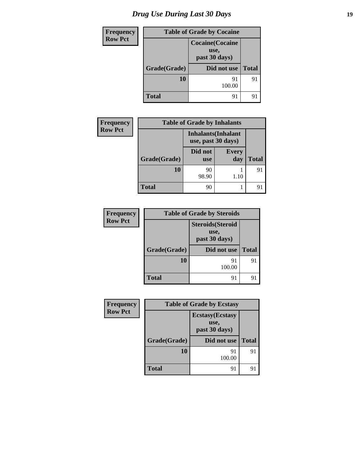| <b>Frequency</b> |              | <b>Table of Grade by Cocaine</b>                 |              |
|------------------|--------------|--------------------------------------------------|--------------|
| <b>Row Pct</b>   |              | <b>Cocaine</b> (Cocaine<br>use,<br>past 30 days) |              |
|                  | Grade(Grade) | Did not use                                      | <b>Total</b> |
|                  | 10           | 91<br>100.00                                     | 91           |
|                  | <b>Total</b> | 91                                               | 91           |

| <b>Frequency</b> | <b>Table of Grade by Inhalants</b> |                                                  |                     |              |  |  |  |  |
|------------------|------------------------------------|--------------------------------------------------|---------------------|--------------|--|--|--|--|
| <b>Row Pct</b>   |                                    | <b>Inhalants</b> (Inhalant<br>use, past 30 days) |                     |              |  |  |  |  |
|                  | Grade(Grade)                       | Did not<br><b>use</b>                            | <b>Every</b><br>day | <b>Total</b> |  |  |  |  |
|                  | 10                                 | 90<br>98.90                                      | 1.10                | 91           |  |  |  |  |
|                  | Total                              | 90                                               |                     | 91           |  |  |  |  |

| Frequency      | <b>Table of Grade by Steroids</b>                 |              |              |  |  |  |
|----------------|---------------------------------------------------|--------------|--------------|--|--|--|
| <b>Row Pct</b> | <b>Steroids</b> (Steroid<br>use,<br>past 30 days) |              |              |  |  |  |
|                | Grade(Grade)                                      | Did not use  | <b>Total</b> |  |  |  |
|                | 10                                                | 91<br>100.00 | 91           |  |  |  |
|                | <b>Total</b>                                      | 91           |              |  |  |  |

| <b>Frequency</b> |              | <b>Table of Grade by Ecstasy</b>                 |              |
|------------------|--------------|--------------------------------------------------|--------------|
| <b>Row Pct</b>   |              | <b>Ecstasy</b> (Ecstasy<br>use,<br>past 30 days) |              |
|                  | Grade(Grade) | Did not use                                      | <b>Total</b> |
|                  | 10           | 91<br>100.00                                     | 91           |
|                  | <b>Total</b> | 91                                               |              |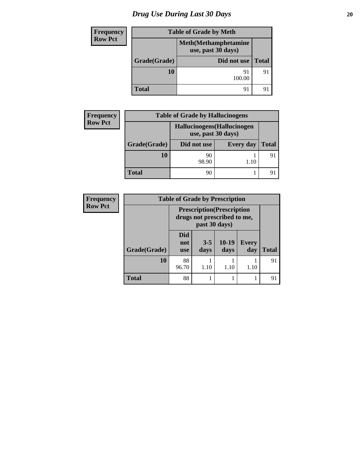# *Drug Use During Last 30 Days* 20

| Frequency      |              | <b>Table of Grade by Meth</b>                      |              |  |
|----------------|--------------|----------------------------------------------------|--------------|--|
| <b>Row Pct</b> |              | <b>Meth</b> (Methamphetamine<br>use, past 30 days) |              |  |
| Grade(Grade)   |              | Did not use                                        | <b>Total</b> |  |
|                | 10           | 91<br>100.00                                       | 91           |  |
|                | <b>Total</b> | 91                                                 | 9            |  |

| <b>Frequency</b> | <b>Table of Grade by Hallucinogens</b> |                                                   |                  |              |
|------------------|----------------------------------------|---------------------------------------------------|------------------|--------------|
| <b>Row Pct</b>   |                                        | Hallucinogens (Hallucinogen<br>use, past 30 days) |                  |              |
|                  | Grade(Grade)                           | Did not use                                       | <b>Every day</b> | <b>Total</b> |
|                  | <b>10</b>                              | 90<br>98.90                                       | 1.10             | 91           |
|                  | <b>Total</b>                           | 90                                                |                  |              |

| <b>Frequency</b> | <b>Table of Grade by Prescription</b> |                                                                                   |                 |                 |                     |       |
|------------------|---------------------------------------|-----------------------------------------------------------------------------------|-----------------|-----------------|---------------------|-------|
| <b>Row Pct</b>   |                                       | <b>Prescription</b> (Prescription<br>drugs not prescribed to me,<br>past 30 days) |                 |                 |                     |       |
|                  | Grade(Grade)                          | Did<br>not<br><b>use</b>                                                          | $3 - 5$<br>days | $10-19$<br>days | <b>Every</b><br>day | Total |
|                  | 10                                    | 88<br>96.70                                                                       | 1.10            | 1.10            | 1.10                | 91    |
|                  | <b>Total</b>                          | 88                                                                                | 1               |                 |                     | 91    |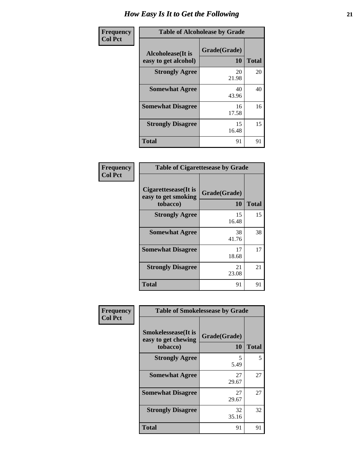| Frequency      | <b>Table of Alcoholease by Grade</b>              |                    |              |
|----------------|---------------------------------------------------|--------------------|--------------|
| <b>Col Pct</b> | <b>Alcoholease</b> (It is<br>easy to get alcohol) | Grade(Grade)<br>10 | <b>Total</b> |
|                | <b>Strongly Agree</b>                             | 20<br>21.98        | 20           |
|                | <b>Somewhat Agree</b>                             | 40<br>43.96        | 40           |
|                | <b>Somewhat Disagree</b>                          | 16<br>17.58        | 16           |
|                | <b>Strongly Disagree</b>                          | 15<br>16.48        | 15           |
|                | <b>Total</b>                                      | 91                 | 91           |

| <b>Table of Cigarettesease by Grade</b>                 |                    |       |  |
|---------------------------------------------------------|--------------------|-------|--|
| Cigarettesease(It is<br>easy to get smoking<br>tobacco) | Grade(Grade)<br>10 | Total |  |
| <b>Strongly Agree</b>                                   | 15<br>16.48        | 15    |  |
| <b>Somewhat Agree</b>                                   | 38<br>41.76        | 38    |  |
| <b>Somewhat Disagree</b>                                | 17<br>18.68        | 17    |  |
| <b>Strongly Disagree</b>                                | 21<br>23.08        | 21    |  |
| <b>Total</b>                                            | 91                 | 91    |  |

| <b>Frequency</b> | <b>Table of Smokelessease by Grade</b>                         |                           |              |
|------------------|----------------------------------------------------------------|---------------------------|--------------|
| <b>Col Pct</b>   | <b>Smokelessease</b> (It is<br>easy to get chewing<br>tobacco) | Grade(Grade)<br><b>10</b> | <b>Total</b> |
|                  | <b>Strongly Agree</b>                                          | 5<br>5.49                 | 5            |
|                  | <b>Somewhat Agree</b>                                          | 27<br>29.67               | 27           |
|                  | <b>Somewhat Disagree</b>                                       | 27<br>29.67               | 27           |
|                  | <b>Strongly Disagree</b>                                       | 32<br>35.16               | 32           |
|                  | <b>Total</b>                                                   | 91                        | 91           |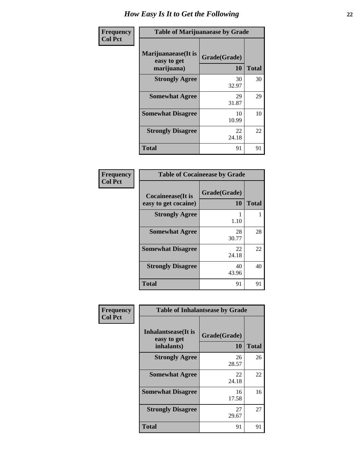| Frequency      | <b>Table of Marijuanaease by Grade</b>           |                           |              |
|----------------|--------------------------------------------------|---------------------------|--------------|
| <b>Col Pct</b> | Marijuanaease(It is<br>easy to get<br>marijuana) | Grade(Grade)<br><b>10</b> | <b>Total</b> |
|                | <b>Strongly Agree</b>                            | 30<br>32.97               | 30           |
|                | <b>Somewhat Agree</b>                            | 29<br>31.87               | 29           |
|                | <b>Somewhat Disagree</b>                         | 10<br>10.99               | 10           |
|                | <b>Strongly Disagree</b>                         | 22<br>24.18               | 22           |
|                | <b>Total</b>                                     | 91                        | 91           |

| <b>Table of Cocaineease by Grade</b>      |                    |              |  |
|-------------------------------------------|--------------------|--------------|--|
| Cocaineease(It is<br>easy to get cocaine) | Grade(Grade)<br>10 | <b>Total</b> |  |
| <b>Strongly Agree</b>                     | 1.10               |              |  |
| <b>Somewhat Agree</b>                     | 28<br>30.77        | 28           |  |
| <b>Somewhat Disagree</b>                  | 22<br>24.18        | 22           |  |
| <b>Strongly Disagree</b>                  | 40<br>43.96        | 40           |  |
| <b>Total</b>                              | 91                 | 91           |  |

| Frequency      | <b>Table of Inhalantsease by Grade</b>     |              |              |
|----------------|--------------------------------------------|--------------|--------------|
| <b>Col Pct</b> | <b>Inhalantsease</b> (It is<br>easy to get | Grade(Grade) |              |
|                | inhalants)                                 | <b>10</b>    | <b>Total</b> |
|                | <b>Strongly Agree</b>                      | 26<br>28.57  | 26           |
|                | <b>Somewhat Agree</b>                      | 22<br>24.18  | 22           |
|                | <b>Somewhat Disagree</b>                   | 16<br>17.58  | 16           |
|                | <b>Strongly Disagree</b>                   | 27<br>29.67  | 27           |
|                | <b>Total</b>                               | 91           | 91           |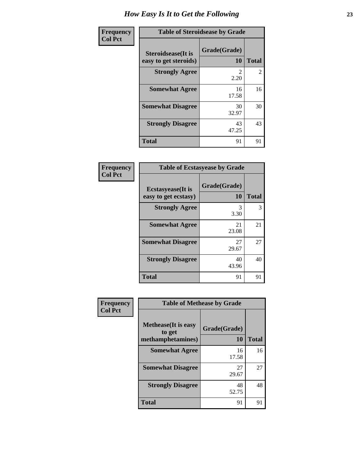| Frequency      | <b>Table of Steroidsease by Grade</b>               |                    |                |
|----------------|-----------------------------------------------------|--------------------|----------------|
| <b>Col Pct</b> | <b>Steroidsease</b> (It is<br>easy to get steroids) | Grade(Grade)<br>10 | <b>Total</b>   |
|                | <b>Strongly Agree</b>                               | 2.20               | $\overline{2}$ |
|                | <b>Somewhat Agree</b>                               | 16<br>17.58        | 16             |
|                | <b>Somewhat Disagree</b>                            | 30<br>32.97        | 30             |
|                | <b>Strongly Disagree</b>                            | 43<br>47.25        | 43             |
|                | <b>Total</b>                                        | 91                 | 91             |

| Frequency<br>Col Pct |
|----------------------|

| <b>Table of Ecstasyease by Grade</b> |              |              |  |
|--------------------------------------|--------------|--------------|--|
| <b>Ecstasyease</b> (It is            | Grade(Grade) |              |  |
| easy to get ecstasy)                 | 10           | <b>Total</b> |  |
| <b>Strongly Agree</b>                | 3<br>3.30    | 3            |  |
| <b>Somewhat Agree</b>                | 21<br>23.08  | 21           |  |
| <b>Somewhat Disagree</b>             | 27<br>29.67  | 27           |  |
| <b>Strongly Disagree</b>             | 40<br>43.96  | 40           |  |
| <b>Total</b>                         | 91           | 91           |  |

| <b>Table of Methease by Grade</b>                          |                    |              |  |  |
|------------------------------------------------------------|--------------------|--------------|--|--|
| <b>Methease</b> (It is easy<br>to get<br>methamphetamines) | Grade(Grade)<br>10 | <b>Total</b> |  |  |
| <b>Somewhat Agree</b>                                      | 16<br>17.58        | 16           |  |  |
| <b>Somewhat Disagree</b>                                   | 27<br>29.67        | 27           |  |  |
| <b>Strongly Disagree</b>                                   | 48<br>52.75        | 48           |  |  |
| <b>Total</b>                                               | 91                 |              |  |  |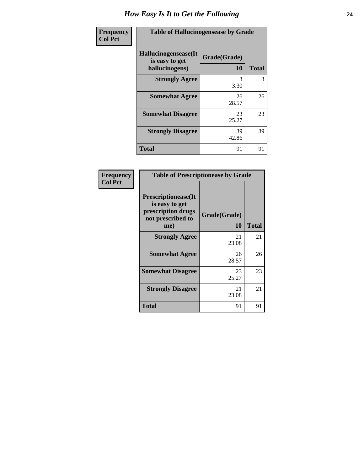| Frequency      | <b>Table of Hallucinogensease by Grade</b>               |                    |              |  |
|----------------|----------------------------------------------------------|--------------------|--------------|--|
| <b>Col Pct</b> | Hallucinogensease(It<br>is easy to get<br>hallucinogens) | Grade(Grade)<br>10 | <b>Total</b> |  |
|                | <b>Strongly Agree</b>                                    | 3<br>3.30          | 3            |  |
|                | <b>Somewhat Agree</b>                                    | 26<br>28.57        | 26           |  |
|                | <b>Somewhat Disagree</b>                                 | 23<br>25.27        | 23           |  |
|                | <b>Strongly Disagree</b>                                 | 39<br>42.86        | 39           |  |
|                | <b>Total</b>                                             | 91                 | 91           |  |

| <b>Table of Prescriptionease by Grade</b>                                                |              |              |  |  |
|------------------------------------------------------------------------------------------|--------------|--------------|--|--|
| <b>Prescriptionease</b> (It<br>is easy to get<br>prescription drugs<br>not prescribed to | Grade(Grade) |              |  |  |
| me)                                                                                      | 10           | <b>Total</b> |  |  |
| <b>Strongly Agree</b>                                                                    | 21<br>23.08  | 21           |  |  |
| <b>Somewhat Agree</b>                                                                    | 26<br>28.57  | 26           |  |  |
| <b>Somewhat Disagree</b>                                                                 | 23<br>25.27  | 23           |  |  |
| <b>Strongly Disagree</b>                                                                 | 21<br>23.08  | 21           |  |  |
| Total                                                                                    | 91           | 91           |  |  |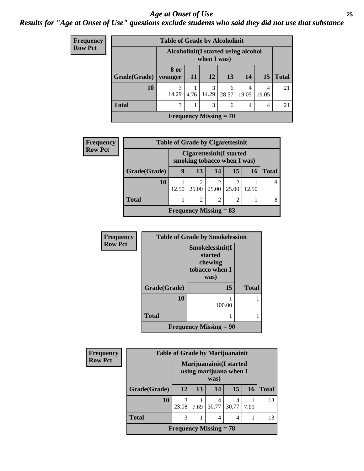### *Age at Onset of Use* **25** *Results for "Age at Onset of Use" questions exclude students who said they did not use that substance*

| Frequency      | <b>Table of Grade by Alcoholinit</b> |                                                     |           |            |            |            |           |              |
|----------------|--------------------------------------|-----------------------------------------------------|-----------|------------|------------|------------|-----------|--------------|
| <b>Row Pct</b> |                                      | Alcoholinit (I started using alcohol<br>when I was) |           |            |            |            |           |              |
|                | Grade(Grade)                         | 8 or<br>vounger                                     | <b>11</b> | 12         | 13         | 14         | <b>15</b> | <b>Total</b> |
|                | 10                                   | 3<br>14.29                                          | 4.76      | 3<br>14.29 | 6<br>28.57 | 4<br>19.05 | 19.05     | 21           |
|                | <b>Total</b>                         | 3                                                   |           | 3          | 6          | 4          |           | 21           |
|                |                                      | Frequency Missing $= 70$                            |           |            |            |            |           |              |

| <b>Frequency</b> | <b>Table of Grade by Cigarettesinit</b> |                                                         |                          |       |       |       |       |
|------------------|-----------------------------------------|---------------------------------------------------------|--------------------------|-------|-------|-------|-------|
| <b>Row Pct</b>   |                                         | Cigarettesinit(I started<br>smoking tobacco when I was) |                          |       |       |       |       |
|                  | Grade(Grade)                            | 9                                                       | 13                       | 14    | 15    | 16    | Total |
|                  | 10                                      | 12.50                                                   | $\overline{2}$<br>25.00  | 25.00 | 25.00 | 12.50 |       |
|                  | <b>Total</b>                            |                                                         | 2                        | 2     | 2     |       |       |
|                  |                                         |                                                         | Frequency Missing $= 83$ |       |       |       |       |

| Frequency      | <b>Table of Grade by Smokelessinit</b> |                                                                 |              |  |
|----------------|----------------------------------------|-----------------------------------------------------------------|--------------|--|
| <b>Row Pct</b> |                                        | Smokelessinit(I<br>started<br>chewing<br>tobacco when I<br>was) |              |  |
|                | Grade(Grade)                           | 15                                                              | <b>Total</b> |  |
|                | 10                                     | 100.00                                                          |              |  |
|                | <b>Total</b>                           |                                                                 |              |  |
|                |                                        | <b>Frequency Missing = 90</b>                                   |              |  |

| Frequency      | <b>Table of Grade by Marijuanainit</b> |            |                                                           |            |       |           |              |
|----------------|----------------------------------------|------------|-----------------------------------------------------------|------------|-------|-----------|--------------|
| <b>Row Pct</b> |                                        |            | Marijuanainit(I started<br>using marijuana when I<br>was) |            |       |           |              |
|                | Grade(Grade)                           | 12         | 13                                                        | 14         | 15    | <b>16</b> | <b>Total</b> |
|                | 10                                     | 3<br>23.08 | 7.69                                                      | 4<br>30.77 | 30.77 | 7.69      | 13           |
|                | <b>Total</b>                           | 3          |                                                           | 4          |       |           | 13           |
|                | <b>Frequency Missing = 78</b>          |            |                                                           |            |       |           |              |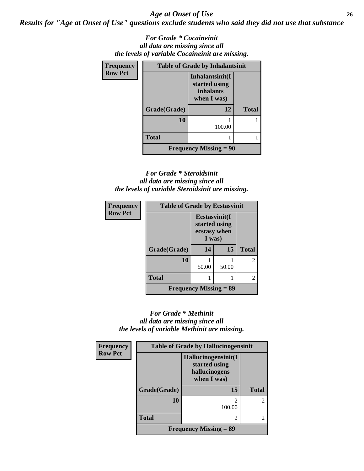*Age at Onset of Use* **26**

*Results for "Age at Onset of Use" questions exclude students who said they did not use that substance*

*For Grade \* Cocaineinit all data are missing since all the levels of variable Cocaineinit are missing.*

| Frequency      | <b>Table of Grade by Inhalantsinit</b> |                                                                     |              |  |
|----------------|----------------------------------------|---------------------------------------------------------------------|--------------|--|
| <b>Row Pct</b> |                                        | Inhalantsinit(I<br>started using<br><i>inhalants</i><br>when I was) |              |  |
|                | Grade(Grade)                           | 12                                                                  | <b>Total</b> |  |
|                | 10                                     | 100.00                                                              |              |  |
|                | <b>Total</b>                           |                                                                     |              |  |
|                |                                        | Frequency Missing $= 90$                                            |              |  |

### *For Grade \* Steroidsinit all data are missing since all the levels of variable Steroidsinit are missing.*

| <b>Frequency</b> | <b>Table of Grade by Ecstasyinit</b> |                                                          |       |              |
|------------------|--------------------------------------|----------------------------------------------------------|-------|--------------|
| <b>Row Pct</b>   |                                      | Ecstasyinit(I<br>started using<br>ecstasy when<br>I was) |       |              |
|                  | Grade(Grade)                         | 14                                                       | 15    | <b>Total</b> |
|                  | 10                                   | 50.00                                                    | 50.00 |              |
|                  | <b>Total</b>                         |                                                          |       |              |
|                  | <b>Frequency Missing = 89</b>        |                                                          |       |              |

### *For Grade \* Methinit all data are missing since all the levels of variable Methinit are missing.*

| Frequency      | <b>Table of Grade by Hallucinogensinit</b> |                                                                      |                |  |
|----------------|--------------------------------------------|----------------------------------------------------------------------|----------------|--|
| <b>Row Pct</b> |                                            | Hallucinogensinit(I<br>started using<br>hallucinogens<br>when I was) |                |  |
|                | Grade(Grade)                               | 15                                                                   | <b>Total</b>   |  |
|                | 10                                         | $\mathfrak{D}$<br>100.00                                             | $\overline{2}$ |  |
|                | <b>Total</b>                               | $\mathfrak{D}$                                                       | $\mathfrak{D}$ |  |
|                |                                            | Frequency Missing $= 89$                                             |                |  |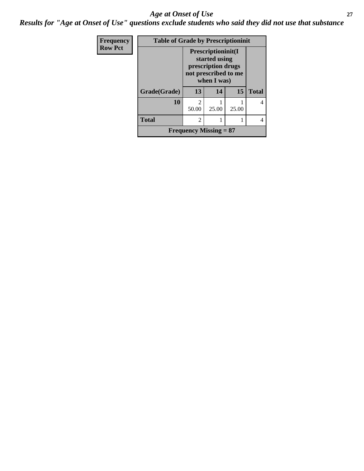### *Age at Onset of Use* **27**

*Results for "Age at Onset of Use" questions exclude students who said they did not use that substance*

| Frequency      | <b>Table of Grade by Prescriptioninit</b> |                                                                                                  |       |       |              |
|----------------|-------------------------------------------|--------------------------------------------------------------------------------------------------|-------|-------|--------------|
| <b>Row Pct</b> |                                           | Prescriptioninit(I<br>started using<br>prescription drugs<br>not prescribed to me<br>when I was) |       |       |              |
|                | Grade(Grade)                              | 13                                                                                               | 14    | 15    | <b>Total</b> |
|                | 10                                        | $\mathfrak{D}$<br>50.00                                                                          | 25.00 | 25.00 |              |
|                | <b>Total</b>                              | $\mathfrak{D}$                                                                                   |       |       |              |
|                |                                           | Frequency Missing $= 87$                                                                         |       |       |              |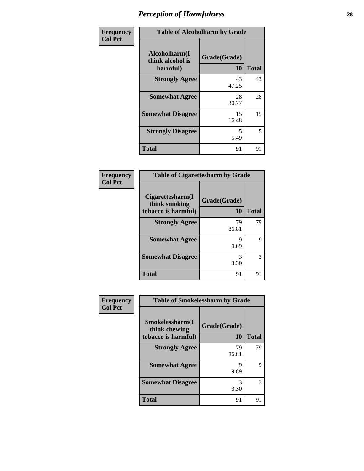| Frequency      | <b>Table of Alcoholharm by Grade</b>          |                           |              |  |  |
|----------------|-----------------------------------------------|---------------------------|--------------|--|--|
| <b>Col Pct</b> | Alcoholharm(I<br>think alcohol is<br>harmful) | Grade(Grade)<br><b>10</b> | <b>Total</b> |  |  |
|                | <b>Strongly Agree</b>                         | 43<br>47.25               | 43           |  |  |
|                | <b>Somewhat Agree</b>                         | 28<br>30.77               | 28           |  |  |
|                | <b>Somewhat Disagree</b>                      | 15<br>16.48               | 15           |  |  |
|                | <b>Strongly Disagree</b>                      | 5<br>5.49                 | 5            |  |  |
|                | <b>Total</b>                                  | 91                        | 91           |  |  |

#### **Frequency Col Pct**

| <b>Table of Cigarettesharm by Grade</b>           |             |              |
|---------------------------------------------------|-------------|--------------|
| Cigarettesharm(I<br>Grade(Grade)<br>think smoking |             |              |
| tobacco is harmful)                               | 10          | <b>Total</b> |
| <b>Strongly Agree</b>                             | 79<br>86.81 | 79           |
| <b>Somewhat Agree</b>                             | 9<br>9.89   | 9            |
| <b>Somewhat Disagree</b>                          | 3<br>3.30   | 3            |
| Total                                             | 91          | 91           |

| <b>Table of Smokelessharm by Grade</b> |              |              |
|----------------------------------------|--------------|--------------|
| Smokelessharm(I<br>think chewing       | Grade(Grade) |              |
| tobacco is harmful)                    | 10           | <b>Total</b> |
| <b>Strongly Agree</b>                  | 79<br>86.81  | 79           |
| <b>Somewhat Agree</b>                  | Q<br>9.89    | Q            |
| <b>Somewhat Disagree</b>               | 3.30         | 3            |
| <b>Total</b>                           | 91           |              |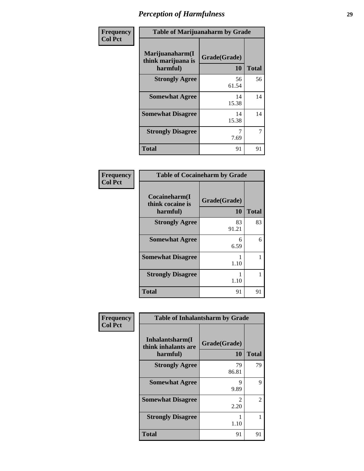| Frequency      | <b>Table of Marijuanaharm by Grade</b>            |                           |              |
|----------------|---------------------------------------------------|---------------------------|--------------|
| <b>Col Pct</b> | Marijuanaharm(I<br>think marijuana is<br>harmful) | Grade(Grade)<br><b>10</b> | <b>Total</b> |
|                | <b>Strongly Agree</b>                             | 56<br>61.54               | 56           |
|                | <b>Somewhat Agree</b>                             | 14<br>15.38               | 14           |
|                | <b>Somewhat Disagree</b>                          | 14<br>15.38               | 14           |
|                | <b>Strongly Disagree</b>                          | 7.69                      | 7            |
|                | <b>Total</b>                                      | 91                        | 91           |

| <b>Table of Cocaineharm by Grade</b>          |                    |              |
|-----------------------------------------------|--------------------|--------------|
| Cocaineharm(I<br>think cocaine is<br>harmful) | Grade(Grade)<br>10 | <b>Total</b> |
| <b>Strongly Agree</b>                         | 83<br>91.21        | 83           |
| <b>Somewhat Agree</b>                         | 6<br>6.59          | 6            |
| <b>Somewhat Disagree</b>                      | 1.10               |              |
| <b>Strongly Disagree</b>                      | 1.10               |              |
| Total                                         | 91                 | 91           |

| Frequency      | <b>Table of Inhalantsharm by Grade</b>             |                       |              |
|----------------|----------------------------------------------------|-----------------------|--------------|
| <b>Col Pct</b> | Inhalantsharm(I<br>think inhalants are<br>harmful) | Grade(Grade)<br>10    | <b>Total</b> |
|                | <b>Strongly Agree</b>                              | 79<br>86.81           | 79           |
|                | <b>Somewhat Agree</b>                              | 9<br>9.89             | 9            |
|                | <b>Somewhat Disagree</b>                           | $\mathcal{L}$<br>2.20 | 2            |
|                | <b>Strongly Disagree</b>                           | 1.10                  |              |
|                | <b>Total</b>                                       | 91                    | 91           |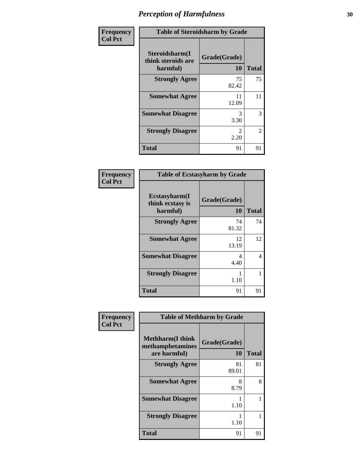| Frequency      | <b>Table of Steroidsharm by Grade</b>            |                    |              |
|----------------|--------------------------------------------------|--------------------|--------------|
| <b>Col Pct</b> | Steroidsharm(I<br>think steroids are<br>harmful) | Grade(Grade)<br>10 | <b>Total</b> |
|                | <b>Strongly Agree</b>                            | 75<br>82.42        | 75           |
|                | <b>Somewhat Agree</b>                            | 11<br>12.09        | 11           |
|                | <b>Somewhat Disagree</b>                         | 3<br>3.30          | 3            |
|                | <b>Strongly Disagree</b>                         | 2<br>2.20          | 2            |
|                | <b>Total</b>                                     | 91                 | 91           |

| <b>Table of Ecstasyharm by Grade</b>          |                    |              |
|-----------------------------------------------|--------------------|--------------|
| Ecstasyharm(I<br>think ecstasy is<br>harmful) | Grade(Grade)<br>10 | <b>Total</b> |
| <b>Strongly Agree</b>                         | 74<br>81.32        | 74           |
| <b>Somewhat Agree</b>                         | 12<br>13.19        | 12           |
| <b>Somewhat Disagree</b>                      | 4<br>4.40          | 4            |
| <b>Strongly Disagree</b>                      | 1.10               |              |
| <b>Total</b>                                  | 91                 | 91           |

| Frequency      | <b>Table of Methharm by Grade</b>                            |                    |              |
|----------------|--------------------------------------------------------------|--------------------|--------------|
| <b>Col Pct</b> | <b>Methharm</b> (I think<br>methamphetamines<br>are harmful) | Grade(Grade)<br>10 | <b>Total</b> |
|                | <b>Strongly Agree</b>                                        | 81<br>89.01        | 81           |
|                | <b>Somewhat Agree</b>                                        | 8<br>8.79          | 8            |
|                | <b>Somewhat Disagree</b>                                     | 1.10               |              |
|                | <b>Strongly Disagree</b>                                     | 1.10               |              |
|                | <b>Total</b>                                                 | 91                 | 91           |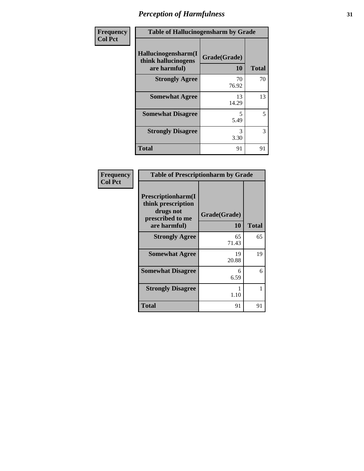| Frequency      |                                                            | <b>Table of Hallucinogensharm by Grade</b> |              |
|----------------|------------------------------------------------------------|--------------------------------------------|--------------|
| <b>Col Pct</b> | Hallucinogensharm(I<br>think hallucinogens<br>are harmful) | Grade(Grade)<br>10                         | <b>Total</b> |
|                | <b>Strongly Agree</b>                                      | 70<br>76.92                                | 70           |
|                | <b>Somewhat Agree</b>                                      | 13<br>14.29                                | 13           |
|                | <b>Somewhat Disagree</b>                                   | 5<br>5.49                                  | 5            |
|                | <b>Strongly Disagree</b>                                   | 3<br>3.30                                  | 3            |
|                | <b>Total</b>                                               | 91                                         | 91           |

| <b>Table of Prescriptionharm by Grade</b>                                                         |                    |       |
|---------------------------------------------------------------------------------------------------|--------------------|-------|
| <b>Prescriptionharm(I)</b><br>think prescription<br>drugs not<br>prescribed to me<br>are harmful) | Grade(Grade)<br>10 | Total |
| <b>Strongly Agree</b>                                                                             | 65<br>71.43        | 65    |
| <b>Somewhat Agree</b>                                                                             | 19<br>20.88        | 19    |
| <b>Somewhat Disagree</b>                                                                          | 6<br>6.59          | 6     |
| <b>Strongly Disagree</b>                                                                          | 1.10               |       |
| <b>Total</b>                                                                                      | 91                 | 91    |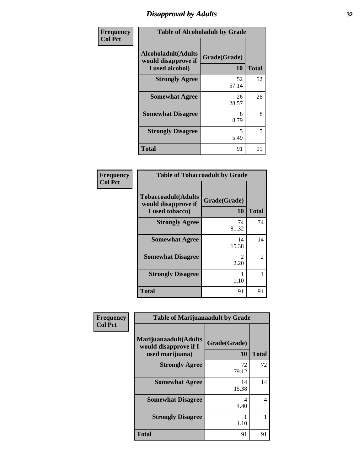## *Disapproval by Adults* **32**

| Frequency      | <b>Table of Alcoholadult by Grade</b>                                 |                           |              |
|----------------|-----------------------------------------------------------------------|---------------------------|--------------|
| <b>Col Pct</b> | <b>Alcoholadult</b> (Adults<br>would disapprove if<br>I used alcohol) | Grade(Grade)<br><b>10</b> | <b>Total</b> |
|                | <b>Strongly Agree</b>                                                 | 52<br>57.14               | 52           |
|                | <b>Somewhat Agree</b>                                                 | 26<br>28.57               | 26           |
|                | <b>Somewhat Disagree</b>                                              | 8<br>8.79                 | 8            |
|                | <b>Strongly Disagree</b>                                              | 5<br>5.49                 | 5            |
|                | <b>Total</b>                                                          | 91                        | 91           |

| Frequency      |
|----------------|
| <b>Col Pct</b> |

| <b>Table of Tobaccoadult by Grade</b>                                 |                    |                             |  |
|-----------------------------------------------------------------------|--------------------|-----------------------------|--|
| <b>Tobaccoadult</b> (Adults<br>would disapprove if<br>I used tobacco) | Grade(Grade)<br>10 | <b>Total</b>                |  |
| <b>Strongly Agree</b>                                                 | 74<br>81.32        | 74                          |  |
| <b>Somewhat Agree</b>                                                 | 14<br>15.38        | 14                          |  |
| <b>Somewhat Disagree</b>                                              | 2<br>2.20          | $\mathcal{D}_{\mathcal{L}}$ |  |
| <b>Strongly Disagree</b>                                              | 1.10               |                             |  |
| Total                                                                 | 91                 | 91                          |  |

| Frequency      | <b>Table of Marijuanaadult by Grade</b>                           |                    |              |
|----------------|-------------------------------------------------------------------|--------------------|--------------|
| <b>Col Pct</b> | Marijuanaadult(Adults<br>would disapprove if I<br>used marijuana) | Grade(Grade)<br>10 | <b>Total</b> |
|                | <b>Strongly Agree</b>                                             | 72<br>79.12        | 72           |
|                | <b>Somewhat Agree</b>                                             | 14<br>15.38        | 14           |
|                | <b>Somewhat Disagree</b>                                          | 4<br>4.40          | 4            |
|                | <b>Strongly Disagree</b>                                          | 1.10               |              |
|                | <b>Total</b>                                                      | 91                 | 91           |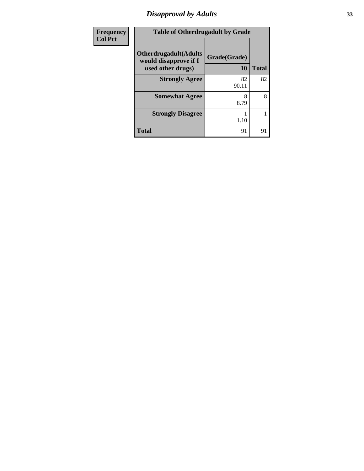# *Disapproval by Adults* **33**

| Frequency      | <b>Table of Otherdrugadult by Grade</b>                                     |                    |              |
|----------------|-----------------------------------------------------------------------------|--------------------|--------------|
| <b>Col Pct</b> | <b>Otherdrugadult</b> (Adults<br>would disapprove if I<br>used other drugs) | Grade(Grade)<br>10 | <b>Total</b> |
|                | <b>Strongly Agree</b>                                                       | 82<br>90.11        | 82           |
|                | <b>Somewhat Agree</b>                                                       | 8<br>8.79          | 8            |
|                | <b>Strongly Disagree</b>                                                    | 1.10               |              |
|                | <b>Total</b>                                                                | 91                 | 91           |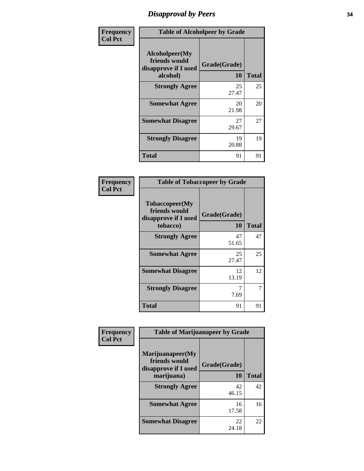## *Disapproval by Peers* **34**

| Frequency      | <b>Table of Alcoholpeer by Grade</b>                                |                           |              |
|----------------|---------------------------------------------------------------------|---------------------------|--------------|
| <b>Col Pct</b> | Alcoholpeer(My<br>friends would<br>disapprove if I used<br>alcohol) | Grade(Grade)<br><b>10</b> | <b>Total</b> |
|                | <b>Strongly Agree</b>                                               | 25<br>27.47               | 25           |
|                | <b>Somewhat Agree</b>                                               | 20<br>21.98               | 20           |
|                | <b>Somewhat Disagree</b>                                            | 27<br>29.67               | 27           |
|                | <b>Strongly Disagree</b>                                            | 19<br>20.88               | 19           |
|                | <b>Total</b>                                                        | 91                        | 91           |

| Frequency      | <b>Table of Tobaccopeer by Grade</b>                                |                    |              |
|----------------|---------------------------------------------------------------------|--------------------|--------------|
| <b>Col Pct</b> | Tobaccopeer(My<br>friends would<br>disapprove if I used<br>tobacco) | Grade(Grade)<br>10 | <b>Total</b> |
|                | <b>Strongly Agree</b>                                               | 47<br>51.65        | 47           |
|                | <b>Somewhat Agree</b>                                               | 25<br>27.47        | 25           |
|                | <b>Somewhat Disagree</b>                                            | 12<br>13.19        | 12           |
|                | <b>Strongly Disagree</b>                                            | 7<br>7.69          |              |
|                | <b>Total</b>                                                        | 91                 | 91           |

| Frequency      | <b>Table of Marijuanapeer by Grade</b>                    |              |              |
|----------------|-----------------------------------------------------------|--------------|--------------|
| <b>Col Pct</b> | Marijuanapeer(My<br>friends would<br>disapprove if I used | Grade(Grade) |              |
|                | marijuana)                                                | 10           | <b>Total</b> |
|                | <b>Strongly Agree</b>                                     | 42<br>46.15  | 42           |
|                | <b>Somewhat Agree</b>                                     | 16<br>17.58  | 16           |
|                | <b>Somewhat Disagree</b>                                  | 22<br>24.18  | 22           |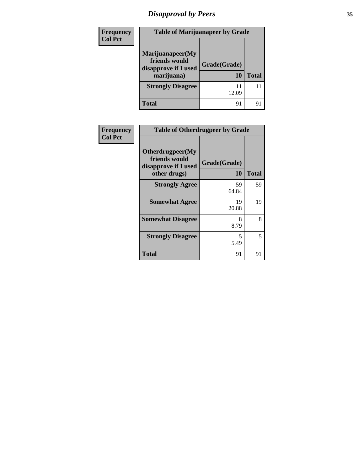# *Disapproval by Peers* **35**

| Frequency<br><b>Col Pct</b> | <b>Table of Marijuanapeer by Grade</b>                                  |                    |              |
|-----------------------------|-------------------------------------------------------------------------|--------------------|--------------|
|                             | Marijuanapeer(My<br>friends would<br>disapprove if I used<br>marijuana) | Grade(Grade)<br>10 | <b>Total</b> |
|                             | <b>Strongly Disagree</b>                                                | 11<br>12.09        | 11           |
|                             | <b>Total</b>                                                            | 91                 | 91           |

| Frequency<br><b>Col Pct</b> | <b>Table of Otherdrugpeer by Grade</b>                                    |                    |              |
|-----------------------------|---------------------------------------------------------------------------|--------------------|--------------|
|                             | Otherdrugpeer(My<br>friends would<br>disapprove if I used<br>other drugs) | Grade(Grade)<br>10 | <b>Total</b> |
|                             | <b>Strongly Agree</b>                                                     | 59<br>64.84        | 59           |
|                             | <b>Somewhat Agree</b>                                                     | 19<br>20.88        | 19           |
|                             | <b>Somewhat Disagree</b>                                                  | 8<br>8.79          | 8            |
|                             | <b>Strongly Disagree</b>                                                  | 5<br>5.49          | 5            |
|                             | <b>Total</b>                                                              | 91                 | 91           |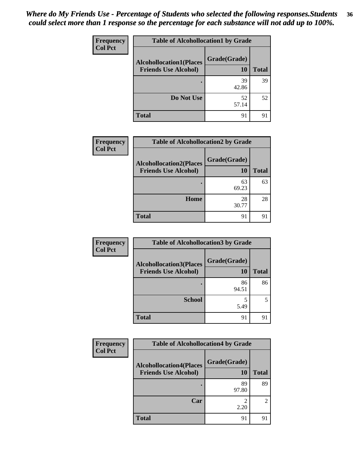#### *Where do My Friends Use - Percentage of Students who selected the following responses.Students could select more than 1 response so the percentage for each substance will not add up to 100%.* **36**

| <b>Frequency</b> | <b>Table of Alcohollocation1 by Grade</b> |              |              |
|------------------|-------------------------------------------|--------------|--------------|
| <b>Col Pct</b>   | <b>Alcohollocation1(Places</b>            | Grade(Grade) |              |
|                  | <b>Friends Use Alcohol)</b>               | 10           | <b>Total</b> |
|                  |                                           | 39<br>42.86  | 39           |
|                  | Do Not Use                                | 52<br>57.14  | 52           |
|                  | <b>Total</b>                              | 91           | 91           |

| Frequency      | <b>Table of Alcohollocation2 by Grade</b>                     |                    |              |
|----------------|---------------------------------------------------------------|--------------------|--------------|
| <b>Col Pct</b> | <b>Alcohollocation2(Places</b><br><b>Friends Use Alcohol)</b> | Grade(Grade)<br>10 | <b>Total</b> |
|                |                                                               | 63<br>69.23        | 63           |
|                | Home                                                          | 28<br>30.77        | 28           |
|                | <b>Total</b>                                                  | 91                 | 91           |

| Frequency      | <b>Table of Alcohollocation 3 by Grade</b>                    |                    |              |
|----------------|---------------------------------------------------------------|--------------------|--------------|
| <b>Col Pct</b> | <b>Alcohollocation3(Places</b><br><b>Friends Use Alcohol)</b> | Grade(Grade)<br>10 | <b>Total</b> |
|                |                                                               | 86<br>94.51        | 86           |
|                | <b>School</b>                                                 | 5.49               |              |
|                | <b>Total</b>                                                  | 91                 | 91           |

| <b>Frequency</b> | <b>Table of Alcohollocation4 by Grade</b>                     |                    |              |
|------------------|---------------------------------------------------------------|--------------------|--------------|
| <b>Col Pct</b>   | <b>Alcohollocation4(Places</b><br><b>Friends Use Alcohol)</b> | Grade(Grade)<br>10 | <b>Total</b> |
|                  |                                                               | 89<br>97.80        | 89           |
|                  | Car                                                           | 2.20               | 2            |
|                  | <b>Total</b>                                                  | 91                 | 91           |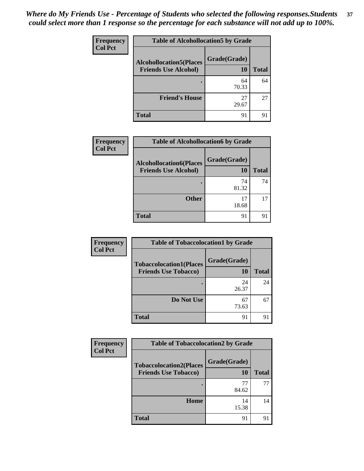| Frequency      | <b>Table of Alcohollocation5 by Grade</b> |              |              |
|----------------|-------------------------------------------|--------------|--------------|
| <b>Col Pct</b> | <b>Alcohollocation5(Places</b>            | Grade(Grade) |              |
|                | <b>Friends Use Alcohol)</b>               | 10           | <b>Total</b> |
|                |                                           | 64<br>70.33  | 64           |
|                | <b>Friend's House</b>                     | 27<br>29.67  | 27           |
|                | <b>Total</b>                              | 91           | 91           |

| <b>Frequency</b> | <b>Table of Alcohollocation6 by Grade</b>                     |                    |              |
|------------------|---------------------------------------------------------------|--------------------|--------------|
| <b>Col Pct</b>   | <b>Alcohollocation6(Places</b><br><b>Friends Use Alcohol)</b> | Grade(Grade)<br>10 | <b>Total</b> |
|                  |                                                               | 74<br>81.32        | 74           |
|                  | <b>Other</b>                                                  | 17<br>18.68        | 17           |
|                  | <b>Total</b>                                                  | 91                 | 91           |

| <b>Frequency</b> | <b>Table of Tobaccolocation1 by Grade</b>                     |                    |              |
|------------------|---------------------------------------------------------------|--------------------|--------------|
| <b>Col Pct</b>   | <b>Tobaccolocation1(Places</b><br><b>Friends Use Tobacco)</b> | Grade(Grade)<br>10 | <b>Total</b> |
|                  |                                                               | 24<br>26.37        | 24           |
|                  | Do Not Use                                                    | 67<br>73.63        | 67           |
|                  | <b>Total</b>                                                  | 91                 | 91           |

| Frequency      | <b>Table of Tobaccolocation2 by Grade</b>                     |                    |              |
|----------------|---------------------------------------------------------------|--------------------|--------------|
| <b>Col Pct</b> | <b>Tobaccolocation2(Places</b><br><b>Friends Use Tobacco)</b> | Grade(Grade)<br>10 | <b>Total</b> |
|                |                                                               | 77<br>84.62        | 77           |
|                | <b>Home</b>                                                   | 14<br>15.38        | 14           |
|                | <b>Total</b>                                                  | 91                 |              |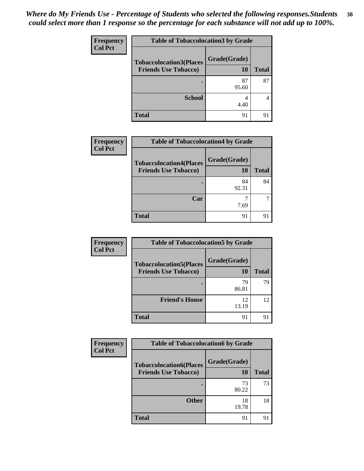| Frequency      | <b>Table of Tobaccolocation 3 by Grade</b> |              |              |
|----------------|--------------------------------------------|--------------|--------------|
| <b>Col Pct</b> | <b>Tobaccolocation3(Places</b>             | Grade(Grade) |              |
|                | <b>Friends Use Tobacco)</b>                | 10           | <b>Total</b> |
|                |                                            | 87<br>95.60  | 87           |
|                | <b>School</b>                              | 4.40         |              |
|                | <b>Total</b>                               | 91           | 91           |

| <b>Frequency</b> | <b>Table of Tobaccolocation4 by Grade</b>                     |                           |              |
|------------------|---------------------------------------------------------------|---------------------------|--------------|
| <b>Col Pct</b>   | <b>Tobaccolocation4(Places</b><br><b>Friends Use Tobacco)</b> | Grade(Grade)<br><b>10</b> | <b>Total</b> |
|                  |                                                               | 84<br>92.31               | 84           |
|                  | Car                                                           | 7.69                      |              |
|                  | <b>Total</b>                                                  | 91                        | 91           |

| <b>Frequency</b> | <b>Table of Tobaccolocation5 by Grade</b>                     |                    |              |
|------------------|---------------------------------------------------------------|--------------------|--------------|
| <b>Col Pct</b>   | <b>Tobaccolocation5(Places</b><br><b>Friends Use Tobacco)</b> | Grade(Grade)<br>10 | <b>Total</b> |
|                  |                                                               | 79<br>86.81        | 79           |
|                  | <b>Friend's House</b>                                         | 12<br>13.19        | 12           |
|                  | <b>Total</b>                                                  | 91                 | 91           |

| <b>Frequency</b> | <b>Table of Tobaccolocation6 by Grade</b>                     |                    |       |
|------------------|---------------------------------------------------------------|--------------------|-------|
| <b>Col Pct</b>   | <b>Tobaccolocation6(Places</b><br><b>Friends Use Tobacco)</b> | Grade(Grade)<br>10 | Total |
|                  |                                                               | 73<br>80.22        | 73    |
|                  | <b>Other</b>                                                  | 18<br>19.78        | 18    |
|                  | Total                                                         | 91                 | 91    |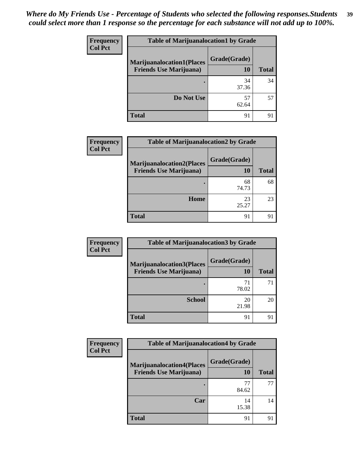| <b>Frequency</b> | <b>Table of Marijuanalocation1 by Grade</b> |              |              |
|------------------|---------------------------------------------|--------------|--------------|
| <b>Col Pct</b>   | <b>Marijuanalocation1(Places</b>            | Grade(Grade) |              |
|                  | <b>Friends Use Marijuana</b> )              | 10           | <b>Total</b> |
|                  | ٠                                           | 34<br>37.36  | 34           |
|                  | Do Not Use                                  | 57<br>62.64  | 57           |
|                  | <b>Total</b>                                | 91           |              |

| <b>Frequency</b> | <b>Table of Marijuanalocation2 by Grade</b>                        |                    |              |
|------------------|--------------------------------------------------------------------|--------------------|--------------|
| <b>Col Pct</b>   | <b>Marijuanalocation2(Places</b><br><b>Friends Use Marijuana</b> ) | Grade(Grade)<br>10 | <b>Total</b> |
|                  |                                                                    | 68<br>74.73        | 68           |
|                  | Home                                                               | 23<br>25.27        | 23           |
|                  | <b>Total</b>                                                       | 91                 | 91           |

| Frequency<br><b>Col Pct</b> | <b>Table of Marijuanalocation3 by Grade</b>                        |                    |              |
|-----------------------------|--------------------------------------------------------------------|--------------------|--------------|
|                             | <b>Marijuanalocation3(Places</b><br><b>Friends Use Marijuana</b> ) | Grade(Grade)<br>10 | <b>Total</b> |
|                             |                                                                    | 71<br>78.02        | 71           |
|                             | <b>School</b>                                                      | 20<br>21.98        | 20           |
|                             | <b>Total</b>                                                       | 91                 | 91           |

| Frequency      | <b>Table of Marijuanalocation4 by Grade</b>                        |                    |              |
|----------------|--------------------------------------------------------------------|--------------------|--------------|
| <b>Col Pct</b> | <b>Marijuanalocation4(Places</b><br><b>Friends Use Marijuana</b> ) | Grade(Grade)<br>10 | <b>Total</b> |
|                |                                                                    | 77<br>84.62        | 77           |
|                | Car                                                                | 14<br>15.38        | 14           |
|                | <b>Total</b>                                                       | 91                 | 91           |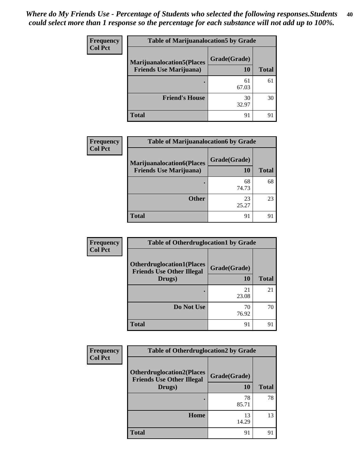| <b>Frequency</b> | <b>Table of Marijuanalocation5 by Grade</b> |              |              |
|------------------|---------------------------------------------|--------------|--------------|
| <b>Col Pct</b>   | <b>Marijuanalocation5(Places</b>            | Grade(Grade) |              |
|                  | <b>Friends Use Marijuana</b> )              | 10           | <b>Total</b> |
|                  |                                             | 61<br>67.03  | 61           |
|                  | <b>Friend's House</b>                       | 30<br>32.97  | 30           |
|                  | <b>Total</b>                                | 91           | 91           |

| <b>Frequency</b> | <b>Table of Marijuanalocation6 by Grade</b>                        |                    |              |
|------------------|--------------------------------------------------------------------|--------------------|--------------|
| <b>Col Pct</b>   | <b>Marijuanalocation6(Places</b><br><b>Friends Use Marijuana</b> ) | Grade(Grade)<br>10 | <b>Total</b> |
|                  |                                                                    | 68<br>74.73        | 68           |
|                  | <b>Other</b>                                                       | 23<br>25.27        | 23           |
|                  | <b>Total</b>                                                       | 91                 | 91           |

| Frequency      | <b>Table of Otherdruglocation1 by Grade</b>                          |              |              |
|----------------|----------------------------------------------------------------------|--------------|--------------|
| <b>Col Pct</b> | <b>Otherdruglocation1(Places</b><br><b>Friends Use Other Illegal</b> | Grade(Grade) |              |
|                | Drugs)                                                               | <b>10</b>    | <b>Total</b> |
|                |                                                                      | 21<br>23.08  | 21           |
|                | Do Not Use                                                           | 70<br>76.92  | 70           |
|                | <b>Total</b>                                                         | 91           | 91           |

| Frequency      | <b>Table of Otherdruglocation2 by Grade</b>                          |              |              |
|----------------|----------------------------------------------------------------------|--------------|--------------|
| <b>Col Pct</b> | <b>Otherdruglocation2(Places</b><br><b>Friends Use Other Illegal</b> | Grade(Grade) |              |
|                | Drugs)                                                               | 10           | <b>Total</b> |
|                |                                                                      | 78<br>85.71  | 78           |
|                | Home                                                                 | 13<br>14.29  | 13           |
|                | <b>Total</b>                                                         | 91           | 91           |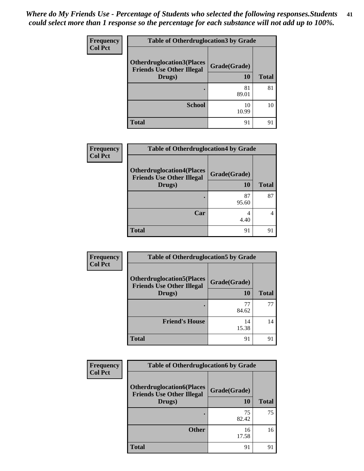| <b>Frequency</b> | <b>Table of Otherdruglocation3 by Grade</b>                                    |                    |              |
|------------------|--------------------------------------------------------------------------------|--------------------|--------------|
| <b>Col Pct</b>   | <b>Otherdruglocation3(Places</b><br><b>Friends Use Other Illegal</b><br>Drugs) | Grade(Grade)<br>10 | <b>Total</b> |
|                  |                                                                                | 81<br>89.01        | 81           |
|                  | <b>School</b>                                                                  | 10<br>10.99        | 10           |
|                  | <b>Total</b>                                                                   | 91                 | 91           |

| Frequency      | <b>Table of Otherdruglocation4 by Grade</b>                                    |                    |              |
|----------------|--------------------------------------------------------------------------------|--------------------|--------------|
| <b>Col Pct</b> | <b>Otherdruglocation4(Places</b><br><b>Friends Use Other Illegal</b><br>Drugs) | Grade(Grade)<br>10 | <b>Total</b> |
|                |                                                                                | 87<br>95.60        | 87           |
|                | Car                                                                            | 4<br>4.40          |              |
|                | <b>Total</b>                                                                   | 91                 | 91           |

| Frequency<br><b>Col Pct</b> | <b>Table of Otherdruglocation5 by Grade</b>                                    |                    |              |
|-----------------------------|--------------------------------------------------------------------------------|--------------------|--------------|
|                             | <b>Otherdruglocation5(Places</b><br><b>Friends Use Other Illegal</b><br>Drugs) | Grade(Grade)<br>10 | <b>Total</b> |
|                             |                                                                                | 77<br>84.62        | 77           |
|                             | <b>Friend's House</b>                                                          | 14<br>15.38        | 14           |
|                             | <b>Total</b>                                                                   | 91                 | 91           |

| Frequency      | <b>Table of Otherdruglocation6 by Grade</b>                                    |                           |              |
|----------------|--------------------------------------------------------------------------------|---------------------------|--------------|
| <b>Col Pct</b> | <b>Otherdruglocation6(Places</b><br><b>Friends Use Other Illegal</b><br>Drugs) | Grade(Grade)<br><b>10</b> | <b>Total</b> |
|                |                                                                                | 75<br>82.42               | 75           |
|                | <b>Other</b>                                                                   | 16<br>17.58               | 16           |
|                | <b>Total</b>                                                                   | 91                        | 91           |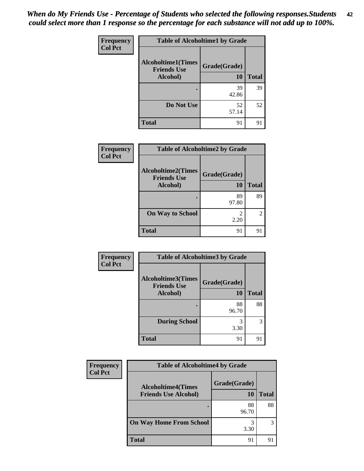| Frequency      | <b>Table of Alcoholtime1 by Grade</b>           |              |              |
|----------------|-------------------------------------------------|--------------|--------------|
| <b>Col Pct</b> | <b>Alcoholtime1(Times</b><br><b>Friends Use</b> | Grade(Grade) |              |
|                | Alcohol)                                        | 10           | <b>Total</b> |
|                |                                                 | 39           | 39           |
|                |                                                 | 42.86        |              |
|                | Do Not Use                                      | 52           | 52           |
|                |                                                 | 57.14        |              |
|                | <b>Total</b>                                    | 91           | 91           |

| Frequency<br><b>Col Pct</b> | <b>Table of Alcoholtime2 by Grade</b>           |              |              |
|-----------------------------|-------------------------------------------------|--------------|--------------|
|                             | <b>Alcoholtime2(Times</b><br><b>Friends Use</b> | Grade(Grade) |              |
|                             | Alcohol)                                        | 10           | <b>Total</b> |
|                             |                                                 | 89<br>97.80  | 89           |
|                             | <b>On Way to School</b>                         | 2.20         | $2^{\circ}$  |
|                             | <b>Total</b>                                    | 91           | 91           |

| Frequency      | <b>Table of Alcoholtime3 by Grade</b>           |              |              |
|----------------|-------------------------------------------------|--------------|--------------|
| <b>Col Pct</b> | <b>Alcoholtime3(Times</b><br><b>Friends Use</b> | Grade(Grade) |              |
|                | Alcohol)                                        | 10           | <b>Total</b> |
|                |                                                 | 88<br>96.70  | 88           |
|                | <b>During School</b>                            | 3<br>3.30    | 3            |
|                | <b>Total</b>                                    | 91           | 91           |

| Frequency<br><b>Col Pct</b> | <b>Table of Alcoholtime4 by Grade</b> |              |       |
|-----------------------------|---------------------------------------|--------------|-------|
|                             | <b>Alcoholtime4(Times</b>             | Grade(Grade) |       |
|                             | <b>Friends Use Alcohol)</b>           | 10           | Total |
|                             |                                       | 88<br>96.70  | 88    |
|                             | <b>On Way Home From School</b>        | 3<br>3.30    | 3     |
|                             | <b>Total</b>                          | 91           | 9.    |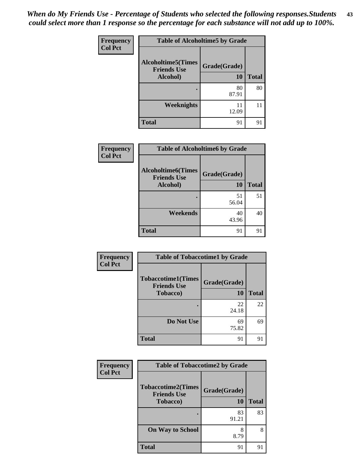| <b>Frequency</b> | <b>Table of Alcoholtime5 by Grade</b>           |              |              |
|------------------|-------------------------------------------------|--------------|--------------|
| <b>Col Pct</b>   | <b>Alcoholtime5(Times</b><br><b>Friends Use</b> | Grade(Grade) |              |
|                  | Alcohol)                                        | 10           | <b>Total</b> |
|                  |                                                 | 80<br>87.91  | 80           |
|                  | Weeknights                                      | 11<br>12.09  | 11           |
|                  | <b>Total</b>                                    | 91           | 91           |

| Frequency      | <b>Table of Alcoholtime6 by Grade</b>           |              |              |
|----------------|-------------------------------------------------|--------------|--------------|
| <b>Col Pct</b> | <b>Alcoholtime6(Times</b><br><b>Friends Use</b> | Grade(Grade) |              |
|                | Alcohol)                                        | 10           | <b>Total</b> |
|                |                                                 | 51<br>56.04  | 51           |
|                | Weekends                                        | 40<br>43.96  | 40           |
|                | <b>Total</b>                                    | 91           | 91           |

| Frequency      | <b>Table of Tobaccotime1 by Grade</b>           |              |              |
|----------------|-------------------------------------------------|--------------|--------------|
| <b>Col Pct</b> | <b>Tobaccotime1(Times</b><br><b>Friends Use</b> | Grade(Grade) |              |
|                | <b>Tobacco</b> )                                | <b>10</b>    | <b>Total</b> |
|                |                                                 | 22<br>24.18  | 22           |
|                | Do Not Use                                      | 69<br>75.82  | 69           |
|                | <b>Total</b>                                    | 91           | 91           |

| Frequency      | <b>Table of Tobaccotime2 by Grade</b>           |              |              |
|----------------|-------------------------------------------------|--------------|--------------|
| <b>Col Pct</b> | <b>Tobaccotime2(Times</b><br><b>Friends Use</b> | Grade(Grade) |              |
|                | <b>Tobacco</b> )                                | 10           | <b>Total</b> |
|                |                                                 | 83<br>91.21  | 83           |
|                | <b>On Way to School</b>                         | 8.79         | 8            |
|                | <b>Total</b>                                    | 91           | 91           |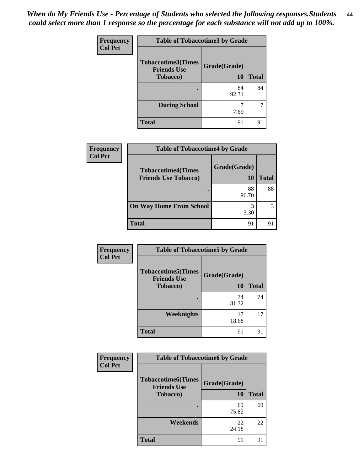| Frequency      | <b>Table of Tobaccotime3 by Grade</b>           |              |              |
|----------------|-------------------------------------------------|--------------|--------------|
| <b>Col Pct</b> | <b>Tobaccotime3(Times</b><br><b>Friends Use</b> | Grade(Grade) |              |
|                | <b>Tobacco</b> )                                | 10           | <b>Total</b> |
|                |                                                 | 84<br>92.31  | 84           |
|                | <b>During School</b>                            | 7.69         |              |
|                | <b>Total</b>                                    | 91           | 91           |

| <b>Frequency</b> | <b>Table of Tobaccotime4 by Grade</b>                    |                    |              |
|------------------|----------------------------------------------------------|--------------------|--------------|
| <b>Col Pct</b>   | <b>Tobaccotime4(Times</b><br><b>Friends Use Tobacco)</b> | Grade(Grade)<br>10 | <b>Total</b> |
|                  |                                                          | 88<br>96.70        | 88           |
|                  | <b>On Way Home From School</b>                           | 3.30               | 3            |
|                  | <b>Total</b>                                             | 91                 | 91           |

| Frequency      | <b>Table of Tobaccotime5 by Grade</b>           |              |              |
|----------------|-------------------------------------------------|--------------|--------------|
| <b>Col Pct</b> | <b>Tobaccotime5(Times</b><br><b>Friends Use</b> | Grade(Grade) |              |
|                | <b>Tobacco</b> )                                | 10           | <b>Total</b> |
|                |                                                 | 74<br>81.32  | 74           |
|                | <b>Weeknights</b>                               | 17<br>18.68  | 17           |
|                | <b>Total</b>                                    | 91           | 91           |

| <b>Frequency</b> | <b>Table of Tobaccotime6 by Grade</b>                               |                    |              |
|------------------|---------------------------------------------------------------------|--------------------|--------------|
| <b>Col Pct</b>   | <b>Tobaccotime6(Times</b><br><b>Friends Use</b><br><b>Tobacco</b> ) | Grade(Grade)<br>10 | <b>Total</b> |
|                  |                                                                     | 69<br>75.82        | 69           |
|                  | Weekends                                                            | 22<br>24.18        | 22           |
|                  | <b>Total</b>                                                        | 91                 | 91           |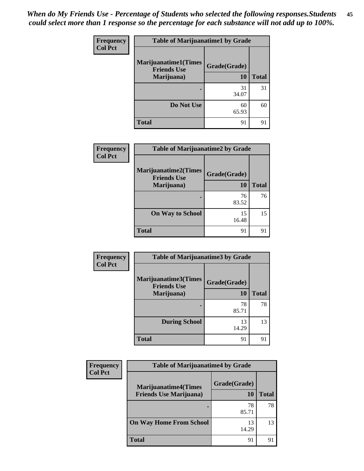*When do My Friends Use - Percentage of Students who selected the following responses.Students could select more than 1 response so the percentage for each substance will not add up to 100%.* **45**

| <b>Frequency</b> | <b>Table of Marijuanatime1 by Grade</b>           |              |              |
|------------------|---------------------------------------------------|--------------|--------------|
| <b>Col Pct</b>   | <b>Marijuanatime1(Times</b><br><b>Friends Use</b> | Grade(Grade) |              |
|                  | Marijuana)                                        | 10           | <b>Total</b> |
|                  |                                                   | 31<br>34.07  | 31           |
|                  | Do Not Use                                        | 60<br>65.93  | 60           |
|                  | <b>Total</b>                                      | 91           | 91           |

| Frequency      | <b>Table of Marijuanatime2 by Grade</b>           |              |              |
|----------------|---------------------------------------------------|--------------|--------------|
| <b>Col Pct</b> | <b>Marijuanatime2(Times</b><br><b>Friends Use</b> | Grade(Grade) |              |
|                | Marijuana)                                        | 10           | <b>Total</b> |
|                |                                                   | 76<br>83.52  | 76           |
|                | <b>On Way to School</b>                           | 15<br>16.48  | 15           |
|                | <b>Total</b>                                      | 91           | 91           |

| Frequency      | <b>Table of Marijuanatime3 by Grade</b>    |              |              |
|----------------|--------------------------------------------|--------------|--------------|
| <b>Col Pct</b> | Marijuanatime3(Times<br><b>Friends Use</b> | Grade(Grade) |              |
|                | Marijuana)                                 | 10           | <b>Total</b> |
|                |                                            | 78<br>85.71  | 78           |
|                | <b>During School</b>                       | 13<br>14.29  | 13           |
|                | <b>Total</b>                               | 91           | 91           |

| <b>Frequency</b> | <b>Table of Marijuanatime4 by Grade</b> |              |              |
|------------------|-----------------------------------------|--------------|--------------|
| <b>Col Pct</b>   | <b>Marijuanatime4(Times</b>             | Grade(Grade) |              |
|                  | <b>Friends Use Marijuana</b> )          | 10           | <b>Total</b> |
|                  |                                         | 78<br>85.71  | 78           |
|                  | <b>On Way Home From School</b>          | 13<br>14.29  | 13           |
|                  | <b>Total</b>                            | 91           | 91           |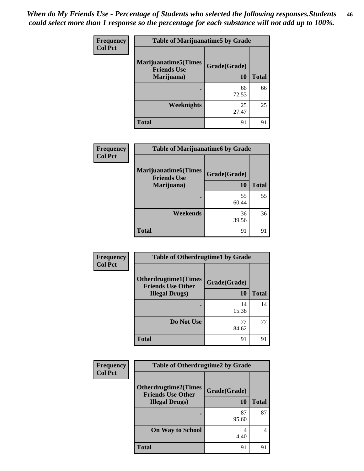| Frequency      | <b>Table of Marijuanatime5 by Grade</b>            |              |              |
|----------------|----------------------------------------------------|--------------|--------------|
| <b>Col Pct</b> | <b>Marijuanatime5</b> (Times<br><b>Friends Use</b> | Grade(Grade) |              |
|                | Marijuana)                                         | <b>10</b>    | <b>Total</b> |
|                |                                                    | 66<br>72.53  | 66           |
|                | <b>Weeknights</b>                                  | 25<br>27.47  | 25           |
|                | <b>Total</b>                                       | 91           | 91           |

| Frequency | <b>Table of Marijuanatime6 by Grade</b>                         |                           |              |
|-----------|-----------------------------------------------------------------|---------------------------|--------------|
| Col Pct   | <b>Marijuanatime6(Times</b><br><b>Friends Use</b><br>Marijuana) | Grade(Grade)<br><b>10</b> | <b>Total</b> |
|           |                                                                 | 55<br>60.44               | 55           |
|           | Weekends                                                        | 36<br>39.56               | 36           |
|           | <b>Total</b>                                                    | 91                        | 91           |

| Frequency      | <b>Table of Otherdrugtime1 by Grade</b>                  |              |              |
|----------------|----------------------------------------------------------|--------------|--------------|
| <b>Col Pct</b> | <b>Otherdrugtime1</b> (Times<br><b>Friends Use Other</b> | Grade(Grade) |              |
|                | <b>Illegal Drugs</b> )                                   | 10           | <b>Total</b> |
|                |                                                          | 14<br>15.38  | 14           |
|                | Do Not Use                                               | 77<br>84.62  | 77           |
|                | <b>Total</b>                                             | 91           | 91           |

| Frequency      | <b>Table of Otherdrugtime2 by Grade</b>                                           |                           |              |
|----------------|-----------------------------------------------------------------------------------|---------------------------|--------------|
| <b>Col Pct</b> | <b>Otherdrugtime2(Times</b><br><b>Friends Use Other</b><br><b>Illegal Drugs</b> ) | Grade(Grade)<br><b>10</b> | <b>Total</b> |
|                |                                                                                   | 87<br>95.60               | 87           |
|                | <b>On Way to School</b>                                                           | 4<br>4.40                 | 4            |
|                | <b>Total</b>                                                                      | 91                        | 91           |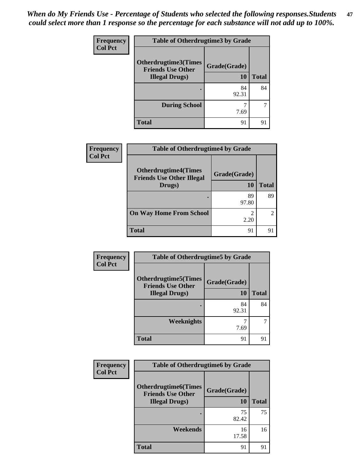| Frequency      | <b>Table of Otherdrugtime3 by Grade</b>          |              |              |
|----------------|--------------------------------------------------|--------------|--------------|
| <b>Col Pct</b> | Otherdrugtime3(Times<br><b>Friends Use Other</b> | Grade(Grade) |              |
|                | <b>Illegal Drugs</b> )                           | 10           | <b>Total</b> |
|                |                                                  | 84<br>92.31  | 84           |
|                | <b>During School</b>                             | 7.69         |              |
|                | <b>Total</b>                                     | 91           | 91           |

| <b>Frequency</b> | <b>Table of Otherdrugtime4 by Grade</b>                         |                    |              |  |  |
|------------------|-----------------------------------------------------------------|--------------------|--------------|--|--|
| <b>Col Pct</b>   | <b>Otherdrugtime4(Times</b><br><b>Friends Use Other Illegal</b> | Grade(Grade)<br>10 | <b>Total</b> |  |  |
|                  | Drugs)                                                          |                    |              |  |  |
|                  |                                                                 | 89<br>97.80        | 89           |  |  |
|                  | <b>On Way Home From School</b>                                  | 2.20               | っ            |  |  |
|                  | <b>Total</b>                                                    | 91                 | 91           |  |  |

| Frequency      | <b>Table of Otherdrugtime5 by Grade</b>                 |              |              |
|----------------|---------------------------------------------------------|--------------|--------------|
| <b>Col Pct</b> | <b>Otherdrugtime5(Times</b><br><b>Friends Use Other</b> | Grade(Grade) |              |
|                | <b>Illegal Drugs)</b>                                   | 10           | <b>Total</b> |
|                |                                                         | 84<br>92.31  | 84           |
|                | Weeknights                                              | 7.69         |              |
|                | <b>Total</b>                                            | 91           | 91           |

| <b>Frequency</b> | <b>Table of Otherdrugtime6 by Grade</b>                                           |                    |              |
|------------------|-----------------------------------------------------------------------------------|--------------------|--------------|
| <b>Col Pct</b>   | <b>Otherdrugtime6(Times</b><br><b>Friends Use Other</b><br><b>Illegal Drugs</b> ) | Grade(Grade)<br>10 | <b>Total</b> |
|                  |                                                                                   | 75<br>82.42        | 75           |
|                  | Weekends                                                                          | 16<br>17.58        | 16           |
|                  | <b>Total</b>                                                                      | 91                 | 91           |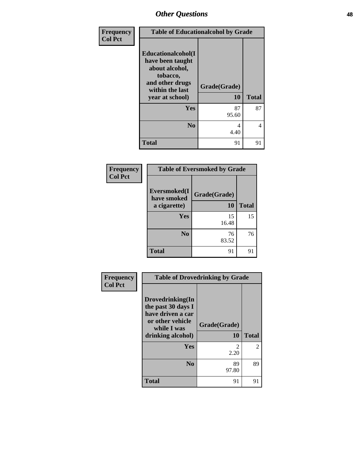| Frequency<br><b>Col Pct</b> | <b>Table of Educationalcohol by Grade</b>                                                                                     |                           |              |
|-----------------------------|-------------------------------------------------------------------------------------------------------------------------------|---------------------------|--------------|
|                             | Educationalcohol(I<br>have been taught<br>about alcohol,<br>tobacco,<br>and other drugs<br>within the last<br>year at school) | Grade(Grade)<br><b>10</b> | <b>Total</b> |
|                             | Yes                                                                                                                           | 87<br>95.60               | 87           |
|                             | N <sub>0</sub>                                                                                                                | 4<br>4.40                 | 4            |
|                             | <b>Total</b>                                                                                                                  | 91                        | 91           |

| Frequency      | <b>Table of Eversmoked by Grade</b> |              |              |
|----------------|-------------------------------------|--------------|--------------|
| <b>Col Pct</b> | Eversmoked(I)<br>have smoked        | Grade(Grade) |              |
|                | a cigarette)                        | 10           | <b>Total</b> |
|                | Yes                                 | 15<br>16.48  | 15           |
|                | N <sub>0</sub>                      | 76<br>83.52  | 76           |
|                | <b>Total</b>                        | 91           | 91           |

| Frequency      | <b>Table of Drovedrinking by Grade</b>                                                                              |                        |                |
|----------------|---------------------------------------------------------------------------------------------------------------------|------------------------|----------------|
| <b>Col Pct</b> | Drovedrinking(In<br>the past 30 days I<br>have driven a car<br>or other vehicle<br>while I was<br>drinking alcohol) | Grade(Grade)<br>10     | <b>Total</b>   |
|                | <b>Yes</b>                                                                                                          | $\mathfrak{D}$<br>2.20 | $\overline{2}$ |
|                | N <sub>0</sub>                                                                                                      | 89<br>97.80            | 89             |
|                | <b>Total</b>                                                                                                        | 91                     | 91             |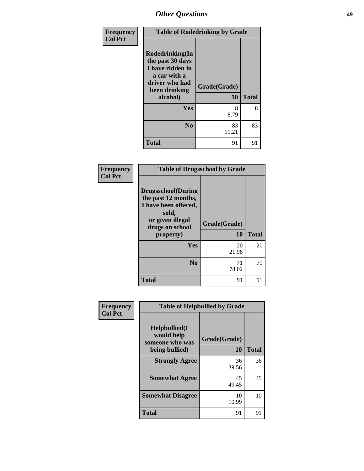| Frequency      | <b>Table of Rodedrinking by Grade</b>                                                                                  |                           |              |
|----------------|------------------------------------------------------------------------------------------------------------------------|---------------------------|--------------|
| <b>Col Pct</b> | Rodedrinking(In<br>the past 30 days<br>I have ridden in<br>a car with a<br>driver who had<br>been drinking<br>alcohol) | Grade(Grade)<br><b>10</b> | <b>Total</b> |
|                | Yes                                                                                                                    | 8<br>8.79                 | 8            |
|                | N <sub>0</sub>                                                                                                         | 83<br>91.21               | 83           |
|                | <b>Total</b>                                                                                                           | 91                        | 91           |

#### **Frequency Col Pct**

|                                                                                                        | <b>Table of Drugsschool by Grade</b> |              |
|--------------------------------------------------------------------------------------------------------|--------------------------------------|--------------|
| <b>Drugsschool</b> (During<br>the past 12 months,<br>I have been offered,<br>sold,<br>or given illegal | Grade(Grade)                         |              |
| drugs on school                                                                                        |                                      |              |
| property)                                                                                              | 10                                   | <b>Total</b> |
| Yes                                                                                                    | 20                                   | 20           |
|                                                                                                        | 21.98                                |              |
| N <sub>0</sub>                                                                                         | 71                                   | 71           |
|                                                                                                        | 78.02                                |              |

| <b>Frequency</b> | <b>Table of Helpbullied by Grade</b>           |              |              |  |  |
|------------------|------------------------------------------------|--------------|--------------|--|--|
| <b>Col Pct</b>   | Helpbullied(I<br>would help<br>someone who was | Grade(Grade) |              |  |  |
|                  | being bullied)                                 | 10           | <b>Total</b> |  |  |
|                  | <b>Strongly Agree</b>                          | 36<br>39.56  | 36           |  |  |
|                  | <b>Somewhat Agree</b>                          | 45<br>49.45  | 45           |  |  |
|                  | <b>Somewhat Disagree</b>                       | 10<br>10.99  | 10           |  |  |
|                  | <b>Total</b>                                   | 91           | 91           |  |  |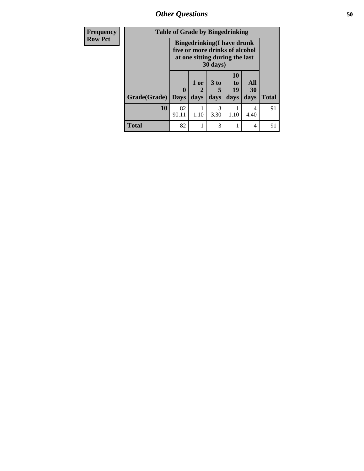| Frequency      | <b>Table of Grade by Bingedrinking</b> |                                                                                                                            |                   |                         |                        |                   |              |
|----------------|----------------------------------------|----------------------------------------------------------------------------------------------------------------------------|-------------------|-------------------------|------------------------|-------------------|--------------|
| <b>Row Pct</b> |                                        | <b>Bingedrinking(I have drunk</b><br>five or more drinks of alcohol<br>at one sitting during the last<br>$30 \text{ days}$ |                   |                         |                        |                   |              |
|                | Grade(Grade)                           | $\mathbf{0}$<br>$\vert$ Days                                                                                               | 1 or<br>2<br>days | 3 <sub>to</sub><br>days | 10<br>to<br>19<br>days | All<br>30<br>days | <b>Total</b> |
|                | 10                                     | 82<br>90.11                                                                                                                | 1.10              | 3<br>3.30               | 1.10                   | 4<br>4.40         | 91           |
|                | <b>Total</b>                           | 82                                                                                                                         |                   | 3                       |                        | 4                 | 91           |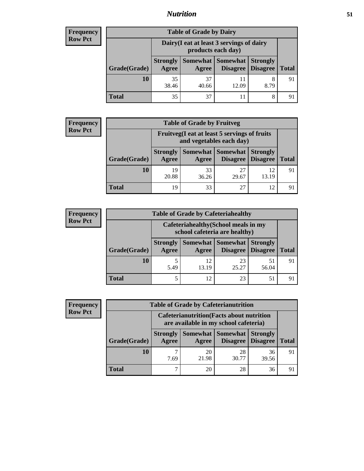## *Nutrition* **51**

## **Frequency Row Pct**

| <b>Table of Grade by Dairy</b> |                                 |                                                                 |                     |                                        |              |  |  |
|--------------------------------|---------------------------------|-----------------------------------------------------------------|---------------------|----------------------------------------|--------------|--|--|
|                                |                                 | Dairy (I eat at least 3 servings of dairy<br>products each day) |                     |                                        |              |  |  |
| Grade(Grade)                   | <b>Strongly</b><br><b>Agree</b> | Agree                                                           | Somewhat   Somewhat | <b>Strongly</b><br>Disagree   Disagree | <b>Total</b> |  |  |
| 10                             | 35<br>38.46                     | 37<br>40.66                                                     | 12.09               | 8<br>8.79                              | 91           |  |  |
| Total                          | 35                              | 37                                                              |                     | 8                                      |              |  |  |

## **Frequency Row Pct**

| y | <b>Table of Grade by Fruitveg</b>                                        |                          |             |                                          |                 |              |  |  |  |
|---|--------------------------------------------------------------------------|--------------------------|-------------|------------------------------------------|-----------------|--------------|--|--|--|
|   | Fruitveg(I eat at least 5 servings of fruits<br>and vegetables each day) |                          |             |                                          |                 |              |  |  |  |
|   | Grade(Grade)                                                             | <b>Strongly</b><br>Agree | Agree       | Somewhat Somewhat<br>Disagree   Disagree | <b>Strongly</b> | <b>Total</b> |  |  |  |
|   | 10                                                                       | 19<br>20.88              | 33<br>36.26 | 27<br>29.67                              | 12<br>13.19     | 91           |  |  |  |
|   | Total                                                                    | 19                       | 33          | 27                                       | 12              |              |  |  |  |

#### **Frequency Row Pct**

| y | <b>Table of Grade by Cafeteriahealthy</b> |                                                                       |             |                   |                                        |              |  |  |
|---|-------------------------------------------|-----------------------------------------------------------------------|-------------|-------------------|----------------------------------------|--------------|--|--|
|   |                                           | Cafeteriahealthy (School meals in my<br>school cafeteria are healthy) |             |                   |                                        |              |  |  |
|   | Grade(Grade)                              | <b>Strongly</b><br>Agree                                              | Agree       | Somewhat Somewhat | <b>Strongly</b><br>Disagree   Disagree | <b>Total</b> |  |  |
|   | 10                                        | 5.49                                                                  | 12<br>13.19 | 23<br>25.27       | 51<br>56.04                            | 91           |  |  |
|   | <b>Total</b>                              | 5                                                                     | 12          | 23                | 51                                     | 91           |  |  |

#### **Frequency Row Pct**

| <b>Table of Grade by Cafeterianutrition</b> |                                                                                           |             |                               |                                    |              |  |  |
|---------------------------------------------|-------------------------------------------------------------------------------------------|-------------|-------------------------------|------------------------------------|--------------|--|--|
|                                             | <b>Cafeterianutrition</b> (Facts about nutrition<br>are available in my school cafeteria) |             |                               |                                    |              |  |  |
| Grade(Grade)                                | <b>Strongly</b><br>Agree                                                                  | Agree       | Somewhat Somewhat<br>Disagree | <b>Strongly</b><br><b>Disagree</b> | <b>Total</b> |  |  |
| 10                                          | 7.69                                                                                      | 20<br>21.98 | 28<br>30.77                   | 36<br>39.56                        | 91           |  |  |
| <b>Total</b>                                |                                                                                           | 20          | 28                            | 36                                 | 91           |  |  |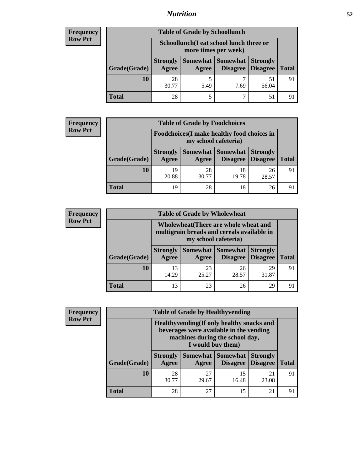## *Nutrition* **52**

## **Frequency Row Pct**

| <b>Table of Grade by Schoollunch</b> |                                 |                                                                 |                     |                                        |              |  |  |
|--------------------------------------|---------------------------------|-----------------------------------------------------------------|---------------------|----------------------------------------|--------------|--|--|
|                                      |                                 | Schoollunch(I eat school lunch three or<br>more times per week) |                     |                                        |              |  |  |
| Grade(Grade)                         | <b>Strongly</b><br><b>Agree</b> | Agree                                                           | Somewhat   Somewhat | <b>Strongly</b><br>Disagree   Disagree | <b>Total</b> |  |  |
| 10                                   | 28<br>30.77                     | 5.49                                                            | 7.69                | 51<br>56.04                            | 91           |  |  |
| Total                                | 28                              |                                                                 |                     | 51                                     |              |  |  |

## **Frequency Row Pct**

| <b>y</b> | <b>Table of Grade by Foodchoices</b><br>Foodchoices (I make healthy food choices in<br>my school cafeteria) |                          |             |                                          |                 |              |  |  |
|----------|-------------------------------------------------------------------------------------------------------------|--------------------------|-------------|------------------------------------------|-----------------|--------------|--|--|
|          |                                                                                                             |                          |             |                                          |                 |              |  |  |
|          | Grade(Grade)                                                                                                | <b>Strongly</b><br>Agree | Agree       | Somewhat Somewhat<br>Disagree   Disagree | <b>Strongly</b> | <b>Total</b> |  |  |
|          | 10                                                                                                          | 19<br>20.88              | 28<br>30.77 | 18<br>19.78                              | 26<br>28.57     | 91           |  |  |
|          | Total                                                                                                       | 19                       | 28          | 18                                       | 26              |              |  |  |

#### **Frequency Row Pct**

| <b>icy</b> |              | <b>Table of Grade by Wholewheat</b>                                                                         |                                   |             |                                    |                      |  |  |
|------------|--------------|-------------------------------------------------------------------------------------------------------------|-----------------------------------|-------------|------------------------------------|----------------------|--|--|
|            |              | Wholewheat (There are whole wheat and<br>multigrain breads and cereals available in<br>my school cafeteria) |                                   |             |                                    |                      |  |  |
|            | Grade(Grade) | <b>Strongly</b><br>Agree                                                                                    | <b>Somewhat Somewhat</b><br>Agree | Disagree    | <b>Strongly</b><br><b>Disagree</b> | <b>Total</b>         |  |  |
|            | 10           | 13<br>14.29                                                                                                 | 23<br>25.27                       | 26<br>28.57 | 29<br>31.87                        | 91                   |  |  |
|            | <b>Total</b> | 13                                                                                                          | 23                                | 26          | 29                                 | $\mathbf{Q}^{\circ}$ |  |  |

## **Frequency Row Pct**

٦ п

| <b>Table of Grade by Healthyvending</b> |                          |                                                                                                                                               |                                      |                                    |              |  |  |
|-----------------------------------------|--------------------------|-----------------------------------------------------------------------------------------------------------------------------------------------|--------------------------------------|------------------------------------|--------------|--|--|
|                                         |                          | Healthyvending (If only healthy snacks and<br>beverages were available in the vending<br>machines during the school day,<br>I would buy them) |                                      |                                    |              |  |  |
| Grade(Grade)                            | <b>Strongly</b><br>Agree | Agree                                                                                                                                         | Somewhat Somewhat<br><b>Disagree</b> | <b>Strongly</b><br><b>Disagree</b> | <b>Total</b> |  |  |
| 10                                      | 28<br>30.77              | 27<br>29.67                                                                                                                                   | 15<br>16.48                          | 21<br>23.08                        | 91           |  |  |
| <b>Total</b>                            | 28                       | 27                                                                                                                                            | 15                                   | 21                                 | 91           |  |  |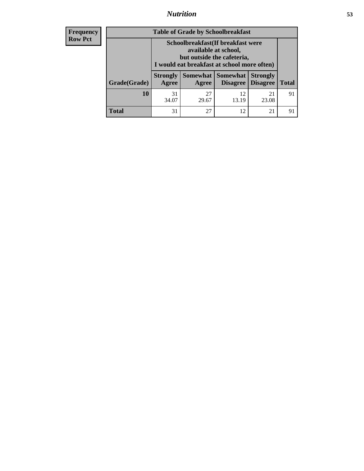## *Nutrition* **53**

| <b>Frequency</b> |  |
|------------------|--|
| Row Pct          |  |

| <b>Table of Grade by Schoolbreakfast</b> |                                                                                                                                         |             |                                   |                                    |              |
|------------------------------------------|-----------------------------------------------------------------------------------------------------------------------------------------|-------------|-----------------------------------|------------------------------------|--------------|
|                                          | Schoolbreakfast (If breakfast were<br>available at school,<br>but outside the cafeteria,<br>I would eat breakfast at school more often) |             |                                   |                                    |              |
| Grade(Grade)                             | <b>Strongly</b><br>Agree                                                                                                                | Agree       | Somewhat   Somewhat  <br>Disagree | <b>Strongly</b><br><b>Disagree</b> | <b>Total</b> |
| 10                                       | 31<br>34.07                                                                                                                             | 27<br>29.67 | 12<br>13.19                       | 21<br>23.08                        | 91           |
| <b>Total</b>                             | 31                                                                                                                                      | 27          | 12                                | 21                                 | 91           |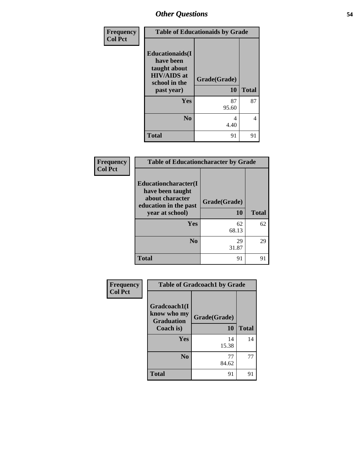| Frequency      | <b>Table of Educationaids by Grade</b>                                                                    |                    |              |
|----------------|-----------------------------------------------------------------------------------------------------------|--------------------|--------------|
| <b>Col Pct</b> | <b>Educationaids</b> (I<br>have been<br>taught about<br><b>HIV/AIDS</b> at<br>school in the<br>past year) | Grade(Grade)<br>10 | <b>Total</b> |
|                | Yes                                                                                                       | 87<br>95.60        | 87           |
|                | N <sub>0</sub>                                                                                            | 4<br>4.40          | 4            |
|                | <b>Total</b>                                                                                              | 91                 | 91           |

| Frequency<br><b>Col Pct</b> | <b>Table of Educationcharacter by Grade</b>                                                             |                    |              |
|-----------------------------|---------------------------------------------------------------------------------------------------------|--------------------|--------------|
|                             | Educationcharacter(I<br>have been taught<br>about character<br>education in the past<br>year at school) | Grade(Grade)<br>10 | <b>Total</b> |
|                             | <b>Yes</b>                                                                                              | 62<br>68.13        | 62           |
|                             | N <sub>0</sub>                                                                                          | 29<br>31.87        | 29           |
|                             | <b>Total</b>                                                                                            | 91                 | 91           |

| Frequency      | <b>Table of Gradcoach1 by Grade</b>              |              |              |  |
|----------------|--------------------------------------------------|--------------|--------------|--|
| <b>Col Pct</b> | Gradcoach1(I<br>know who my<br><b>Graduation</b> | Grade(Grade) |              |  |
|                | Coach is)                                        | <b>10</b>    | <b>Total</b> |  |
|                | Yes                                              | 14<br>15.38  | 14           |  |
|                | N <sub>0</sub>                                   | 77<br>84.62  | 77           |  |
|                | <b>Total</b>                                     | 91           | 91           |  |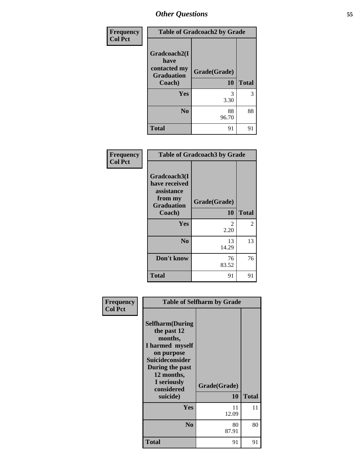| <b>Frequency</b> | <b>Table of Gradcoach2 by Grade</b>                                 |                    |              |  |
|------------------|---------------------------------------------------------------------|--------------------|--------------|--|
| <b>Col Pct</b>   | Gradcoach2(I<br>have<br>contacted my<br><b>Graduation</b><br>Coach) | Grade(Grade)<br>10 | <b>Total</b> |  |
|                  |                                                                     |                    |              |  |
|                  | Yes                                                                 | 3<br>3.30          | 3            |  |
|                  | N <sub>0</sub>                                                      | 88<br>96.70        | 88           |  |
|                  | <b>Total</b>                                                        | 91                 | 91           |  |

| Frequency<br><b>Col Pct</b> | <b>Table of Gradcoach3 by Grade</b>                                                   |                    |                |  |
|-----------------------------|---------------------------------------------------------------------------------------|--------------------|----------------|--|
|                             | Gradcoach3(I<br>have received<br>assistance<br>from my<br><b>Graduation</b><br>Coach) | Grade(Grade)<br>10 | <b>Total</b>   |  |
|                             | Yes                                                                                   | 2<br>2.20          | $\overline{c}$ |  |
|                             | N <sub>0</sub>                                                                        | 13<br>14.29        | 13             |  |
|                             | Don't know                                                                            | 76<br>83.52        | 76             |  |
|                             | <b>Total</b>                                                                          | 91                 | 91             |  |

| Frequency<br><b>Col Pct</b> |                                                                                                                                                                     | <b>Table of Selfharm by Grade</b> |              |
|-----------------------------|---------------------------------------------------------------------------------------------------------------------------------------------------------------------|-----------------------------------|--------------|
|                             | <b>Selfharm</b> (During<br>the past 12<br>months,<br>I harmed myself<br>on purpose<br>Suicideconsider<br>During the past<br>12 months,<br>I seriously<br>considered | Grade(Grade)                      |              |
|                             | suicide)                                                                                                                                                            | 10                                | <b>Total</b> |
|                             | <b>Yes</b>                                                                                                                                                          | 11<br>12.09                       | 11           |
|                             | N <sub>0</sub>                                                                                                                                                      | 80<br>87.91                       | 80           |
|                             | <b>Total</b>                                                                                                                                                        | 91                                | 91           |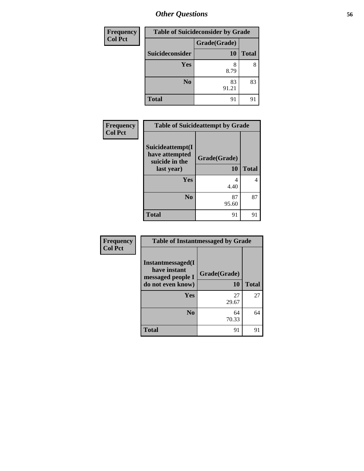| Frequency      | <b>Table of Suicideconsider by Grade</b> |              |              |
|----------------|------------------------------------------|--------------|--------------|
| <b>Col Pct</b> |                                          | Grade(Grade) |              |
|                | Suicideconsider                          | 10           | <b>Total</b> |
|                | <b>Yes</b>                               | 8<br>8.79    | 8            |
|                | N <sub>0</sub>                           | 83<br>91.21  | 83           |
|                | <b>Total</b>                             | 91           | 9            |

| Frequency      | <b>Table of Suicideattempt by Grade</b>              |              |              |
|----------------|------------------------------------------------------|--------------|--------------|
| <b>Col Pct</b> | Suicideattempt(I<br>have attempted<br>suicide in the | Grade(Grade) |              |
|                | last year)                                           | 10           | <b>Total</b> |
|                | Yes                                                  | 4<br>4.40    |              |
|                | N <sub>0</sub>                                       | 87<br>95.60  | 87           |
|                | Total                                                | 91           | 91           |

| Frequency      | <b>Table of Instantmessaged by Grade</b>                                    |                    |              |  |
|----------------|-----------------------------------------------------------------------------|--------------------|--------------|--|
| <b>Col Pct</b> | Instantmessaged(I<br>have instant<br>messaged people I<br>do not even know) | Grade(Grade)<br>10 | <b>Total</b> |  |
|                | Yes                                                                         | 27<br>29.67        | 27           |  |
|                | N <sub>0</sub>                                                              | 64<br>70.33        | 64           |  |
|                | <b>Total</b>                                                                | 91                 | 91           |  |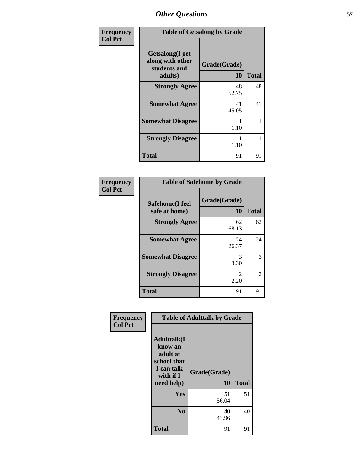| Frequency      | <b>Table of Getsalong by Grade</b>                             |                           |              |  |
|----------------|----------------------------------------------------------------|---------------------------|--------------|--|
| <b>Col Pct</b> | Getsalong(I get<br>along with other<br>students and<br>adults) | Grade(Grade)<br><b>10</b> | <b>Total</b> |  |
|                | <b>Strongly Agree</b>                                          | 48<br>52.75               | 48           |  |
|                | <b>Somewhat Agree</b>                                          | 41<br>45.05               | 41           |  |
|                | <b>Somewhat Disagree</b>                                       | 1.10                      | 1            |  |
|                | <b>Strongly Disagree</b>                                       | 1<br>1.10                 | 1            |  |
|                | Total                                                          | 91                        | 91           |  |

| Frequency      | <b>Table of Safehome by Grade</b> |                           |              |
|----------------|-----------------------------------|---------------------------|--------------|
| <b>Col Pct</b> | Safehome(I feel<br>safe at home)  | Grade(Grade)<br><b>10</b> | <b>Total</b> |
|                | <b>Strongly Agree</b>             | 62<br>68.13               | 62           |
|                | <b>Somewhat Agree</b>             | 24<br>26.37               | 24           |
|                | <b>Somewhat Disagree</b>          | 3<br>3.30                 | 3            |
|                | <b>Strongly Disagree</b>          | 2.20                      | 2            |
|                | <b>Total</b>                      | 91                        | 91           |

| Frequency      | <b>Table of Adulttalk by Grade</b>                                                                |                    |              |  |  |  |  |
|----------------|---------------------------------------------------------------------------------------------------|--------------------|--------------|--|--|--|--|
| <b>Col Pct</b> | <b>Adulttalk(I</b><br>know an<br>adult at<br>school that<br>I can talk<br>with if I<br>need help) | Grade(Grade)<br>10 | <b>Total</b> |  |  |  |  |
|                | <b>Yes</b>                                                                                        | 51<br>56.04        | 51           |  |  |  |  |
|                | N <sub>0</sub>                                                                                    | 40<br>43.96        | 40           |  |  |  |  |
|                | <b>Total</b>                                                                                      | 91                 | 91           |  |  |  |  |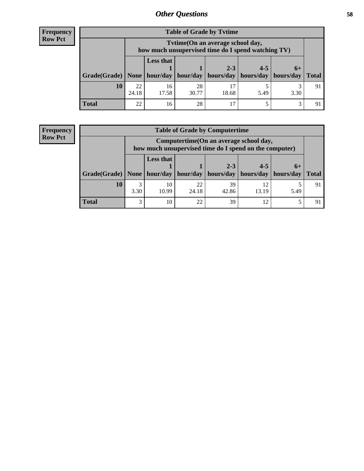## **Frequency Row Pct**

| <b>Table of Grade by Tytime</b> |             |                                                                                                                                 |             |       |      |      |              |
|---------------------------------|-------------|---------------------------------------------------------------------------------------------------------------------------------|-------------|-------|------|------|--------------|
|                                 |             | Tvtime (On an average school day,<br>how much unsupervised time do I spend watching TV)                                         |             |       |      |      |              |
|                                 |             | <b>Less that</b><br>$2 - 3$<br>$4 - 5$<br>$6+$<br>Grade(Grade)   None   hour/day   hour/day   hours/day   hours/day   hours/day |             |       |      |      | <b>Total</b> |
| 10                              | 22<br>24.18 | 16<br>17.58                                                                                                                     | 28<br>30.77 | 18.68 | 5.49 | 3.30 | 91           |
| <b>Total</b>                    | 22          | 16                                                                                                                              | 28          |       |      | っ    |              |

### **Frequency Row Pct**

| <b>Table of Grade by Computertime</b> |           |                                                                                                                                      |             |             |             |      |                |  |
|---------------------------------------|-----------|--------------------------------------------------------------------------------------------------------------------------------------|-------------|-------------|-------------|------|----------------|--|
|                                       |           | Computertime (On an average school day,<br>how much unsupervised time do I spend on the computer)                                    |             |             |             |      |                |  |
|                                       |           | <b>Less that</b><br>$2 - 3$<br>$4 - 5$<br>$6+$<br>$hour/day$   hours/day   hours/day   hours/day<br>  Grade(Grade)   None   hour/day |             |             |             |      | <b>Total</b>   |  |
| 10                                    | 3<br>3.30 | 10<br>10.99                                                                                                                          | 22<br>24.18 | 39<br>42.86 | 12<br>13.19 | 5.49 | -91            |  |
| <b>Total</b>                          | 3         | 10                                                                                                                                   | 22          | 39          | 12          |      | Q <sub>1</sub> |  |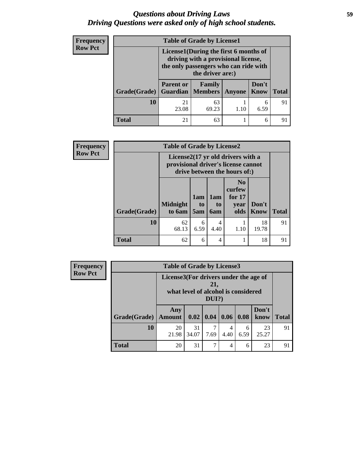## *Questions about Driving Laws* **59** *Driving Questions were asked only of high school students.*

| <b>Frequency</b> |              | <b>Table of Grade by License1</b>                      |                                                                                                                                           |      |           |    |  |  |
|------------------|--------------|--------------------------------------------------------|-------------------------------------------------------------------------------------------------------------------------------------------|------|-----------|----|--|--|
| <b>Row Pct</b>   |              |                                                        | License1(During the first 6 months of<br>driving with a provisional license,<br>the only passengers who can ride with<br>the driver are:) |      |           |    |  |  |
|                  | Grade(Grade) | <b>Parent or</b><br><b>Guardian   Members   Anyone</b> | <b>Total</b>                                                                                                                              |      |           |    |  |  |
|                  | 10           | 21<br>23.08                                            | 63<br>69.23                                                                                                                               | 1.10 | 6<br>6.59 | 91 |  |  |
|                  | <b>Total</b> | 21                                                     | 63                                                                                                                                        |      | 6         | 91 |  |  |

| Frequency      |              | <b>Table of Grade by License2</b>   |                  |                  |                                                                               |                      |              |  |
|----------------|--------------|-------------------------------------|------------------|------------------|-------------------------------------------------------------------------------|----------------------|--------------|--|
| <b>Row Pct</b> |              | provisional driver's license cannot |                  |                  | License $2(17 \text{ yr})$ old drivers with a<br>drive between the hours of:) |                      |              |  |
|                | Grade(Grade) | <b>Midnight</b><br>to 6am           | 1am<br>to<br>5am | 1am<br>to<br>6am | N <sub>0</sub><br>curfew<br>for $17$<br>year<br>olds                          | Don't<br><b>Know</b> | <b>Total</b> |  |
|                | 10           | 62<br>68.13                         | 6<br>6.59        | 4<br>4.40        | 1.10                                                                          | 18<br>19.78          | 91           |  |
|                | <b>Total</b> | 62                                  | 6                | 4                |                                                                               | 18                   | 91           |  |

| Frequency      |              | <b>Table of Grade by License3</b>                                                            |             |                           |           |           |               |              |
|----------------|--------------|----------------------------------------------------------------------------------------------|-------------|---------------------------|-----------|-----------|---------------|--------------|
| <b>Row Pct</b> |              | License3(For drivers under the age of<br>21,<br>what level of alcohol is considered<br>DUI?) |             |                           |           |           |               |              |
|                | Grade(Grade) | Any<br>Amount                                                                                |             | 0.02   0.04   0.06   0.08 |           |           | Don't<br>know | <b>Total</b> |
|                | 10           | 20<br>21.98                                                                                  | 31<br>34.07 | 7.69                      | 4<br>4.40 | 6<br>6.59 | 23<br>25.27   | 91           |
|                | <b>Total</b> | 20                                                                                           | 31          | ⇁                         | 4         | 6         | 23            | 91           |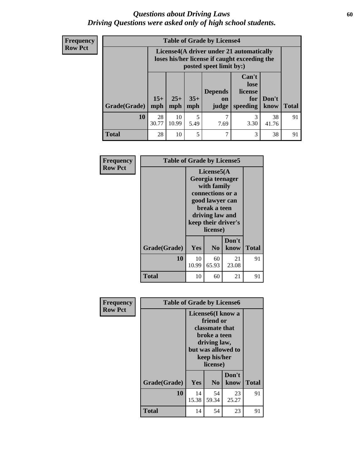## *Questions about Driving Laws* **60** *Driving Questions were asked only of high school students.*

**Frequency Row Pct**

| <b>Table of Grade by License4</b> |              |                                                                                                                                               |           |           |           |             |    |
|-----------------------------------|--------------|-----------------------------------------------------------------------------------------------------------------------------------------------|-----------|-----------|-----------|-------------|----|
|                                   |              | License4(A driver under 21 automatically<br>loses his/her license if caught exceeding the<br>posted speet limit by:)                          |           |           |           |             |    |
| Grade(Grade)                      | $15+$<br>mph | Can't<br>lose<br>license<br><b>Depends</b><br>$35+$<br>$25+$<br>Don't<br>for<br>on<br>mph<br><b>Total</b><br>speeding<br>mph<br>know<br>judge |           |           |           |             |    |
| 10                                | 28<br>30.77  | 10<br>10.99                                                                                                                                   | 5<br>5.49 | 7<br>7.69 | 3<br>3.30 | 38<br>41.76 | 91 |
| <b>Total</b>                      | 28           | 10                                                                                                                                            | 5         | 7         | 3         | 38          | 91 |

| Frequency      | <b>Table of Grade by License5</b> |             |                                                                                                                                      |                     |       |
|----------------|-----------------------------------|-------------|--------------------------------------------------------------------------------------------------------------------------------------|---------------------|-------|
| <b>Row Pct</b> |                                   |             | License5(A)<br>Georgia teenager<br>with family<br>connections or a<br>good lawyer can<br>break a teen<br>driving law and<br>license) | keep their driver's |       |
|                | Grade(Grade)                      | Yes         | N <sub>0</sub>                                                                                                                       | Don't<br>know       | Total |
|                | 10                                | 10<br>10.99 | 60<br>65.93                                                                                                                          | 21<br>23.08         | 91    |
|                | <b>Total</b>                      | 10          | 60                                                                                                                                   | 21                  | 91    |

| Frequency      | <b>Table of Grade by License6</b> |             |                                                                                                                                                 |               |              |  |
|----------------|-----------------------------------|-------------|-------------------------------------------------------------------------------------------------------------------------------------------------|---------------|--------------|--|
| <b>Row Pct</b> |                                   |             | License <sub>6</sub> (I know a<br>friend or<br>classmate that<br>broke a teen<br>driving law,<br>but was allowed to<br>keep his/her<br>license) |               |              |  |
|                | Grade(Grade)                      | Yes         | N <sub>0</sub>                                                                                                                                  | Don't<br>know | <b>Total</b> |  |
|                | 10                                | 14<br>15.38 | 54<br>59.34                                                                                                                                     | 23<br>25.27   | 91           |  |
|                | <b>Total</b>                      | 14          | 54                                                                                                                                              | 23            | 91           |  |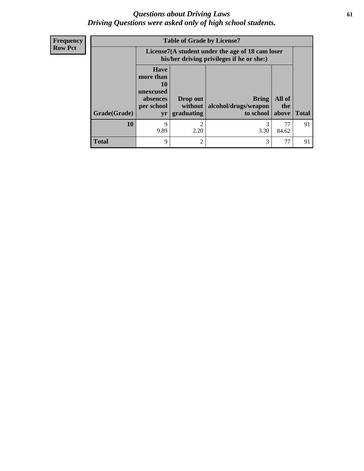## *Questions about Driving Laws* **61** *Driving Questions were asked only of high school students.*

**Frequency Row Pct**

|              |                                                                       | <b>Table of Grade by License7</b>                                                             |           |             |              |  |  |
|--------------|-----------------------------------------------------------------------|-----------------------------------------------------------------------------------------------|-----------|-------------|--------------|--|--|
|              |                                                                       | License7(A student under the age of 18 cam loser<br>his/her driving privileges if he or she:) |           |             |              |  |  |
|              | <b>Have</b><br>more than<br>10<br>unexcused<br>absences<br>per school | All of<br><b>Bring</b><br>Drop out<br>alcohol/drugs/weapon<br>without  <br>the                |           |             |              |  |  |
| Grade(Grade) | yr                                                                    | graduating                                                                                    | to school | above       | <b>Total</b> |  |  |
| 10           | 9<br>9.89                                                             | $\mathcal{D}$<br>2.20                                                                         | 3<br>3.30 | 77<br>84.62 | 91           |  |  |
| <b>Total</b> | 9                                                                     | $\overline{2}$                                                                                | 3         | 77          | 91           |  |  |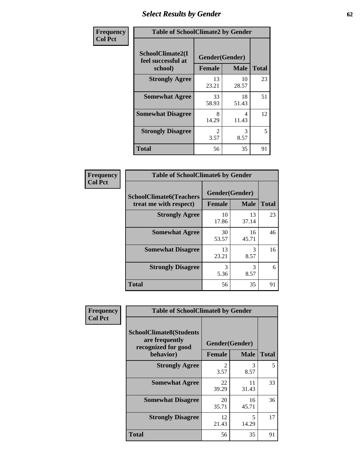# *Select Results by Gender* **62**

| Frequency      | <b>Table of SchoolClimate2 by Gender</b> |                               |             |              |  |  |
|----------------|------------------------------------------|-------------------------------|-------------|--------------|--|--|
| <b>Col Pct</b> | SchoolClimate2(I<br>feel successful at   | Gender(Gender)                |             |              |  |  |
|                | school)                                  | <b>Female</b>                 | <b>Male</b> | <b>Total</b> |  |  |
|                | <b>Strongly Agree</b>                    | 13<br>23.21                   | 10<br>28.57 | 23           |  |  |
|                | <b>Somewhat Agree</b>                    | 33<br>58.93                   | 18<br>51.43 | 51           |  |  |
|                | <b>Somewhat Disagree</b>                 | 8<br>14.29                    | 4<br>11.43  | 12           |  |  |
|                | <b>Strongly Disagree</b>                 | $\mathcal{D}_{\cdot}$<br>3.57 | 3<br>8.57   | 5            |  |  |
|                | <b>Total</b>                             | 56                            | 35          | 91           |  |  |

| Frequency      | <b>Table of SchoolClimate6 by Gender</b>                 |               |                               |              |
|----------------|----------------------------------------------------------|---------------|-------------------------------|--------------|
| <b>Col Pct</b> | <b>SchoolClimate6(Teachers</b><br>treat me with respect) | <b>Female</b> | Gender(Gender)<br><b>Male</b> | <b>Total</b> |
|                | <b>Strongly Agree</b>                                    | 10<br>17.86   | 13<br>37.14                   | 23           |
|                | <b>Somewhat Agree</b>                                    | 30<br>53.57   | 16<br>45.71                   | 46           |
|                | <b>Somewhat Disagree</b>                                 | 13<br>23.21   | 3<br>8.57                     | 16           |
|                | <b>Strongly Disagree</b>                                 | 3<br>5.36     | 3<br>8.57                     | 6            |
|                | <b>Total</b>                                             | 56            | 35                            | 91           |

| <b>Frequency</b> | <b>Table of SchoolClimate8 by Gender</b>                                             |                                                |             |              |  |
|------------------|--------------------------------------------------------------------------------------|------------------------------------------------|-------------|--------------|--|
| <b>Col Pct</b>   | <b>SchoolClimate8(Students</b><br>are frequently<br>recognized for good<br>behavior) | Gender(Gender)<br><b>Male</b><br><b>Female</b> |             | <b>Total</b> |  |
|                  | <b>Strongly Agree</b>                                                                | $\mathfrak{D}$<br>3.57                         | 3<br>8.57   | 5            |  |
|                  | <b>Somewhat Agree</b>                                                                | 22<br>39.29                                    | 11<br>31.43 | 33           |  |
|                  | <b>Somewhat Disagree</b>                                                             | 20<br>35.71                                    | 16<br>45.71 | 36           |  |
|                  | <b>Strongly Disagree</b>                                                             | 12<br>21.43                                    | 5<br>14.29  | 17           |  |
|                  | Total                                                                                | 56                                             | 35          | 91           |  |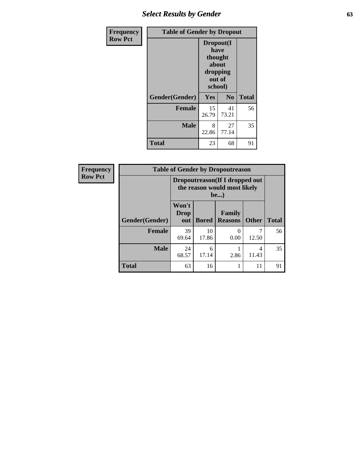# *Select Results by Gender* **63**

| Frequency      | <b>Table of Gender by Dropout</b> |                                                                        |                |              |
|----------------|-----------------------------------|------------------------------------------------------------------------|----------------|--------------|
| <b>Row Pct</b> |                                   | Dropout(I<br>have<br>thought<br>about<br>dropping<br>out of<br>school) |                |              |
|                | Gender(Gender)                    | Yes                                                                    | N <sub>0</sub> | <b>Total</b> |
|                | <b>Female</b>                     | 15<br>26.79                                                            | 41<br>73.21    | 56           |
|                | <b>Male</b>                       | 8<br>22.86                                                             | 27<br>77.14    | 35           |
|                | <b>Total</b>                      | 23                                                                     | 68             | 91           |

| Frequency      | <b>Table of Gender by Dropoutreason</b> |                                                                        |              |                          |              |              |
|----------------|-----------------------------------------|------------------------------------------------------------------------|--------------|--------------------------|--------------|--------------|
| <b>Row Pct</b> |                                         | Dropoutreason (If I dropped out<br>the reason would most likely<br>be) |              |                          |              |              |
|                | Gender(Gender)                          | Won't<br>Drop<br>out                                                   | <b>Bored</b> | Family<br><b>Reasons</b> | <b>Other</b> | <b>Total</b> |
|                | <b>Female</b>                           | 39<br>69.64                                                            | 10<br>17.86  | $\mathcal{O}$<br>0.00    | 12.50        | 56           |
|                | <b>Male</b>                             | 24<br>68.57                                                            | 6<br>17.14   | 2.86                     | 4<br>11.43   | 35           |
|                | <b>Total</b>                            | 63                                                                     | 16           |                          | 11           | 91           |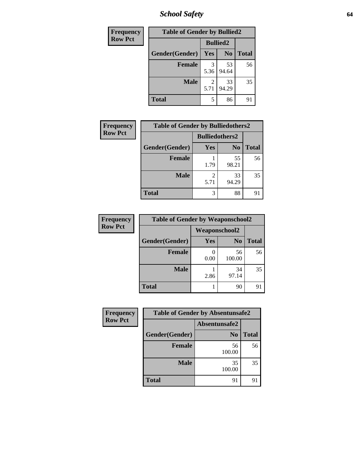*School Safety* **64**

| Frequency      | <b>Table of Gender by Bullied2</b> |                 |                |              |
|----------------|------------------------------------|-----------------|----------------|--------------|
| <b>Row Pct</b> |                                    | <b>Bullied2</b> |                |              |
|                | Gender(Gender)                     | Yes             | N <sub>0</sub> | <b>Total</b> |
|                | <b>Female</b>                      | 3<br>5.36       | 53<br>94.64    | 56           |
|                | <b>Male</b>                        | 2<br>5.71       | 33<br>94.29    | 35           |
|                | <b>Total</b>                       | 5               | 86             | 91           |

| <b>Frequency</b> | <b>Table of Gender by Bulliedothers2</b> |                       |                |              |
|------------------|------------------------------------------|-----------------------|----------------|--------------|
| <b>Row Pct</b>   |                                          | <b>Bulliedothers2</b> |                |              |
|                  | Gender(Gender)                           | Yes                   | N <sub>0</sub> | <b>Total</b> |
|                  | <b>Female</b>                            | 1.79                  | 55<br>98.21    | 56           |
|                  | Male                                     | 5.71                  | 33<br>94.29    | 35           |
|                  | <b>Total</b>                             | 3                     | 88             | 91           |

| Frequency      | <b>Table of Gender by Weaponschool2</b> |                      |                |              |
|----------------|-----------------------------------------|----------------------|----------------|--------------|
| <b>Row Pct</b> |                                         | <b>Weaponschool2</b> |                |              |
|                | Gender(Gender)                          | <b>Yes</b>           | N <sub>0</sub> | <b>Total</b> |
|                | <b>Female</b>                           | 0.00                 | 56<br>100.00   | 56           |
|                | <b>Male</b>                             | 2.86                 | 34<br>97.14    | 35           |
|                | <b>Total</b>                            |                      | 90             | 91           |

| Frequency      |                | <b>Table of Gender by Absentunsafe2</b> |              |  |  |
|----------------|----------------|-----------------------------------------|--------------|--|--|
| <b>Row Pct</b> |                | Absentunsafe2                           |              |  |  |
|                | Gender(Gender) | N <sub>0</sub>                          | <b>Total</b> |  |  |
|                | <b>Female</b>  | 56<br>100.00                            | 56           |  |  |
|                | <b>Male</b>    | 35<br>100.00                            | 35           |  |  |
|                | <b>Total</b>   | 91                                      |              |  |  |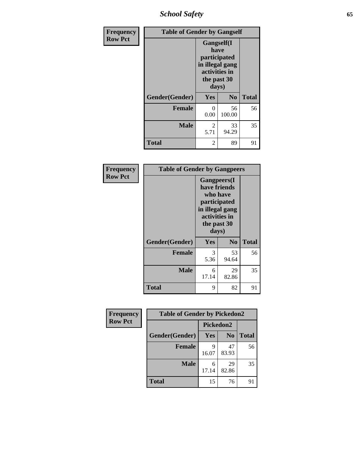*School Safety* **65**

| Frequency      | <b>Table of Gender by Gangself</b> |                                                                                                |                |              |
|----------------|------------------------------------|------------------------------------------------------------------------------------------------|----------------|--------------|
| <b>Row Pct</b> |                                    | Gangself(I<br>have<br>participated<br>in illegal gang<br>activities in<br>the past 30<br>days) |                |              |
|                | Gender(Gender)                     | Yes                                                                                            | N <sub>0</sub> | <b>Total</b> |
|                | <b>Female</b>                      | 0<br>0.00                                                                                      | 56<br>100.00   | 56           |
|                | <b>Male</b>                        | $\overline{2}$<br>5.71                                                                         | 33<br>94.29    | 35           |
|                | <b>Total</b>                       | 2                                                                                              | 89             | 91           |

| Frequency      |                | <b>Table of Gender by Gangpeers</b>                                                      |                                 |              |
|----------------|----------------|------------------------------------------------------------------------------------------|---------------------------------|--------------|
| <b>Row Pct</b> |                | have friends<br>participated<br>in illegal gang<br>activities in<br>the past 30<br>days) | <b>Gangpeers</b> (I<br>who have |              |
|                | Gender(Gender) | Yes                                                                                      | N <sub>0</sub>                  | <b>Total</b> |
|                | <b>Female</b>  | 3<br>5.36                                                                                | 53<br>94.64                     | 56           |
|                | <b>Male</b>    | 6<br>17.14                                                                               | 29<br>82.86                     | 35           |
|                | <b>Total</b>   | 9                                                                                        | 82                              | 91           |

| Frequency      | <b>Table of Gender by Pickedon2</b> |            |                |              |
|----------------|-------------------------------------|------------|----------------|--------------|
| <b>Row Pct</b> |                                     | Pickedon2  |                |              |
|                | Gender(Gender)                      | Yes        | N <sub>0</sub> | <b>Total</b> |
|                | <b>Female</b>                       | 9<br>16.07 | 47<br>83.93    | 56           |
|                | <b>Male</b>                         | 6<br>17.14 | 29<br>82.86    | 35           |
|                | <b>Total</b>                        | 15         | 76             | 91           |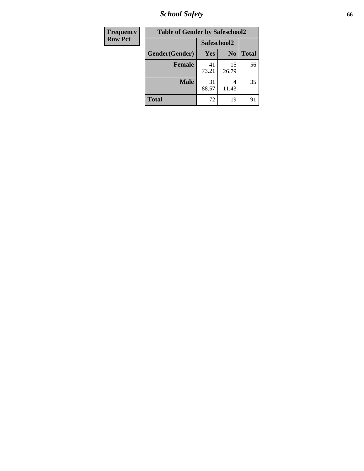*School Safety* **66**

| Frequency      | <b>Table of Gender by Safeschool2</b> |             |                |              |
|----------------|---------------------------------------|-------------|----------------|--------------|
| <b>Row Pct</b> |                                       | Safeschool2 |                |              |
|                | Gender(Gender)                        | Yes         | N <sub>0</sub> | <b>Total</b> |
|                | <b>Female</b>                         | 41<br>73.21 | 15<br>26.79    | 56           |
|                | <b>Male</b>                           | 31<br>88.57 | 4<br>11.43     | 35           |
|                | <b>Total</b>                          | 72          | 19             | 91           |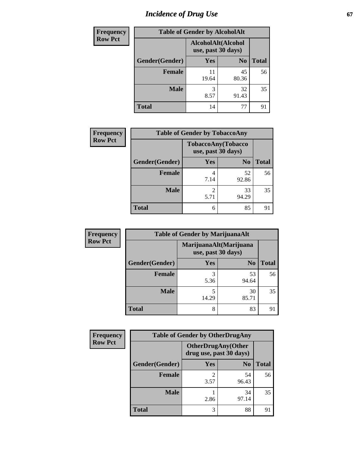# *Incidence of Drug Use* 67

| <b>Frequency</b> | <b>Table of Gender by AlcoholAlt</b> |             |                                          |              |  |
|------------------|--------------------------------------|-------------|------------------------------------------|--------------|--|
| <b>Row Pct</b>   |                                      |             | AlcoholAlt(Alcohol<br>use, past 30 days) |              |  |
|                  | Gender(Gender)                       | <b>Yes</b>  | N <sub>0</sub>                           | <b>Total</b> |  |
|                  | Female                               | 11<br>19.64 | 45<br>80.36                              | 56           |  |
|                  | <b>Male</b>                          | 3<br>8.57   | 32<br>91.43                              | 35           |  |
|                  | <b>Total</b>                         | 14          | 77                                       | 91           |  |

| Frequency      | <b>Table of Gender by TobaccoAny</b> |                    |                    |              |  |
|----------------|--------------------------------------|--------------------|--------------------|--------------|--|
| <b>Row Pct</b> |                                      | use, past 30 days) | TobaccoAny(Tobacco |              |  |
|                | Gender(Gender)                       | Yes                | N <sub>0</sub>     | <b>Total</b> |  |
|                | Female                               | 4<br>7.14          | 52<br>92.86        | 56           |  |
|                | <b>Male</b>                          | 2<br>5.71          | 33<br>94.29        | 35           |  |
|                | <b>Total</b>                         | 6                  | 85                 | 91           |  |

| <b>Frequency</b> | <b>Table of Gender by MarijuanaAlt</b> |            |                                              |              |
|------------------|----------------------------------------|------------|----------------------------------------------|--------------|
| <b>Row Pct</b>   |                                        |            | MarijuanaAlt(Marijuana<br>use, past 30 days) |              |
|                  | Gender(Gender)                         | <b>Yes</b> | N <sub>0</sub>                               | <b>Total</b> |
|                  | <b>Female</b>                          | 3<br>5.36  | 53<br>94.64                                  | 56           |
|                  | <b>Male</b>                            | 5<br>14.29 | 30<br>85.71                                  | 35           |
|                  | <b>Total</b>                           | 8          | 83                                           | 91           |

| <b>Frequency</b> | <b>Table of Gender by OtherDrugAny</b> |                                                      |                |              |
|------------------|----------------------------------------|------------------------------------------------------|----------------|--------------|
| <b>Row Pct</b>   |                                        | <b>OtherDrugAny(Other</b><br>drug use, past 30 days) |                |              |
|                  | Gender(Gender)                         | <b>Yes</b>                                           | N <sub>0</sub> | <b>Total</b> |
|                  | <b>Female</b>                          | 2<br>3.57                                            | 54<br>96.43    | 56           |
|                  | <b>Male</b>                            | 2.86                                                 | 34<br>97.14    | 35           |
|                  | <b>Total</b>                           | 3                                                    | 88             | 91           |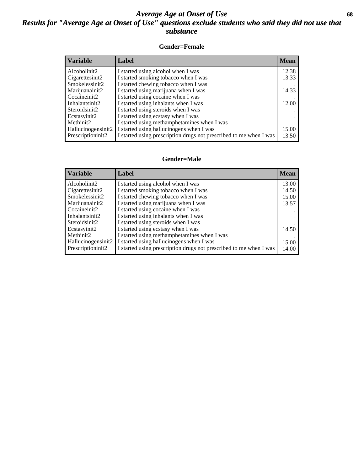## *Average Age at Onset of Use* **68** *Results for "Average Age at Onset of Use" questions exclude students who said they did not use that substance*

### **Gender=Female**

| <b>Variable</b>    | <b>Label</b>                                                       | <b>Mean</b> |
|--------------------|--------------------------------------------------------------------|-------------|
| Alcoholinit2       | I started using alcohol when I was                                 | 12.38       |
| Cigarettesinit2    | I started smoking tobacco when I was                               | 13.33       |
| Smokelessinit2     | I started chewing tobacco when I was                               |             |
| Marijuanainit2     | I started using marijuana when I was                               | 14.33       |
| Cocaineinit2       | I started using cocaine when I was                                 |             |
| Inhalantsinit2     | I started using inhalants when I was                               | 12.00       |
| Steroidsinit2      | I started using steroids when I was                                |             |
| Ecstasyinit2       | I started using ecstasy when I was                                 |             |
| Methinit2          | I started using methamphetamines when I was                        |             |
| Hallucinogensinit2 | I started using hallucinogens when I was                           | 15.00       |
| Prescription in t2 | I started using prescription drugs not prescribed to me when I was | 13.50       |

#### **Gender=Male**

| <b>Variable</b>    | Label                                                              | <b>Mean</b> |
|--------------------|--------------------------------------------------------------------|-------------|
| Alcoholinit2       | I started using alcohol when I was                                 | 13.00       |
| Cigarettesinit2    | I started smoking tobacco when I was                               | 14.50       |
| Smokelessinit2     | I started chewing tobacco when I was                               | 15.00       |
| Marijuanainit2     | I started using marijuana when I was                               | 13.57       |
| Cocaineinit2       | I started using cocaine when I was                                 |             |
| Inhalantsinit2     | I started using inhalants when I was                               |             |
| Steroidsinit2      | I started using steroids when I was                                |             |
| Ecstasyinit2       | I started using ecstasy when I was                                 | 14.50       |
| Methinit2          | I started using methamphetamines when I was                        |             |
| Hallucinogensinit2 | I started using hallucinogens when I was                           | 15.00       |
| Prescriptioninit2  | I started using prescription drugs not prescribed to me when I was | 14.00       |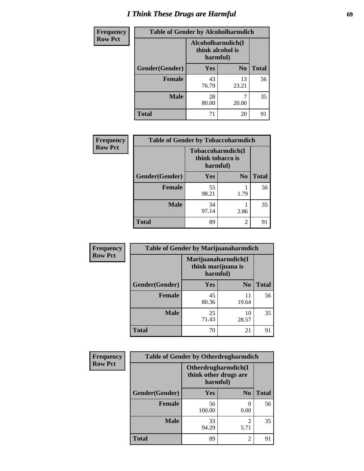# *I Think These Drugs are Harmful* **69**

| <b>Frequency</b> | <b>Table of Gender by Alcoholharmdich</b> |                                                   |                |              |
|------------------|-------------------------------------------|---------------------------------------------------|----------------|--------------|
| <b>Row Pct</b>   |                                           | Alcoholharmdich(I<br>think alcohol is<br>harmful) |                |              |
|                  | Gender(Gender)                            | <b>Yes</b>                                        | N <sub>0</sub> | <b>Total</b> |
|                  | Female                                    | 43<br>76.79                                       | 13<br>23.21    | 56           |
|                  | <b>Male</b>                               | 28<br>80.00                                       | 20.00          | 35           |
|                  | <b>Total</b>                              | 71                                                | 20             | 91           |

| Frequency      | <b>Table of Gender by Tobaccoharmdich</b> |                                                   |                |              |
|----------------|-------------------------------------------|---------------------------------------------------|----------------|--------------|
| <b>Row Pct</b> |                                           | Tobaccoharmdich(I<br>think tobacco is<br>harmful) |                |              |
|                | Gender(Gender)                            | <b>Yes</b>                                        | N <sub>0</sub> | <b>Total</b> |
|                | <b>Female</b>                             | 55<br>98.21                                       | 1.79           | 56           |
|                | <b>Male</b>                               | 34<br>97.14                                       | 2.86           | 35           |
|                | <b>Total</b>                              | 89                                                | $\mathfrak{D}$ | 91           |

| Frequency      | <b>Table of Gender by Marijuanaharmdich</b> |                                |                     |              |
|----------------|---------------------------------------------|--------------------------------|---------------------|--------------|
| <b>Row Pct</b> |                                             | think marijuana is<br>harmful) | Marijuanaharmdich(I |              |
|                | Gender(Gender)                              | <b>Yes</b>                     | N <sub>0</sub>      | <b>Total</b> |
|                | <b>Female</b>                               | 45<br>80.36                    | 11<br>19.64         | 56           |
|                | <b>Male</b>                                 | 25<br>71.43                    | 10<br>28.57         | 35           |
|                | <b>Total</b>                                | 70                             | 21                  | 91           |

| Frequency      | <b>Table of Gender by Otherdrugharmdich</b> |                                                          |                        |              |  |
|----------------|---------------------------------------------|----------------------------------------------------------|------------------------|--------------|--|
| <b>Row Pct</b> |                                             | Otherdrugharmdich(I<br>think other drugs are<br>harmful) |                        |              |  |
|                | Gender(Gender)                              | <b>Yes</b>                                               | N <sub>0</sub>         | <b>Total</b> |  |
|                | <b>Female</b>                               | 56<br>100.00                                             | $\Omega$<br>0.00       | 56           |  |
|                | <b>Male</b>                                 | 33<br>94.29                                              | $\mathfrak{D}$<br>5.71 | 35           |  |
|                | <b>Total</b>                                | 89                                                       | $\overline{c}$         | 91           |  |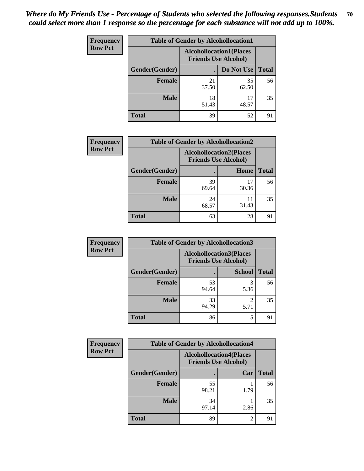| <b>Frequency</b> | <b>Table of Gender by Alcohollocation1</b> |                                                               |             |              |
|------------------|--------------------------------------------|---------------------------------------------------------------|-------------|--------------|
| <b>Row Pct</b>   |                                            | <b>Alcohollocation1(Places</b><br><b>Friends Use Alcohol)</b> |             |              |
|                  | Gender(Gender)                             |                                                               | Do Not Use  | <b>Total</b> |
|                  | <b>Female</b>                              | 21<br>37.50                                                   | 35<br>62.50 | 56           |
|                  | <b>Male</b>                                | 18<br>51.43                                                   | 17<br>48.57 | 35           |
|                  | <b>Total</b>                               | 39                                                            | 52          | 91           |

| <b>Frequency</b> | <b>Table of Gender by Alcohollocation2</b> |                                                               |             |              |
|------------------|--------------------------------------------|---------------------------------------------------------------|-------------|--------------|
| <b>Row Pct</b>   |                                            | <b>Alcohollocation2(Places</b><br><b>Friends Use Alcohol)</b> |             |              |
|                  | Gender(Gender)                             |                                                               | Home        | <b>Total</b> |
|                  | <b>Female</b>                              | 39<br>69.64                                                   | 17<br>30.36 | 56           |
|                  | <b>Male</b>                                | 24<br>68.57                                                   | 11<br>31.43 | 35           |
|                  | <b>Total</b>                               | 63                                                            | 28          |              |

| Frequency      | <b>Table of Gender by Alcohollocation3</b> |                                                               |                        |              |
|----------------|--------------------------------------------|---------------------------------------------------------------|------------------------|--------------|
| <b>Row Pct</b> |                                            | <b>Alcohollocation3(Places</b><br><b>Friends Use Alcohol)</b> |                        |              |
|                | Gender(Gender)                             |                                                               | <b>School</b>          | <b>Total</b> |
|                | <b>Female</b>                              | 53<br>94.64                                                   | 5.36                   | 56           |
|                | <b>Male</b>                                | 33<br>94.29                                                   | $\overline{2}$<br>5.71 | 35           |
|                | <b>Total</b>                               | 86                                                            | 5                      | 91           |

| <b>Frequency</b> | <b>Table of Gender by Alcohollocation4</b> |                                |                             |              |
|------------------|--------------------------------------------|--------------------------------|-----------------------------|--------------|
| <b>Row Pct</b>   |                                            | <b>Alcohollocation4(Places</b> | <b>Friends Use Alcohol)</b> |              |
|                  | Gender(Gender)                             |                                | Car                         | <b>Total</b> |
|                  | <b>Female</b>                              | 55<br>98.21                    | 1.79                        | 56           |
|                  | <b>Male</b>                                | 34<br>97.14                    | 2.86                        | 35           |
|                  | <b>Total</b>                               | 89                             | 2                           | 91           |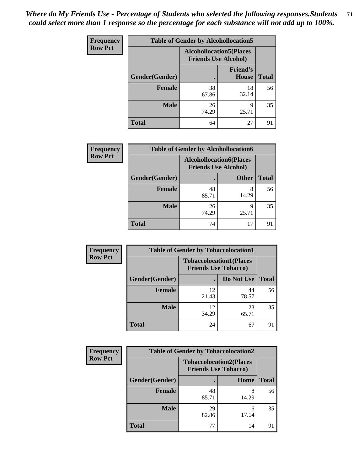| <b>Frequency</b> | <b>Table of Gender by Alcohollocation5</b> |                                                               |                                 |              |
|------------------|--------------------------------------------|---------------------------------------------------------------|---------------------------------|--------------|
| <b>Row Pct</b>   |                                            | <b>Alcohollocation5(Places</b><br><b>Friends Use Alcohol)</b> |                                 |              |
|                  | Gender(Gender)                             |                                                               | <b>Friend's</b><br><b>House</b> | <b>Total</b> |
|                  | <b>Female</b>                              | 38<br>67.86                                                   | 18<br>32.14                     | 56           |
|                  | <b>Male</b>                                | 26<br>74.29                                                   | Q<br>25.71                      | 35           |
|                  | <b>Total</b>                               | 64                                                            | 27                              | 91           |

| Frequency      | <b>Table of Gender by Alcohollocation6</b> |                                                               |              |              |
|----------------|--------------------------------------------|---------------------------------------------------------------|--------------|--------------|
| <b>Row Pct</b> |                                            | <b>Alcohollocation6(Places</b><br><b>Friends Use Alcohol)</b> |              |              |
|                | Gender(Gender)                             |                                                               | <b>Other</b> | <b>Total</b> |
|                | <b>Female</b>                              | 48<br>85.71                                                   | 8<br>14.29   | 56           |
|                | <b>Male</b>                                | 26<br>74.29                                                   | 9<br>25.71   | 35           |
|                | <b>Total</b>                               | 74                                                            | 17           | 91           |

| Frequency      | <b>Table of Gender by Tobaccolocation1</b> |                                                               |             |              |  |
|----------------|--------------------------------------------|---------------------------------------------------------------|-------------|--------------|--|
| <b>Row Pct</b> |                                            | <b>Tobaccolocation1(Places</b><br><b>Friends Use Tobacco)</b> |             |              |  |
|                | Gender(Gender)                             |                                                               | Do Not Use  | <b>Total</b> |  |
|                | Female                                     | 12<br>21.43                                                   | 44<br>78.57 | 56           |  |
|                | <b>Male</b>                                | 12<br>34.29                                                   | 23<br>65.71 | 35           |  |
|                | <b>Total</b>                               | 24                                                            | 67          | 91           |  |

| <b>Frequency</b> | <b>Table of Gender by Tobaccolocation2</b> |                             |                                |              |  |
|------------------|--------------------------------------------|-----------------------------|--------------------------------|--------------|--|
| <b>Row Pct</b>   |                                            | <b>Friends Use Tobacco)</b> | <b>Tobaccolocation2(Places</b> |              |  |
|                  | Gender(Gender)                             |                             | Home                           | <b>Total</b> |  |
|                  | Female                                     | 48<br>85.71                 | 8<br>14.29                     | 56           |  |
|                  | <b>Male</b>                                | 29<br>82.86                 | 6<br>17.14                     | 35           |  |
|                  | <b>Total</b>                               | 77                          | 14                             | 91           |  |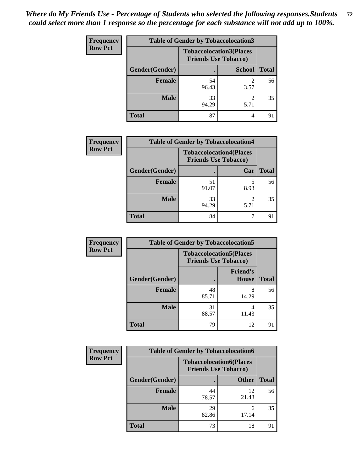| <b>Frequency</b> |                | <b>Table of Gender by Tobaccolocation3</b> |                                                               |              |
|------------------|----------------|--------------------------------------------|---------------------------------------------------------------|--------------|
| <b>Row Pct</b>   |                |                                            | <b>Tobaccolocation3(Places</b><br><b>Friends Use Tobacco)</b> |              |
|                  | Gender(Gender) |                                            | <b>School</b>                                                 | <b>Total</b> |
|                  | <b>Female</b>  | 54<br>96.43                                | 3.57                                                          | 56           |
|                  | <b>Male</b>    | 33<br>94.29                                | 5.71                                                          | 35           |
|                  | <b>Total</b>   | 87                                         | 4                                                             | 91           |

| <b>Frequency</b> |                | <b>Table of Gender by Tobaccolocation4</b>                    |      |              |  |
|------------------|----------------|---------------------------------------------------------------|------|--------------|--|
| <b>Row Pct</b>   |                | <b>Tobaccolocation4(Places</b><br><b>Friends Use Tobacco)</b> |      |              |  |
|                  | Gender(Gender) |                                                               | Car  | <b>Total</b> |  |
|                  | <b>Female</b>  | 51<br>91.07                                                   | 8.93 | 56           |  |
|                  | <b>Male</b>    | 33<br>94.29                                                   | 5.71 | 35           |  |
|                  | <b>Total</b>   | 84                                                            |      |              |  |

| <b>Frequency</b> | <b>Table of Gender by Tobaccolocation5</b> |                                                               |                          |              |
|------------------|--------------------------------------------|---------------------------------------------------------------|--------------------------|--------------|
| <b>Row Pct</b>   |                                            | <b>Tobaccolocation5(Places</b><br><b>Friends Use Tobacco)</b> |                          |              |
|                  | Gender(Gender)                             |                                                               | <b>Friend's</b><br>House | <b>Total</b> |
|                  | <b>Female</b>                              | 48<br>85.71                                                   | 8<br>14.29               | 56           |
|                  | <b>Male</b>                                | 31<br>88.57                                                   | 4<br>11.43               | 35           |
|                  | <b>Total</b>                               | 79                                                            | 12                       | 91           |

| <b>Frequency</b> |                | <b>Table of Gender by Tobaccolocation6</b> |                                |              |
|------------------|----------------|--------------------------------------------|--------------------------------|--------------|
| <b>Row Pct</b>   |                | <b>Friends Use Tobacco)</b>                | <b>Tobaccolocation6(Places</b> |              |
|                  | Gender(Gender) |                                            | <b>Other</b>                   | <b>Total</b> |
|                  | Female         | 44<br>78.57                                | 12<br>21.43                    | 56           |
|                  | <b>Male</b>    | 29<br>82.86                                | 6<br>17.14                     | 35           |
|                  | <b>Total</b>   | 73                                         | 18                             | 91           |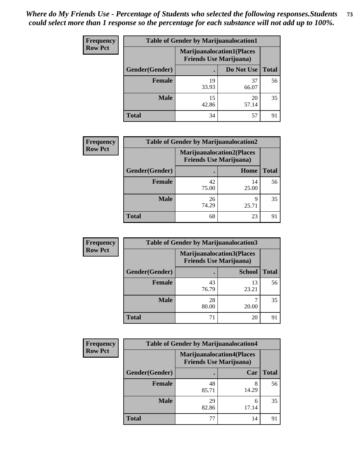| <b>Frequency</b> | <b>Table of Gender by Marijuanalocation1</b> |                                                                    |             |              |
|------------------|----------------------------------------------|--------------------------------------------------------------------|-------------|--------------|
| <b>Row Pct</b>   |                                              | <b>Marijuanalocation1(Places</b><br><b>Friends Use Marijuana</b> ) |             |              |
|                  | Gender(Gender)                               |                                                                    | Do Not Use  | <b>Total</b> |
|                  | <b>Female</b>                                | 19<br>33.93                                                        | 37<br>66.07 | 56           |
|                  | <b>Male</b>                                  | 15<br>42.86                                                        | 20<br>57.14 | 35           |
|                  | <b>Total</b>                                 | 34                                                                 | 57          | 91           |

| <b>Frequency</b> | <b>Table of Gender by Marijuanalocation2</b> |                                                                    |             |              |
|------------------|----------------------------------------------|--------------------------------------------------------------------|-------------|--------------|
| <b>Row Pct</b>   |                                              | <b>Marijuanalocation2(Places</b><br><b>Friends Use Marijuana</b> ) |             |              |
|                  | Gender(Gender)                               |                                                                    | Home        | <b>Total</b> |
|                  | <b>Female</b>                                | 42<br>75.00                                                        | 14<br>25.00 | 56           |
|                  | <b>Male</b>                                  | 26<br>74.29                                                        | 9<br>25.71  | 35           |
|                  | <b>Total</b>                                 | 68                                                                 | 23          | 9            |

| Frequency      | <b>Table of Gender by Marijuanalocation3</b> |                                                                     |               |              |
|----------------|----------------------------------------------|---------------------------------------------------------------------|---------------|--------------|
| <b>Row Pct</b> |                                              | <b>Marijuanalocation3(Places)</b><br><b>Friends Use Marijuana</b> ) |               |              |
|                | Gender(Gender)                               |                                                                     | <b>School</b> | <b>Total</b> |
|                | Female                                       | 43<br>76.79                                                         | 13<br>23.21   | 56           |
|                | <b>Male</b>                                  | 28<br>80.00                                                         | 20.00         | 35           |
|                | <b>Total</b>                                 | 71                                                                  | 20            | 91           |

| <b>Frequency</b> |                | <b>Table of Gender by Marijuanalocation4</b> |                                  |              |
|------------------|----------------|----------------------------------------------|----------------------------------|--------------|
| <b>Row Pct</b>   |                | <b>Friends Use Marijuana</b> )               | <b>Marijuanalocation4(Places</b> |              |
|                  | Gender(Gender) |                                              | Car                              | <b>Total</b> |
|                  | Female         | 48<br>85.71                                  | 14.29                            | 56           |
|                  | <b>Male</b>    | 29<br>82.86                                  | 6<br>17.14                       | 35           |
|                  | <b>Total</b>   | 77                                           | 14                               | 91           |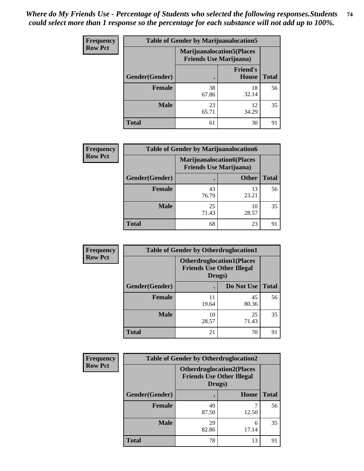| Frequency      | <b>Table of Gender by Marijuanalocation5</b> |                                                                     |                          |              |
|----------------|----------------------------------------------|---------------------------------------------------------------------|--------------------------|--------------|
| <b>Row Pct</b> |                                              | <b>Marijuanalocation5</b> (Places<br><b>Friends Use Marijuana</b> ) |                          |              |
|                | Gender(Gender)                               |                                                                     | <b>Friend's</b><br>House | <b>Total</b> |
|                | <b>Female</b>                                | 38<br>67.86                                                         | 18<br>32.14              | 56           |
|                | <b>Male</b>                                  | 23<br>65.71                                                         | 12<br>34.29              | 35           |
|                | <b>Total</b>                                 | 61                                                                  | 30                       | 91           |

| <b>Frequency</b> | <b>Table of Gender by Marijuanalocation6</b> |             |                                                                    |              |
|------------------|----------------------------------------------|-------------|--------------------------------------------------------------------|--------------|
| <b>Row Pct</b>   |                                              |             | <b>Marijuanalocation6(Places</b><br><b>Friends Use Marijuana</b> ) |              |
|                  | Gender(Gender)                               |             | <b>Other</b>                                                       | <b>Total</b> |
|                  | <b>Female</b>                                | 43<br>76.79 | 13<br>23.21                                                        | 56           |
|                  | <b>Male</b>                                  | 25<br>71.43 | 10<br>28.57                                                        | 35           |
|                  | Total                                        | 68          | 23                                                                 | 91           |

| <b>Frequency</b> | <b>Table of Gender by Otherdruglocation1</b> |                                            |                                  |              |
|------------------|----------------------------------------------|--------------------------------------------|----------------------------------|--------------|
| <b>Row Pct</b>   |                                              | <b>Friends Use Other Illegal</b><br>Drugs) | <b>Otherdruglocation1(Places</b> |              |
|                  | Gender(Gender)                               |                                            | Do Not Use                       | <b>Total</b> |
|                  | <b>Female</b>                                | 19.64                                      | 45<br>80.36                      | 56           |
|                  | <b>Male</b>                                  | 10<br>28.57                                | 25<br>71.43                      | 35           |
|                  | <b>Total</b>                                 | 21                                         | 70                               | 91           |

| <b>Frequency</b> | <b>Table of Gender by Otherdruglocation2</b> |             |                                                                                |              |
|------------------|----------------------------------------------|-------------|--------------------------------------------------------------------------------|--------------|
| <b>Row Pct</b>   |                                              |             | <b>Otherdruglocation2(Places</b><br><b>Friends Use Other Illegal</b><br>Drugs) |              |
|                  | Gender(Gender)                               |             | Home                                                                           | <b>Total</b> |
|                  | <b>Female</b>                                | 49<br>87.50 | 12.50                                                                          | 56           |
|                  | <b>Male</b>                                  | 29<br>82.86 | 6<br>17.14                                                                     | 35           |
|                  | <b>Total</b>                                 | 78          | 13                                                                             | 91           |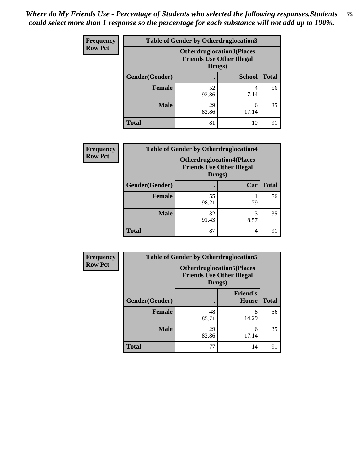| Frequency      | <b>Table of Gender by Otherdruglocation3</b> |             |                                                                      |              |
|----------------|----------------------------------------------|-------------|----------------------------------------------------------------------|--------------|
| <b>Row Pct</b> |                                              | Drugs)      | <b>Otherdruglocation3(Places</b><br><b>Friends Use Other Illegal</b> |              |
|                | Gender(Gender)                               |             | <b>School</b>                                                        | <b>Total</b> |
|                | <b>Female</b>                                | 52<br>92.86 | 7.14                                                                 | 56           |
|                | <b>Male</b>                                  | 29<br>82.86 | 6<br>17.14                                                           | 35           |
|                | <b>Total</b>                                 | 81          | 10                                                                   | 91           |

| <b>Frequency</b> | <b>Table of Gender by Otherdruglocation4</b> |                                                                                |           |              |
|------------------|----------------------------------------------|--------------------------------------------------------------------------------|-----------|--------------|
| <b>Row Pct</b>   |                                              | <b>Otherdruglocation4(Places</b><br><b>Friends Use Other Illegal</b><br>Drugs) |           |              |
|                  | Gender(Gender)                               |                                                                                | Car       | <b>Total</b> |
|                  | Female                                       | 55<br>98.21                                                                    | 1.79      | 56           |
|                  | <b>Male</b>                                  | 32<br>91.43                                                                    | 3<br>8.57 | 35           |
|                  | <b>Total</b>                                 | 87                                                                             | 4         | 91           |

| <b>Frequency</b> | <b>Table of Gender by Otherdruglocation5</b> |                                                                                |                                 |              |
|------------------|----------------------------------------------|--------------------------------------------------------------------------------|---------------------------------|--------------|
| <b>Row Pct</b>   |                                              | <b>Otherdruglocation5(Places</b><br><b>Friends Use Other Illegal</b><br>Drugs) |                                 |              |
|                  | Gender(Gender)                               |                                                                                | <b>Friend's</b><br><b>House</b> | <b>Total</b> |
|                  | <b>Female</b>                                | 48<br>85.71                                                                    | 8<br>14.29                      | 56           |
|                  | <b>Male</b>                                  | 29<br>82.86                                                                    | 6<br>17.14                      | 35           |
|                  | <b>Total</b>                                 | 77                                                                             | 14                              | 91           |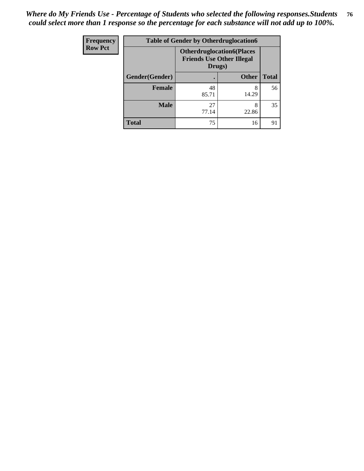| <b>Frequency</b> | <b>Table of Gender by Otherdruglocation6</b> |                                                                                |              |              |
|------------------|----------------------------------------------|--------------------------------------------------------------------------------|--------------|--------------|
| <b>Row Pct</b>   |                                              | <b>Otherdruglocation6(Places</b><br><b>Friends Use Other Illegal</b><br>Drugs) |              |              |
|                  | Gender(Gender)                               |                                                                                | <b>Other</b> | <b>Total</b> |
|                  | Female                                       | 48<br>85.71                                                                    | 8<br>14.29   | 56           |
|                  | <b>Male</b>                                  | 27<br>77.14                                                                    | 8<br>22.86   | 35           |
|                  | <b>Total</b>                                 | 75                                                                             | 16           | 91           |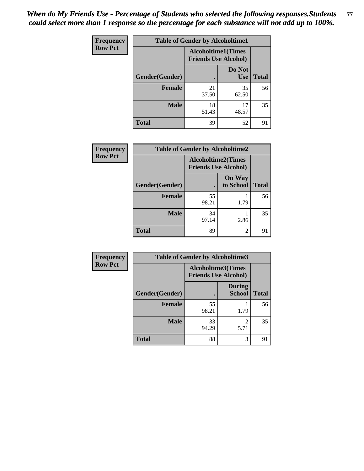| <b>Frequency</b> | <b>Table of Gender by Alcoholtime1</b> |                                                          |                      |              |
|------------------|----------------------------------------|----------------------------------------------------------|----------------------|--------------|
| <b>Row Pct</b>   |                                        | <b>Alcoholtime1(Times</b><br><b>Friends Use Alcohol)</b> |                      |              |
|                  | Gender(Gender)                         | $\bullet$                                                | Do Not<br><b>Use</b> | <b>Total</b> |
|                  | <b>Female</b>                          | 21<br>37.50                                              | 35<br>62.50          | 56           |
|                  | <b>Male</b>                            | 18<br>51.43                                              | 17<br>48.57          | 35           |
|                  | <b>Total</b>                           | 39                                                       | 52                   | 91           |

| <b>Frequency</b> | <b>Table of Gender by Alcoholtime2</b> |                                                          |                            |              |
|------------------|----------------------------------------|----------------------------------------------------------|----------------------------|--------------|
| <b>Row Pct</b>   |                                        | <b>Alcoholtime2(Times</b><br><b>Friends Use Alcohol)</b> |                            |              |
|                  | Gender(Gender)                         |                                                          | <b>On Way</b><br>to School | <b>Total</b> |
|                  | <b>Female</b>                          | 55<br>98.21                                              | 1.79                       | 56           |
|                  | <b>Male</b>                            | 34<br>97.14                                              | 2.86                       | 35           |
|                  | <b>Total</b>                           | 89                                                       | 2                          | 91           |

| Frequency      | <b>Table of Gender by Alcoholtime3</b> |                                                          |                         |              |
|----------------|----------------------------------------|----------------------------------------------------------|-------------------------|--------------|
| <b>Row Pct</b> |                                        | <b>Alcoholtime3(Times</b><br><b>Friends Use Alcohol)</b> |                         |              |
|                | Gender(Gender)                         |                                                          | <b>During</b><br>School | <b>Total</b> |
|                | <b>Female</b>                          | 55<br>98.21                                              | 1.79                    | 56           |
|                | <b>Male</b>                            | 33<br>94.29                                              | $\mathfrak{D}$<br>5.71  | 35           |
|                | <b>Total</b>                           | 88                                                       | 3                       | 91           |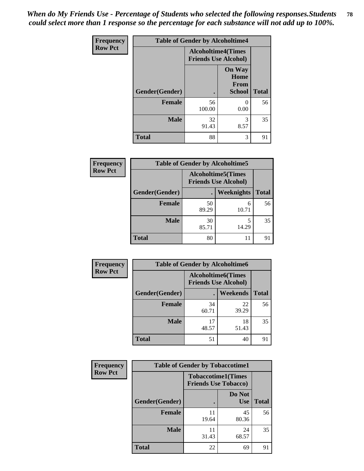*When do My Friends Use - Percentage of Students who selected the following responses.Students could select more than 1 response so the percentage for each substance will not add up to 100%.* **78**

| <b>Frequency</b> | <b>Table of Gender by Alcoholtime4</b> |                                                          |                                                |              |
|------------------|----------------------------------------|----------------------------------------------------------|------------------------------------------------|--------------|
| <b>Row Pct</b>   |                                        | <b>Alcoholtime4(Times</b><br><b>Friends Use Alcohol)</b> |                                                |              |
|                  | Gender(Gender)                         | $\bullet$                                                | <b>On Way</b><br>Home<br>From<br><b>School</b> | <b>Total</b> |
|                  | <b>Female</b>                          | 56<br>100.00                                             | 0<br>0.00                                      | 56           |
|                  | <b>Male</b>                            | 32<br>91.43                                              | 3<br>8.57                                      | 35           |
|                  | <b>Total</b>                           | 88                                                       | 3                                              | 91           |

| <b>Frequency</b> | <b>Table of Gender by Alcoholtime5</b> |                                                           |            |              |
|------------------|----------------------------------------|-----------------------------------------------------------|------------|--------------|
| <b>Row Pct</b>   |                                        | <b>Alcoholtime5</b> (Times<br><b>Friends Use Alcohol)</b> |            |              |
|                  | Gender(Gender)                         |                                                           | Weeknights | <b>Total</b> |
|                  | <b>Female</b>                          | 50<br>89.29                                               | 6<br>10.71 | 56           |
|                  | <b>Male</b>                            | 30<br>85.71                                               | 5<br>14.29 | 35           |
|                  | <b>Total</b>                           | 80                                                        | 11         | 91           |

| <b>Frequency</b> | <b>Table of Gender by Alcoholtime6</b> |             |                                                          |              |
|------------------|----------------------------------------|-------------|----------------------------------------------------------|--------------|
| <b>Row Pct</b>   |                                        |             | <b>Alcoholtime6(Times</b><br><b>Friends Use Alcohol)</b> |              |
|                  | Gender(Gender)                         |             | Weekends                                                 | <b>Total</b> |
|                  | Female                                 | 34<br>60.71 | 22<br>39.29                                              | 56           |
|                  | <b>Male</b>                            | 17<br>48.57 | 18<br>51.43                                              | 35           |
|                  | <b>Total</b>                           | 51          | 40                                                       | 91           |

| Frequency      | <b>Table of Gender by Tobaccotime1</b> |                             |                           |              |
|----------------|----------------------------------------|-----------------------------|---------------------------|--------------|
| <b>Row Pct</b> |                                        | <b>Friends Use Tobacco)</b> | <b>Tobaccotime1(Times</b> |              |
|                | Gender(Gender)                         |                             | Do Not<br><b>Use</b>      | <b>Total</b> |
|                | Female                                 | 11<br>19.64                 | 45<br>80.36               | 56           |
|                | <b>Male</b>                            | 31.43                       | 24<br>68.57               | 35           |
|                | <b>Total</b>                           | 22                          | 69                        | 91           |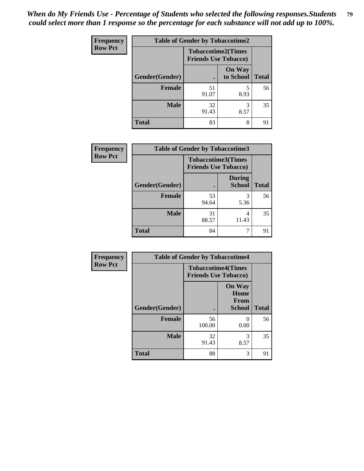*When do My Friends Use - Percentage of Students who selected the following responses.Students could select more than 1 response so the percentage for each substance will not add up to 100%.* **79**

| Frequency      | <b>Table of Gender by Tobaccotime2</b> |                                                          |                            |              |
|----------------|----------------------------------------|----------------------------------------------------------|----------------------------|--------------|
| <b>Row Pct</b> |                                        | <b>Tobaccotime2(Times</b><br><b>Friends Use Tobacco)</b> |                            |              |
|                | Gender(Gender)                         | $\bullet$                                                | <b>On Way</b><br>to School | <b>Total</b> |
|                | Female                                 | 51<br>91.07                                              | 5<br>8.93                  | 56           |
|                | <b>Male</b>                            | 32<br>91.43                                              | 3<br>8.57                  | 35           |
|                | <b>Total</b>                           | 83                                                       | 8                          | 91           |

| Frequency      | <b>Table of Gender by Tobaccotime3</b> |                                                          |                                |              |
|----------------|----------------------------------------|----------------------------------------------------------|--------------------------------|--------------|
| <b>Row Pct</b> |                                        | <b>Tobaccotime3(Times</b><br><b>Friends Use Tobacco)</b> |                                |              |
|                | Gender(Gender)                         |                                                          | <b>During</b><br><b>School</b> | <b>Total</b> |
|                | Female                                 | 53<br>94.64                                              | 3<br>5.36                      | 56           |
|                | <b>Male</b>                            | 31<br>88.57                                              | 4<br>11.43                     | 35           |
|                | <b>Total</b>                           | 84                                                       |                                | 91           |

| <b>Frequency</b> | <b>Table of Gender by Tobaccotime4</b> |                                                          |                                                |              |
|------------------|----------------------------------------|----------------------------------------------------------|------------------------------------------------|--------------|
| <b>Row Pct</b>   |                                        | <b>Tobaccotime4(Times</b><br><b>Friends Use Tobacco)</b> |                                                |              |
|                  | Gender(Gender)                         |                                                          | <b>On Way</b><br>Home<br>From<br><b>School</b> | <b>Total</b> |
|                  | <b>Female</b>                          | 56<br>100.00                                             | 0.00                                           | 56           |
|                  | <b>Male</b>                            | 32<br>91.43                                              | 3<br>8.57                                      | 35           |
|                  | <b>Total</b>                           | 88                                                       | 3                                              | 91           |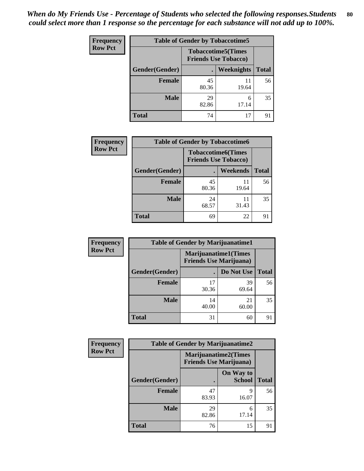| <b>Frequency</b> | <b>Table of Gender by Tobaccotime5</b> |                                                           |                   |              |  |
|------------------|----------------------------------------|-----------------------------------------------------------|-------------------|--------------|--|
| <b>Row Pct</b>   |                                        | <b>Tobaccotime5</b> (Times<br><b>Friends Use Tobacco)</b> |                   |              |  |
|                  | <b>Gender</b> (Gender)                 |                                                           | <b>Weeknights</b> | <b>Total</b> |  |
|                  | <b>Female</b>                          | 45<br>80.36                                               | 11<br>19.64       | 56           |  |
|                  | <b>Male</b>                            | 29<br>82.86                                               | 6<br>17.14        | 35           |  |
|                  | Total                                  | 74                                                        | 17                | 91           |  |

| <b>Frequency</b> | <b>Table of Gender by Tobaccotime6</b> |                                                          |             |              |
|------------------|----------------------------------------|----------------------------------------------------------|-------------|--------------|
| <b>Row Pct</b>   |                                        | <b>Tobaccotime6(Times</b><br><b>Friends Use Tobacco)</b> |             |              |
|                  | Gender(Gender)                         |                                                          | Weekends    | <b>Total</b> |
|                  | Female                                 | 45<br>80.36                                              | 11<br>19.64 | 56           |
|                  | <b>Male</b>                            | 24<br>68.57                                              | 11<br>31.43 | 35           |
|                  | <b>Total</b>                           | 69                                                       | 22          | 91           |

| <b>Frequency</b> | <b>Table of Gender by Marijuanatime1</b> |                                                               |             |              |
|------------------|------------------------------------------|---------------------------------------------------------------|-------------|--------------|
| <b>Row Pct</b>   |                                          | <b>Marijuanatime1(Times</b><br><b>Friends Use Marijuana</b> ) |             |              |
|                  | Gender(Gender)                           |                                                               | Do Not Use  | <b>Total</b> |
|                  | <b>Female</b>                            | 17<br>30.36                                                   | 39<br>69.64 | 56           |
|                  | <b>Male</b>                              | 14<br>40.00                                                   | 21<br>60.00 | 35           |
|                  | <b>Total</b>                             | 31                                                            | 60          | 91           |

| <b>Frequency</b> | <b>Table of Gender by Marijuanatime2</b> |                                                               |                            |              |
|------------------|------------------------------------------|---------------------------------------------------------------|----------------------------|--------------|
| <b>Row Pct</b>   |                                          | <b>Marijuanatime2(Times</b><br><b>Friends Use Marijuana</b> ) |                            |              |
|                  | Gender(Gender)                           |                                                               | On Way to<br><b>School</b> | <b>Total</b> |
|                  | <b>Female</b>                            | 47<br>83.93                                                   | 9<br>16.07                 | 56           |
|                  | <b>Male</b>                              | 29<br>82.86                                                   | 6<br>17.14                 | 35           |
|                  | <b>Total</b>                             | 76                                                            | 15                         | 91           |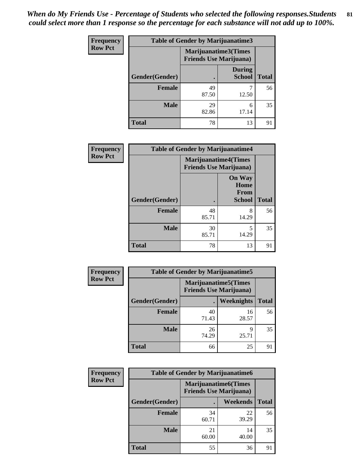*When do My Friends Use - Percentage of Students who selected the following responses.Students could select more than 1 response so the percentage for each substance will not add up to 100%.* **81**

| <b>Frequency</b> | Table of Gender by Marijuanatime3 |                                                        |                                |              |
|------------------|-----------------------------------|--------------------------------------------------------|--------------------------------|--------------|
| <b>Row Pct</b>   |                                   | Marijuanatime3(Times<br><b>Friends Use Marijuana</b> ) |                                |              |
|                  | Gender(Gender)                    |                                                        | <b>During</b><br><b>School</b> | <b>Total</b> |
|                  | <b>Female</b>                     | 49<br>87.50                                            | 12.50                          | 56           |
|                  | <b>Male</b>                       | 29<br>82.86                                            | 6<br>17.14                     | 35           |
|                  | <b>Total</b>                      | 78                                                     | 13                             | 91           |

| Frequency      | <b>Table of Gender by Marijuanatime4</b> |                                |                                                       |              |
|----------------|------------------------------------------|--------------------------------|-------------------------------------------------------|--------------|
| <b>Row Pct</b> |                                          | <b>Friends Use Marijuana</b> ) | <b>Marijuanatime4</b> (Times                          |              |
|                | <b>Gender</b> (Gender)                   |                                | <b>On Way</b><br>Home<br><b>From</b><br><b>School</b> | <b>Total</b> |
|                | <b>Female</b>                            | 48<br>85.71                    | 8<br>14.29                                            | 56           |
|                | <b>Male</b>                              | 30<br>85.71                    | 5<br>14.29                                            | 35           |
|                | <b>Total</b>                             | 78                             | 13                                                    | 91           |

| Frequency      | <b>Table of Gender by Marijuanatime5</b> |                                                                |             |              |
|----------------|------------------------------------------|----------------------------------------------------------------|-------------|--------------|
| <b>Row Pct</b> |                                          | <b>Marijuanatime5</b> (Times<br><b>Friends Use Marijuana</b> ) |             |              |
|                | Gender(Gender)                           |                                                                | Weeknights  | <b>Total</b> |
|                | <b>Female</b>                            | 40<br>71.43                                                    | 16<br>28.57 | 56           |
|                | <b>Male</b>                              | 26<br>74.29                                                    | q<br>25.71  | 35           |
|                | <b>Total</b>                             | 66                                                             | 25          | 91           |

| <b>Frequency</b> | <b>Table of Gender by Marijuanatime6</b> |                                                               |                 |              |  |
|------------------|------------------------------------------|---------------------------------------------------------------|-----------------|--------------|--|
| <b>Row Pct</b>   |                                          | <b>Marijuanatime6(Times</b><br><b>Friends Use Marijuana</b> ) |                 |              |  |
|                  | Gender(Gender)                           |                                                               | <b>Weekends</b> | <b>Total</b> |  |
|                  | <b>Female</b>                            | 34<br>60.71                                                   | 22<br>39.29     | 56           |  |
|                  | <b>Male</b>                              | 21<br>60.00                                                   | 14<br>40.00     | 35           |  |
|                  | <b>Total</b>                             | 55                                                            | 36              | 91           |  |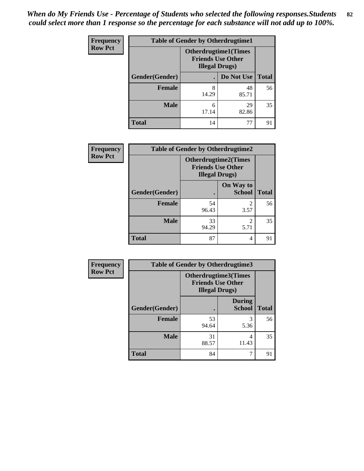*When do My Friends Use - Percentage of Students who selected the following responses.Students could select more than 1 response so the percentage for each substance will not add up to 100%.* **82**

| <b>Frequency</b> | <b>Table of Gender by Otherdrugtime1</b> |                                                                                  |             |              |
|------------------|------------------------------------------|----------------------------------------------------------------------------------|-------------|--------------|
| <b>Row Pct</b>   |                                          | <b>Otherdrugtime1(Times</b><br><b>Friends Use Other</b><br><b>Illegal Drugs)</b> |             |              |
|                  | Gender(Gender)                           |                                                                                  | Do Not Use  | <b>Total</b> |
|                  | <b>Female</b>                            | 8<br>14.29                                                                       | 48<br>85.71 | 56           |
|                  | <b>Male</b>                              | 6<br>17.14                                                                       | 29<br>82.86 | 35           |
|                  | <b>Total</b>                             | 14                                                                               | 77          | 91           |

| Frequency      | <b>Table of Gender by Otherdrugtime2</b> |                                                                                   |                            |              |
|----------------|------------------------------------------|-----------------------------------------------------------------------------------|----------------------------|--------------|
| <b>Row Pct</b> |                                          | <b>Otherdrugtime2(Times</b><br><b>Friends Use Other</b><br><b>Illegal Drugs</b> ) |                            |              |
|                | Gender(Gender)                           |                                                                                   | On Way to<br><b>School</b> | <b>Total</b> |
|                | <b>Female</b>                            | 54<br>96.43                                                                       | $\overline{2}$<br>3.57     | 56           |
|                | <b>Male</b>                              | 33<br>94.29                                                                       | $\mathfrak{D}$<br>5.71     | 35           |
|                | <b>Total</b>                             | 87                                                                                | 4                          | 91           |

| Frequency      | <b>Table of Gender by Otherdrugtime3</b> |                        |                                                  |              |
|----------------|------------------------------------------|------------------------|--------------------------------------------------|--------------|
| <b>Row Pct</b> |                                          | <b>Illegal Drugs</b> ) | Otherdrugtime3(Times<br><b>Friends Use Other</b> |              |
|                | Gender(Gender)                           |                        | <b>During</b><br><b>School</b>                   | <b>Total</b> |
|                | <b>Female</b>                            | 53<br>94.64            | 3<br>5.36                                        | 56           |
|                | <b>Male</b>                              | 31<br>88.57            | 4<br>11.43                                       | 35           |
|                | <b>Total</b>                             | 84                     | 7                                                | 91           |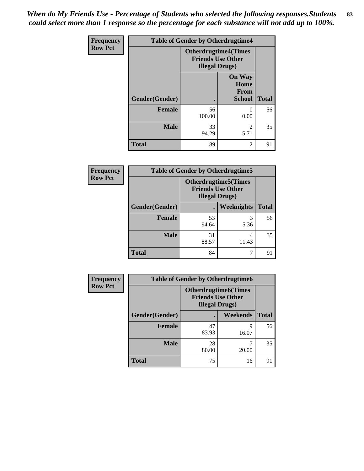*When do My Friends Use - Percentage of Students who selected the following responses.Students could select more than 1 response so the percentage for each substance will not add up to 100%.* **83**

| Frequency      | <b>Table of Gender by Otherdrugtime4</b> |                        |                                                         |              |
|----------------|------------------------------------------|------------------------|---------------------------------------------------------|--------------|
| <b>Row Pct</b> |                                          | <b>Illegal Drugs</b> ) | <b>Otherdrugtime4(Times</b><br><b>Friends Use Other</b> |              |
|                | Gender(Gender)                           |                        | <b>On Way</b><br>Home<br>From<br><b>School</b>          | <b>Total</b> |
|                | <b>Female</b>                            | 56<br>100.00           | $\Omega$<br>0.00                                        | 56           |
|                | <b>Male</b>                              | 33<br>94.29            | $\mathfrak{D}$<br>5.71                                  | 35           |
|                | <b>Total</b>                             | 89                     | 2                                                       | 91           |

| <b>Frequency</b> | <b>Table of Gender by Otherdrugtime5</b> |             |                                                                                    |              |
|------------------|------------------------------------------|-------------|------------------------------------------------------------------------------------|--------------|
| <b>Row Pct</b>   |                                          |             | <b>Otherdrugtime5</b> (Times<br><b>Friends Use Other</b><br><b>Illegal Drugs</b> ) |              |
|                  | Gender(Gender)                           |             | <b>Weeknights</b>                                                                  | <b>Total</b> |
|                  | <b>Female</b>                            | 53<br>94.64 | 5.36                                                                               | 56           |
|                  | <b>Male</b>                              | 31<br>88.57 | 4<br>11.43                                                                         | 35           |
|                  | <b>Total</b>                             | 84          |                                                                                    | 91           |

| <b>Frequency</b> | <b>Table of Gender by Otherdrugtime6</b> |                                                                                   |            |              |
|------------------|------------------------------------------|-----------------------------------------------------------------------------------|------------|--------------|
| <b>Row Pct</b>   |                                          | <b>Otherdrugtime6(Times</b><br><b>Friends Use Other</b><br><b>Illegal Drugs</b> ) |            |              |
|                  | Gender(Gender)                           |                                                                                   | Weekends   | <b>Total</b> |
|                  | <b>Female</b>                            | 47<br>83.93                                                                       | 9<br>16.07 | 56           |
|                  | <b>Male</b>                              | 28<br>80.00                                                                       | ℸ<br>20.00 | 35           |
|                  | <b>Total</b>                             | 75                                                                                | 16         | 91           |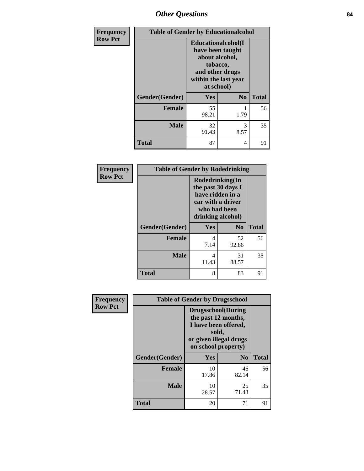## *Other Questions* **84**

| Frequency      | <b>Table of Gender by Educationalcohol</b> |                                                                                                                               |                |              |  |
|----------------|--------------------------------------------|-------------------------------------------------------------------------------------------------------------------------------|----------------|--------------|--|
| <b>Row Pct</b> |                                            | Educationalcohol(I<br>have been taught<br>about alcohol,<br>tobacco,<br>and other drugs<br>within the last year<br>at school) |                |              |  |
|                | Gender(Gender)                             | <b>Yes</b>                                                                                                                    | N <sub>0</sub> | <b>Total</b> |  |
|                | <b>Female</b>                              | 55<br>98.21                                                                                                                   | 1.79           | 56           |  |
|                | <b>Male</b>                                | 32<br>91.43                                                                                                                   | 3<br>8.57      | 35           |  |
|                | <b>Total</b>                               | 87                                                                                                                            | 4              | 91           |  |

| Frequency      | <b>Table of Gender by Rodedrinking</b> |                                                                                                                                              |             |              |  |
|----------------|----------------------------------------|----------------------------------------------------------------------------------------------------------------------------------------------|-------------|--------------|--|
| <b>Row Pct</b> |                                        | Rodedrinking(In<br>the past 30 days I<br>have ridden in a<br>car with a driver<br>who had been<br>drinking alcohol)<br>Yes<br>N <sub>0</sub> |             |              |  |
|                | Gender(Gender)                         |                                                                                                                                              |             | <b>Total</b> |  |
|                | <b>Female</b>                          | 4<br>7.14                                                                                                                                    | 52<br>92.86 | 56           |  |
|                | <b>Male</b>                            | 4<br>11.43                                                                                                                                   | 31<br>88.57 | 35           |  |
|                | <b>Total</b>                           | 8                                                                                                                                            | 83          | 91           |  |

| Frequency      | <b>Table of Gender by Drugsschool</b> |                                                                                                                                     |                |              |  |
|----------------|---------------------------------------|-------------------------------------------------------------------------------------------------------------------------------------|----------------|--------------|--|
| <b>Row Pct</b> |                                       | <b>Drugsschool</b> (During<br>the past 12 months,<br>I have been offered,<br>sold,<br>or given illegal drugs<br>on school property) |                |              |  |
|                | Gender(Gender)                        | Yes                                                                                                                                 | N <sub>0</sub> | <b>Total</b> |  |
|                | <b>Female</b>                         | 10<br>17.86                                                                                                                         | 46<br>82.14    | 56           |  |
|                | <b>Male</b>                           | 10<br>28.57                                                                                                                         | 25<br>71.43    | 35           |  |
|                | <b>Total</b>                          | 20                                                                                                                                  | 71             | 91           |  |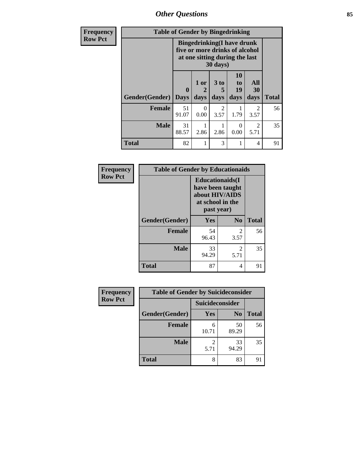*Other Questions* **85**

| <b>Frequency</b> | <b>Table of Gender by Bingedrinking</b> |                             |              |                              |                                                                                                                   |                                     |              |  |
|------------------|-----------------------------------------|-----------------------------|--------------|------------------------------|-------------------------------------------------------------------------------------------------------------------|-------------------------------------|--------------|--|
| <b>Row Pct</b>   |                                         |                             |              |                              | <b>Bingedrinking(I have drunk</b><br>five or more drinks of alcohol<br>at one sitting during the last<br>30 days) |                                     |              |  |
|                  | Gender(Gender)                          | $\mathbf{0}$<br><b>Days</b> | 1 or<br>days | 3 <sub>to</sub><br>5<br>days | 10<br>to<br>19<br>days                                                                                            | All<br>30<br>days                   | <b>Total</b> |  |
|                  | Female                                  | 51<br>91.07                 | 0<br>0.00    | $\mathfrak{D}$<br>3.57       | 1.79                                                                                                              | 2<br>3.57                           | 56           |  |
|                  | <b>Male</b>                             | 31<br>88.57                 | 2.86         | 2.86                         | $\Omega$<br>0.00                                                                                                  | $\mathcal{D}_{\mathcal{L}}$<br>5.71 | 35           |  |
|                  | <b>Total</b>                            | 82                          |              | 3                            |                                                                                                                   | 4                                   | 91           |  |

| Frequency      | <b>Table of Gender by Educationaids</b> |                                                                                                 |                        |              |  |
|----------------|-----------------------------------------|-------------------------------------------------------------------------------------------------|------------------------|--------------|--|
| <b>Row Pct</b> |                                         | <b>Educationaids</b> (I<br>have been taught<br>about HIV/AIDS<br>at school in the<br>past year) |                        |              |  |
|                | Gender(Gender)                          | Yes                                                                                             | $\bf N_0$              | <b>Total</b> |  |
|                | <b>Female</b>                           | 54<br>96.43                                                                                     | 2<br>3.57              | 56           |  |
|                | <b>Male</b>                             | 33<br>94.29                                                                                     | $\mathfrak{D}$<br>5.71 | 35           |  |
|                | <b>Total</b>                            | 87                                                                                              | 4                      | 91           |  |

| <b>Frequency</b> | <b>Table of Gender by Suicideconsider</b> |                 |                |              |
|------------------|-------------------------------------------|-----------------|----------------|--------------|
| <b>Row Pct</b>   |                                           | Suicideconsider |                |              |
|                  | Gender(Gender)                            | Yes             | N <sub>0</sub> | <b>Total</b> |
|                  | <b>Female</b>                             | 6<br>10.71      | 50<br>89.29    | 56           |
|                  | <b>Male</b>                               | 5.71            | 33<br>94.29    | 35           |
|                  | <b>Total</b>                              | 8               | 83             | 91           |